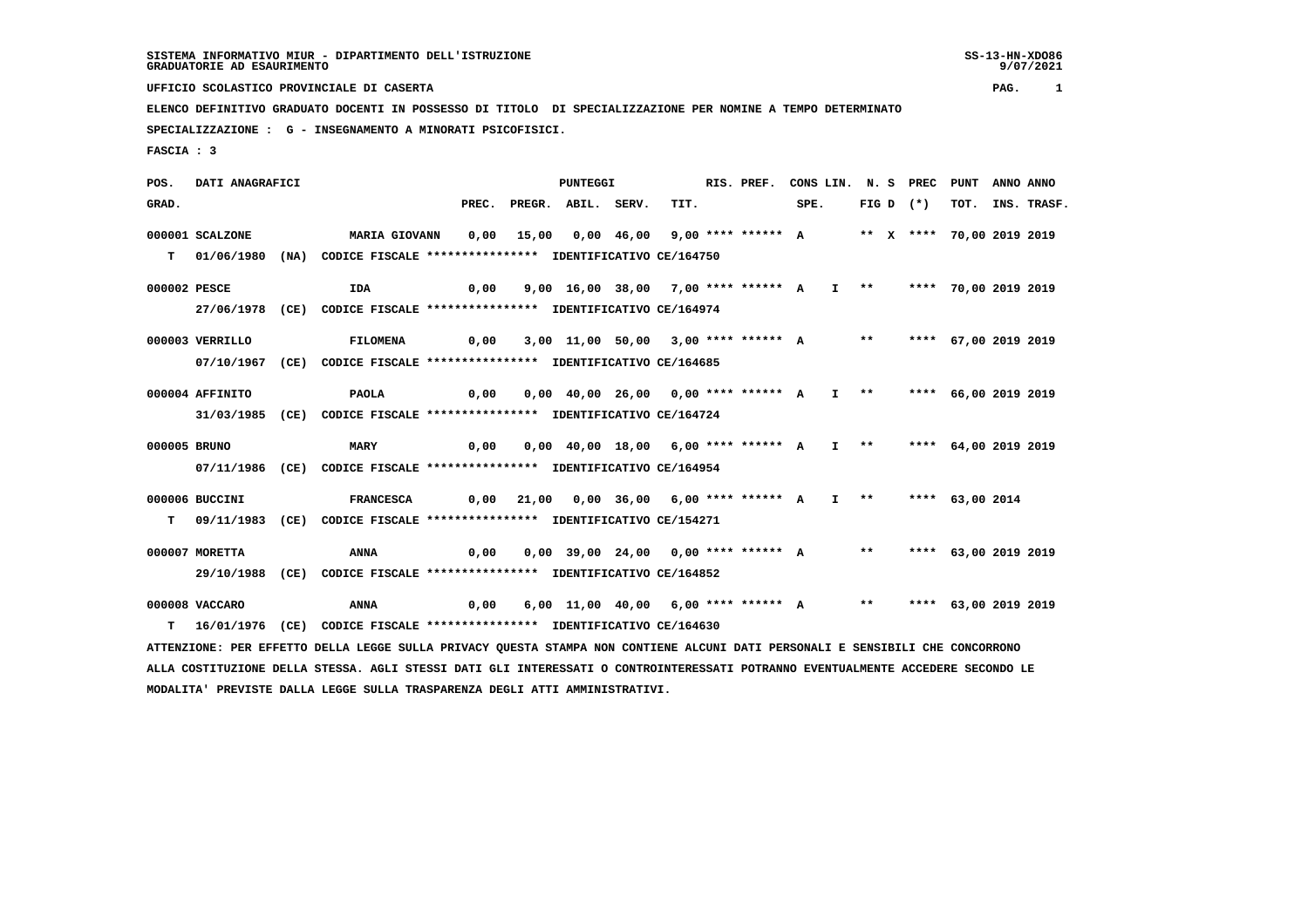9/07/2021

 **UFFICIO SCOLASTICO PROVINCIALE DI CASERTA PAG. 1**

 **ELENCO DEFINITIVO GRADUATO DOCENTI IN POSSESSO DI TITOLO DI SPECIALIZZAZIONE PER NOMINE A TEMPO DETERMINATO SPECIALIZZAZIONE : G - INSEGNAMENTO A MINORATI PSICOFISICI.**

 **FASCIA : 3**

 **POS. DATI ANAGRAFICI PUNTEGGI RIS. PREF. CONS LIN. N. S PREC PUNT ANNO ANNO**GRAD. **BRAD.** PREC. PREGR. ABIL. SERV. TIT. SPE. FIG D (\*) TOT. INS. TRASF.  **000001 SCALZONE MARIA GIOVANN 0,00 15,00 0,00 46,00 9,00 \*\*\*\* \*\*\*\*\*\* A \*\* X \*\*\*\* 70,00 2019 2019 T 01/06/1980 (NA) CODICE FISCALE \*\*\*\*\*\*\*\*\*\*\*\*\*\*\*\* IDENTIFICATIVO CE/164750 000002 PESCE IDA 0,00 9,00 16,00 38,00 7,00 \*\*\*\* \*\*\*\*\*\* A I \*\* \*\*\*\* 70,00 2019 2019 27/06/1978 (CE) CODICE FISCALE \*\*\*\*\*\*\*\*\*\*\*\*\*\*\*\* IDENTIFICATIVO CE/164974 000003 VERRILLO FILOMENA 0,00 3,00 11,00 50,00 3,00 \*\*\*\* \*\*\*\*\*\* A \*\* \*\*\*\* 67,00 2019 2019 07/10/1967 (CE) CODICE FISCALE \*\*\*\*\*\*\*\*\*\*\*\*\*\*\*\* IDENTIFICATIVO CE/164685 000004 AFFINITO PAOLA 0,00 0,00 40,00 26,00 0,00 \*\*\*\* \*\*\*\*\*\* A I \*\* \*\*\*\* 66,00 2019 2019 31/03/1985 (CE) CODICE FISCALE \*\*\*\*\*\*\*\*\*\*\*\*\*\*\*\* IDENTIFICATIVO CE/164724 000005 BRUNO MARY 0,00 0,00 40,00 18,00 6,00 \*\*\*\* \*\*\*\*\*\* A I \*\* \*\*\*\* 64,00 2019 2019 07/11/1986 (CE) CODICE FISCALE \*\*\*\*\*\*\*\*\*\*\*\*\*\*\*\* IDENTIFICATIVO CE/164954 000006 BUCCINI FRANCESCA 0,00 21,00 0,00 36,00 6,00 \*\*\*\* \*\*\*\*\*\* A I \*\* \*\*\*\* 63,00 2014 T 09/11/1983 (CE) CODICE FISCALE \*\*\*\*\*\*\*\*\*\*\*\*\*\*\*\* IDENTIFICATIVO CE/154271 000007 MORETTA ANNA 0,00 0,00 39,00 24,00 0,00 \*\*\*\* \*\*\*\*\*\* A \*\* \*\*\*\* 63,00 2019 2019 29/10/1988 (CE) CODICE FISCALE \*\*\*\*\*\*\*\*\*\*\*\*\*\*\*\* IDENTIFICATIVO CE/164852 000008 VACCARO ANNA 0,00 6,00 11,00 40,00 6,00 \*\*\*\* \*\*\*\*\*\* A \*\* \*\*\*\* 63,00 2019 2019 T 16/01/1976 (CE) CODICE FISCALE \*\*\*\*\*\*\*\*\*\*\*\*\*\*\*\* IDENTIFICATIVO CE/164630 ATTENZIONE: PER EFFETTO DELLA LEGGE SULLA PRIVACY QUESTA STAMPA NON CONTIENE ALCUNI DATI PERSONALI E SENSIBILI CHE CONCORRONO ALLA COSTITUZIONE DELLA STESSA. AGLI STESSI DATI GLI INTERESSATI O CONTROINTERESSATI POTRANNO EVENTUALMENTE ACCEDERE SECONDO LE**

 **MODALITA' PREVISTE DALLA LEGGE SULLA TRASPARENZA DEGLI ATTI AMMINISTRATIVI.**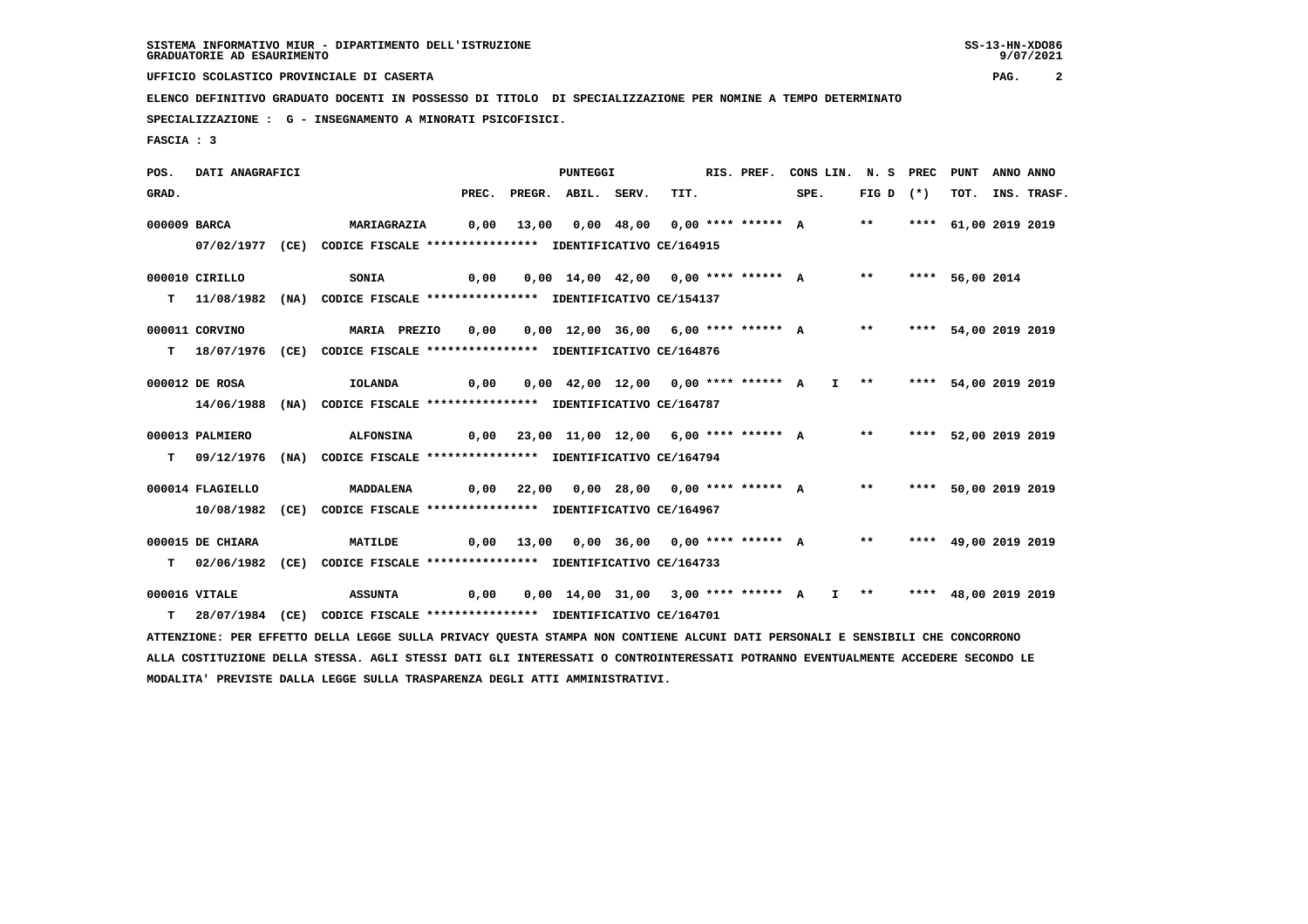**UFFICIO SCOLASTICO PROVINCIALE DI CASERTA PAG. 2**

 **ELENCO DEFINITIVO GRADUATO DOCENTI IN POSSESSO DI TITOLO DI SPECIALIZZAZIONE PER NOMINE A TEMPO DETERMINATO**

 **SPECIALIZZAZIONE : G - INSEGNAMENTO A MINORATI PSICOFISICI.**

 **FASCIA : 3**

 **POS. DATI ANAGRAFICI PUNTEGGI RIS. PREF. CONS LIN. N. S PREC PUNT ANNO ANNO**GRAD. PREC. PREGR. ABIL. SERV. TIT. SPE. FIG D (\*) TOT. INS. TRASF.  **000009 BARCA MARIAGRAZIA 0,00 13,00 0,00 48,00 0,00 \*\*\*\* \*\*\*\*\*\* A \*\* \*\*\*\* 61,00 2019 2019 07/02/1977 (CE) CODICE FISCALE \*\*\*\*\*\*\*\*\*\*\*\*\*\*\*\* IDENTIFICATIVO CE/164915 000010 CIRILLO SONIA 0,00 0,00 14,00 42,00 0,00 \*\*\*\* \*\*\*\*\*\* A \*\* \*\*\*\* 56,00 2014 T 11/08/1982 (NA) CODICE FISCALE \*\*\*\*\*\*\*\*\*\*\*\*\*\*\*\* IDENTIFICATIVO CE/154137 000011 CORVINO MARIA PREZIO 0,00 0,00 12,00 36,00 6,00 \*\*\*\* \*\*\*\*\*\* A \*\* \*\*\*\* 54,00 2019 2019 T 18/07/1976 (CE) CODICE FISCALE \*\*\*\*\*\*\*\*\*\*\*\*\*\*\*\* IDENTIFICATIVO CE/164876 000012 DE ROSA IOLANDA 0,00 0,00 42,00 12,00 0,00 \*\*\*\* \*\*\*\*\*\* A I \*\* \*\*\*\* 54,00 2019 2019 14/06/1988 (NA) CODICE FISCALE \*\*\*\*\*\*\*\*\*\*\*\*\*\*\*\* IDENTIFICATIVO CE/164787 000013 PALMIERO ALFONSINA 0,00 23,00 11,00 12,00 6,00 \*\*\*\* \*\*\*\*\*\* A \*\* \*\*\*\* 52,00 2019 2019 T 09/12/1976 (NA) CODICE FISCALE \*\*\*\*\*\*\*\*\*\*\*\*\*\*\*\* IDENTIFICATIVO CE/164794 000014 FLAGIELLO MADDALENA 0,00 22,00 0,00 28,00 0,00 \*\*\*\* \*\*\*\*\*\* A \*\* \*\*\*\* 50,00 2019 2019 10/08/1982 (CE) CODICE FISCALE \*\*\*\*\*\*\*\*\*\*\*\*\*\*\*\* IDENTIFICATIVO CE/164967 000015 DE CHIARA MATILDE 0,00 13,00 0,00 36,00 0,00 \*\*\*\* \*\*\*\*\*\* A \*\* \*\*\*\* 49,00 2019 2019 T 02/06/1982 (CE) CODICE FISCALE \*\*\*\*\*\*\*\*\*\*\*\*\*\*\*\* IDENTIFICATIVO CE/164733 000016 VITALE ASSUNTA 0,00 0,00 14,00 31,00 3,00 \*\*\*\* \*\*\*\*\*\* A I \*\* \*\*\*\* 48,00 2019 2019 T 28/07/1984 (CE) CODICE FISCALE \*\*\*\*\*\*\*\*\*\*\*\*\*\*\*\* IDENTIFICATIVO CE/164701 ATTENZIONE: PER EFFETTO DELLA LEGGE SULLA PRIVACY QUESTA STAMPA NON CONTIENE ALCUNI DATI PERSONALI E SENSIBILI CHE CONCORRONO ALLA COSTITUZIONE DELLA STESSA. AGLI STESSI DATI GLI INTERESSATI O CONTROINTERESSATI POTRANNO EVENTUALMENTE ACCEDERE SECONDO LE MODALITA' PREVISTE DALLA LEGGE SULLA TRASPARENZA DEGLI ATTI AMMINISTRATIVI.**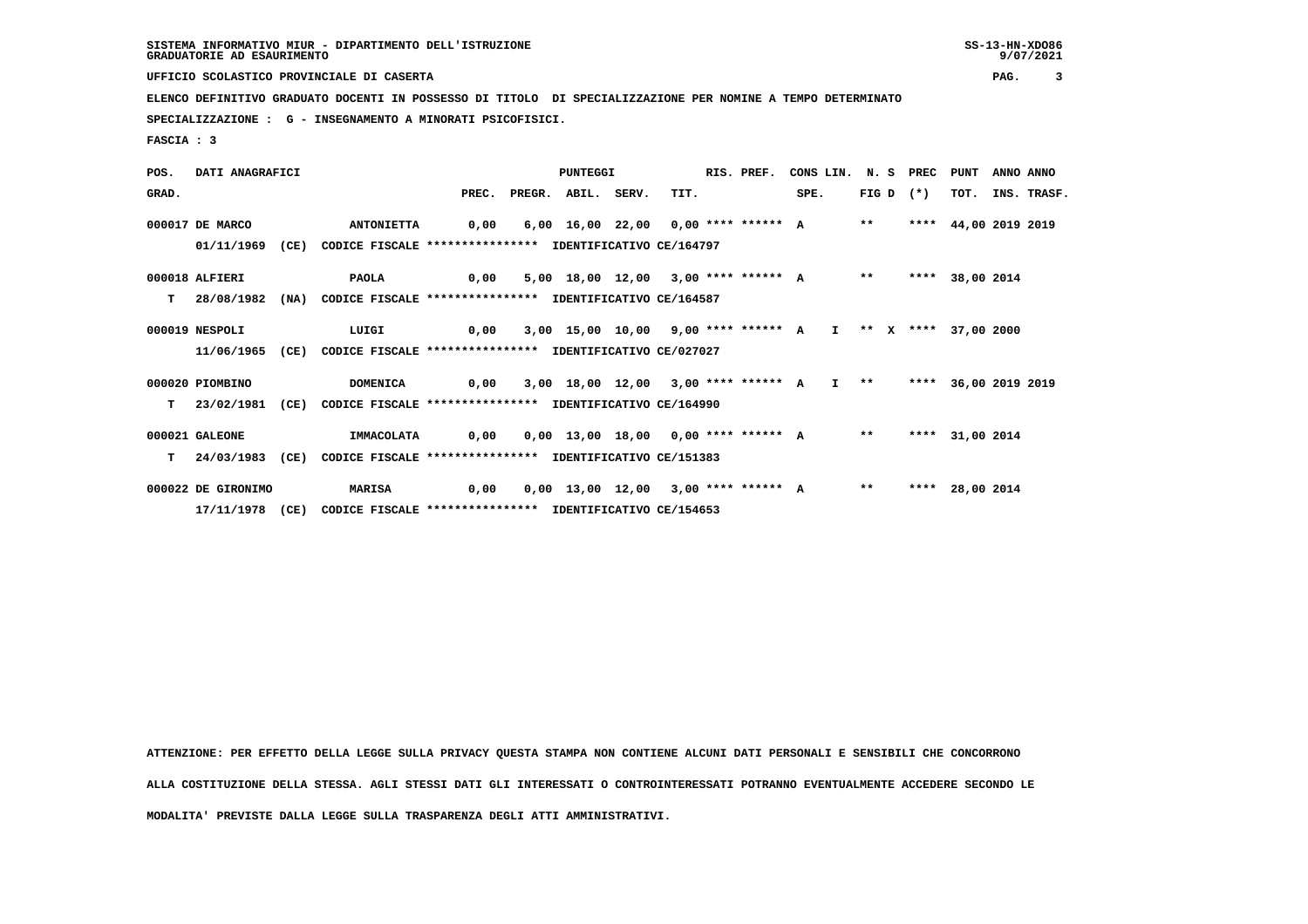**UFFICIO SCOLASTICO PROVINCIALE DI CASERTA PAG. 3**

 **ELENCO DEFINITIVO GRADUATO DOCENTI IN POSSESSO DI TITOLO DI SPECIALIZZAZIONE PER NOMINE A TEMPO DETERMINATO**

 **SPECIALIZZAZIONE : G - INSEGNAMENTO A MINORATI PSICOFISICI.**

 **FASCIA : 3**

 **POS. DATI ANAGRAFICI PUNTEGGI RIS. PREF. CONS LIN. N. S PREC PUNT ANNO ANNO GRAD. PREC. PREGR. ABIL. SERV. TIT. SPE. FIG D (\*) TOT. INS. TRASF. 000017 DE MARCO ANTONIETTA 0,00 6,00 16,00 22,00 0,00 \*\*\*\* \*\*\*\*\*\* A \*\* \*\*\*\* 44,00 2019 2019 01/11/1969 (CE) CODICE FISCALE \*\*\*\*\*\*\*\*\*\*\*\*\*\*\*\* IDENTIFICATIVO CE/164797 000018 ALFIERI PAOLA 0,00 5,00 18,00 12,00 3,00 \*\*\*\* \*\*\*\*\*\* A \*\* \*\*\*\* 38,00 2014 T 28/08/1982 (NA) CODICE FISCALE \*\*\*\*\*\*\*\*\*\*\*\*\*\*\*\* IDENTIFICATIVO CE/164587 000019 NESPOLI LUIGI 0,00 3,00 15,00 10,00 9,00 \*\*\*\* \*\*\*\*\*\* A I \*\* X \*\*\*\* 37,00 2000 11/06/1965 (CE) CODICE FISCALE \*\*\*\*\*\*\*\*\*\*\*\*\*\*\*\* IDENTIFICATIVO CE/027027 000020 PIOMBINO DOMENICA 0,00 3,00 18,00 12,00 3,00 \*\*\*\* \*\*\*\*\*\* A I \*\* \*\*\*\* 36,00 2019 2019 T 23/02/1981 (CE) CODICE FISCALE \*\*\*\*\*\*\*\*\*\*\*\*\*\*\*\* IDENTIFICATIVO CE/164990 000021 GALEONE IMMACOLATA 0,00 0,00 13,00 18,00 0,00 \*\*\*\* \*\*\*\*\*\* A \*\* \*\*\*\* 31,00 2014 T 24/03/1983 (CE) CODICE FISCALE \*\*\*\*\*\*\*\*\*\*\*\*\*\*\*\* IDENTIFICATIVO CE/151383 000022 DE GIRONIMO MARISA 0,00 0,00 13,00 12,00 3,00 \*\*\*\* \*\*\*\*\*\* A \*\* \*\*\*\* 28,00 2014 17/11/1978 (CE) CODICE FISCALE \*\*\*\*\*\*\*\*\*\*\*\*\*\*\*\* IDENTIFICATIVO CE/154653**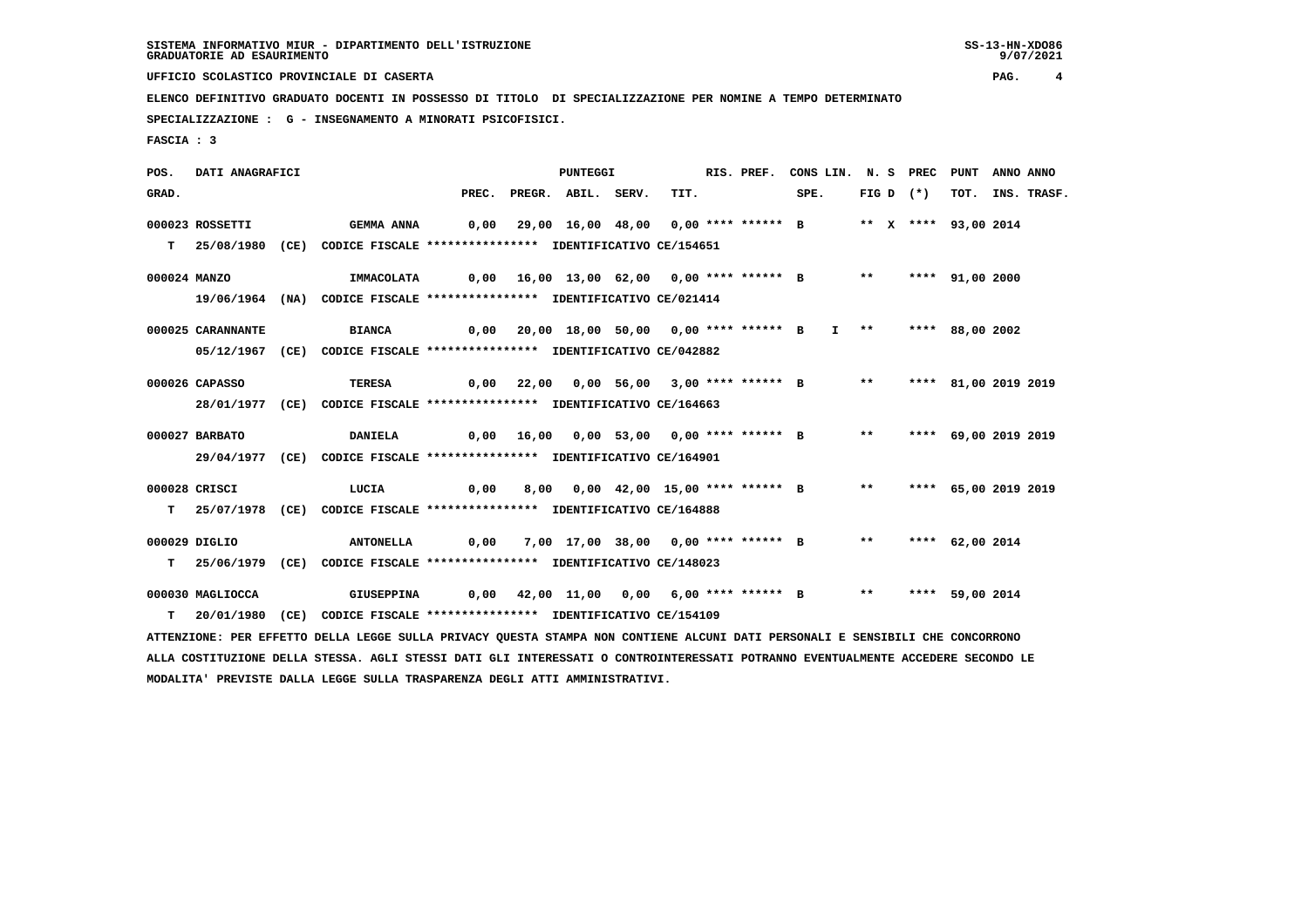**UFFICIO SCOLASTICO PROVINCIALE DI CASERTA PAG. 4**

 **ELENCO DEFINITIVO GRADUATO DOCENTI IN POSSESSO DI TITOLO DI SPECIALIZZAZIONE PER NOMINE A TEMPO DETERMINATO**

 **SPECIALIZZAZIONE : G - INSEGNAMENTO A MINORATI PSICOFISICI.**

 **MODALITA' PREVISTE DALLA LEGGE SULLA TRASPARENZA DEGLI ATTI AMMINISTRATIVI.**

 **FASCIA : 3**

 **POS. DATI ANAGRAFICI PUNTEGGI RIS. PREF. CONS LIN. N. S PREC PUNT ANNO ANNO**GRAD. PREC. PREGR. ABIL. SERV. TIT. SPE. FIG D (\*) TOT. INS. TRASF.  **000023 ROSSETTI GEMMA ANNA 0,00 29,00 16,00 48,00 0,00 \*\*\*\* \*\*\*\*\*\* B \*\* X \*\*\*\* 93,00 2014 T 25/08/1980 (CE) CODICE FISCALE \*\*\*\*\*\*\*\*\*\*\*\*\*\*\*\* IDENTIFICATIVO CE/154651 000024 MANZO IMMACOLATA 0,00 16,00 13,00 62,00 0,00 \*\*\*\* \*\*\*\*\*\* B \*\* \*\*\*\* 91,00 2000 19/06/1964 (NA) CODICE FISCALE \*\*\*\*\*\*\*\*\*\*\*\*\*\*\*\* IDENTIFICATIVO CE/021414 000025 CARANNANTE BIANCA 0,00 20,00 18,00 50,00 0,00 \*\*\*\* \*\*\*\*\*\* B I \*\* \*\*\*\* 88,00 2002 05/12/1967 (CE) CODICE FISCALE \*\*\*\*\*\*\*\*\*\*\*\*\*\*\*\* IDENTIFICATIVO CE/042882 000026 CAPASSO TERESA 0,00 22,00 0,00 56,00 3,00 \*\*\*\* \*\*\*\*\*\* B \*\* \*\*\*\* 81,00 2019 2019 28/01/1977 (CE) CODICE FISCALE \*\*\*\*\*\*\*\*\*\*\*\*\*\*\*\* IDENTIFICATIVO CE/164663 000027 BARBATO DANIELA 0,00 16,00 0,00 53,00 0,00 \*\*\*\* \*\*\*\*\*\* B \*\* \*\*\*\* 69,00 2019 2019 29/04/1977 (CE) CODICE FISCALE \*\*\*\*\*\*\*\*\*\*\*\*\*\*\*\* IDENTIFICATIVO CE/164901 000028 CRISCI LUCIA 0,00 8,00 0,00 42,00 15,00 \*\*\*\* \*\*\*\*\*\* B \*\* \*\*\*\* 65,00 2019 2019 T 25/07/1978 (CE) CODICE FISCALE \*\*\*\*\*\*\*\*\*\*\*\*\*\*\*\* IDENTIFICATIVO CE/164888 000029 DIGLIO ANTONELLA 0,00 7,00 17,00 38,00 0,00 \*\*\*\* \*\*\*\*\*\* B \*\* \*\*\*\* 62,00 2014 T 25/06/1979 (CE) CODICE FISCALE \*\*\*\*\*\*\*\*\*\*\*\*\*\*\*\* IDENTIFICATIVO CE/148023 000030 MAGLIOCCA GIUSEPPINA 0,00 42,00 11,00 0,00 6,00 \*\*\*\* \*\*\*\*\*\* B \*\* \*\*\*\* 59,00 2014 T 20/01/1980 (CE) CODICE FISCALE \*\*\*\*\*\*\*\*\*\*\*\*\*\*\*\* IDENTIFICATIVO CE/154109 ATTENZIONE: PER EFFETTO DELLA LEGGE SULLA PRIVACY QUESTA STAMPA NON CONTIENE ALCUNI DATI PERSONALI E SENSIBILI CHE CONCORRONO ALLA COSTITUZIONE DELLA STESSA. AGLI STESSI DATI GLI INTERESSATI O CONTROINTERESSATI POTRANNO EVENTUALMENTE ACCEDERE SECONDO LE**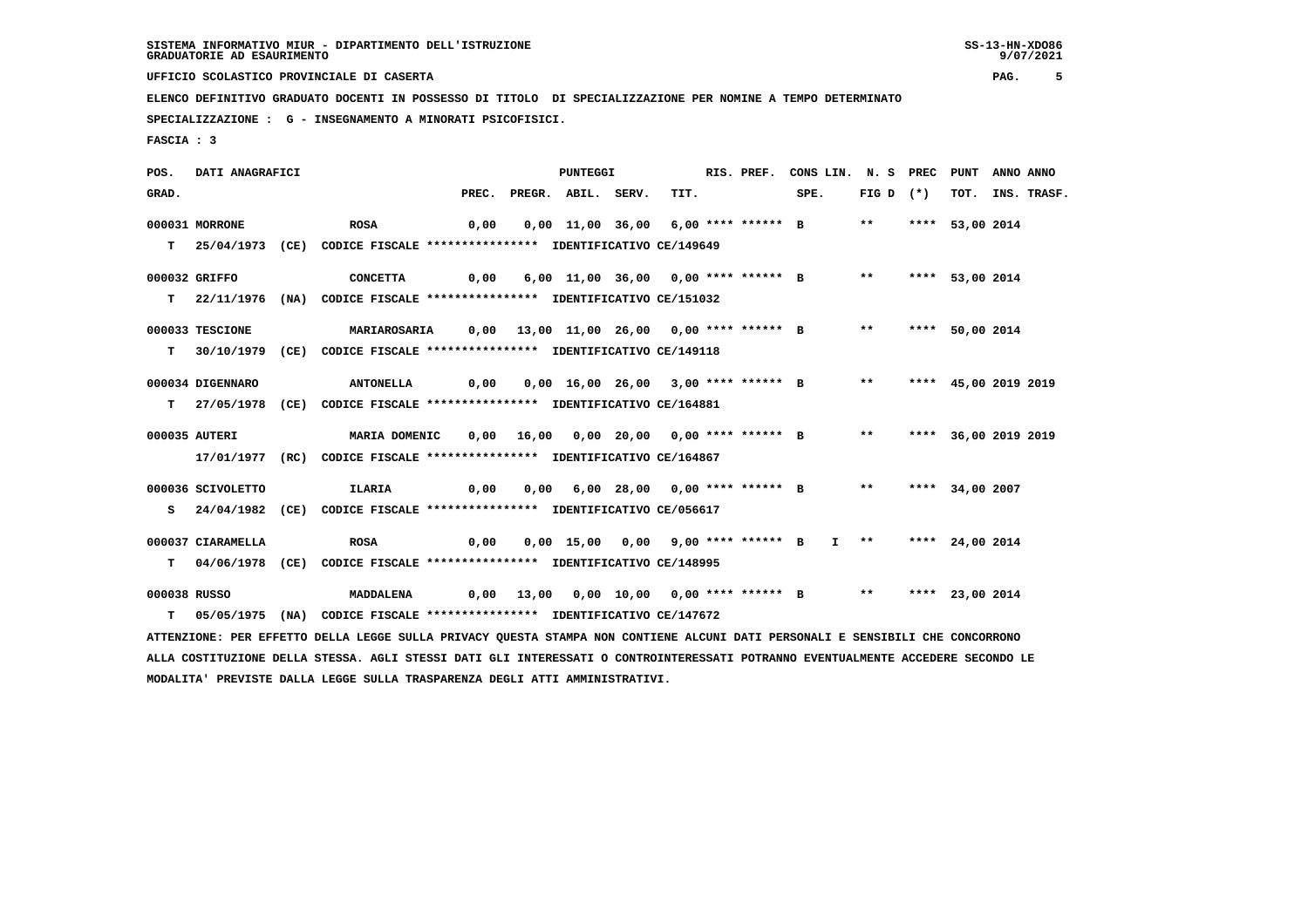**UFFICIO SCOLASTICO PROVINCIALE DI CASERTA PAG. 5**

 **ELENCO DEFINITIVO GRADUATO DOCENTI IN POSSESSO DI TITOLO DI SPECIALIZZAZIONE PER NOMINE A TEMPO DETERMINATO**

 **SPECIALIZZAZIONE : G - INSEGNAMENTO A MINORATI PSICOFISICI.**

 **FASCIA : 3**

 **POS. DATI ANAGRAFICI PUNTEGGI RIS. PREF. CONS LIN. N. S PREC PUNT ANNO ANNO**GRAD. PREC. PREGR. ABIL. SERV. TIT. SPE. FIG D (\*) TOT. INS. TRASF.  **000031 MORRONE ROSA 0,00 0,00 11,00 36,00 6,00 \*\*\*\* \*\*\*\*\*\* B \*\* \*\*\*\* 53,00 2014 T 25/04/1973 (CE) CODICE FISCALE \*\*\*\*\*\*\*\*\*\*\*\*\*\*\*\* IDENTIFICATIVO CE/149649 000032 GRIFFO CONCETTA 0,00 6,00 11,00 36,00 0,00 \*\*\*\* \*\*\*\*\*\* B \*\* \*\*\*\* 53,00 2014 T 22/11/1976 (NA) CODICE FISCALE \*\*\*\*\*\*\*\*\*\*\*\*\*\*\*\* IDENTIFICATIVO CE/151032 000033 TESCIONE MARIAROSARIA 0,00 13,00 11,00 26,00 0,00 \*\*\*\* \*\*\*\*\*\* B \*\* \*\*\*\* 50,00 2014 T 30/10/1979 (CE) CODICE FISCALE \*\*\*\*\*\*\*\*\*\*\*\*\*\*\*\* IDENTIFICATIVO CE/149118 000034 DIGENNARO ANTONELLA 0,00 0,00 16,00 26,00 3,00 \*\*\*\* \*\*\*\*\*\* B \*\* \*\*\*\* 45,00 2019 2019 T 27/05/1978 (CE) CODICE FISCALE \*\*\*\*\*\*\*\*\*\*\*\*\*\*\*\* IDENTIFICATIVO CE/164881 000035 AUTERI MARIA DOMENIC 0,00 16,00 0,00 20,00 0,00 \*\*\*\* \*\*\*\*\*\* B \*\* \*\*\*\* 36,00 2019 2019 17/01/1977 (RC) CODICE FISCALE \*\*\*\*\*\*\*\*\*\*\*\*\*\*\*\* IDENTIFICATIVO CE/164867 000036 SCIVOLETTO ILARIA 0,00 0,00 6,00 28,00 0,00 \*\*\*\* \*\*\*\*\*\* B \*\* \*\*\*\* 34,00 2007 S 24/04/1982 (CE) CODICE FISCALE \*\*\*\*\*\*\*\*\*\*\*\*\*\*\*\* IDENTIFICATIVO CE/056617 000037 CIARAMELLA ROSA 0,00 0,00 15,00 0,00 9,00 \*\*\*\* \*\*\*\*\*\* B I \*\* \*\*\*\* 24,00 2014 T 04/06/1978 (CE) CODICE FISCALE \*\*\*\*\*\*\*\*\*\*\*\*\*\*\*\* IDENTIFICATIVO CE/148995 000038 RUSSO MADDALENA 0,00 13,00 0,00 10,00 0,00 \*\*\*\* \*\*\*\*\*\* B \*\* \*\*\*\* 23,00 2014 T 05/05/1975 (NA) CODICE FISCALE \*\*\*\*\*\*\*\*\*\*\*\*\*\*\*\* IDENTIFICATIVO CE/147672 ATTENZIONE: PER EFFETTO DELLA LEGGE SULLA PRIVACY QUESTA STAMPA NON CONTIENE ALCUNI DATI PERSONALI E SENSIBILI CHE CONCORRONO ALLA COSTITUZIONE DELLA STESSA. AGLI STESSI DATI GLI INTERESSATI O CONTROINTERESSATI POTRANNO EVENTUALMENTE ACCEDERE SECONDO LE MODALITA' PREVISTE DALLA LEGGE SULLA TRASPARENZA DEGLI ATTI AMMINISTRATIVI.**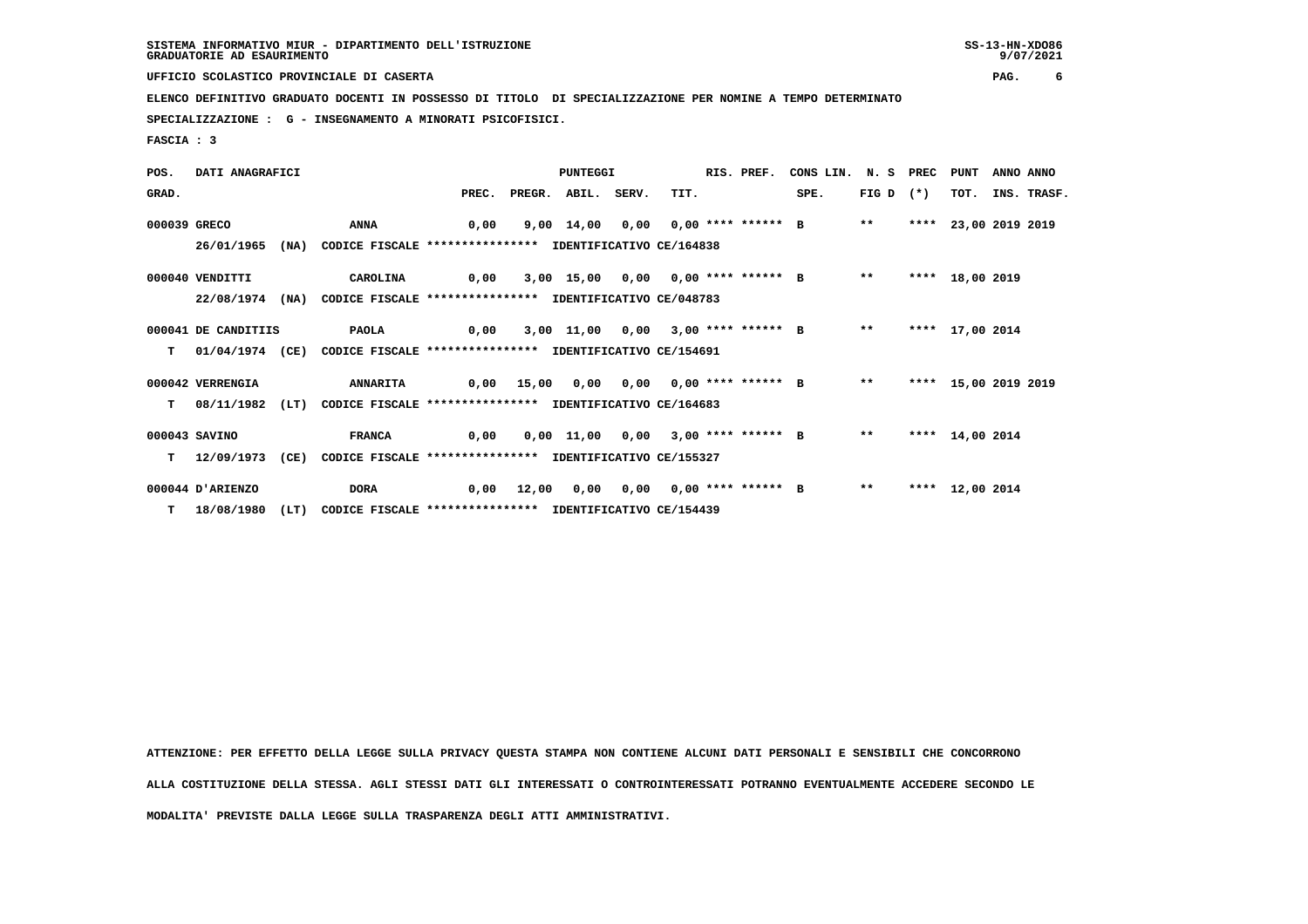**UFFICIO SCOLASTICO PROVINCIALE DI CASERTA PAG. 6**

 **ELENCO DEFINITIVO GRADUATO DOCENTI IN POSSESSO DI TITOLO DI SPECIALIZZAZIONE PER NOMINE A TEMPO DETERMINATO**

 **SPECIALIZZAZIONE : G - INSEGNAMENTO A MINORATI PSICOFISICI.**

 **FASCIA : 3**

| POS.         | DATI ANAGRAFICI     |      |                                                          |       |       | <b>PUNTEGGI</b>    |      | RIS. PREF. | CONS LIN. N. S PREC                        |               | PUNT                 | ANNO ANNO |                  |
|--------------|---------------------|------|----------------------------------------------------------|-------|-------|--------------------|------|------------|--------------------------------------------|---------------|----------------------|-----------|------------------|
| GRAD.        |                     |      |                                                          | PREC. |       | PREGR. ABIL. SERV. | TIT. |            | SPE.                                       | FIG D $(*)$   |                      |           | TOT. INS. TRASF. |
| 000039 GRECO |                     |      | <b>ANNA</b>                                              | 0,00  |       |                    |      |            | 9,00 14,00 0,00 0,00 **** ****** B         | $* *$         | **** 23,00 2019 2019 |           |                  |
|              | 26/01/1965          | (NA) | CODICE FISCALE **************** IDENTIFICATIVO CE/164838 |       |       |                    |      |            |                                            |               |                      |           |                  |
|              | 000040 VENDITTI     |      | CAROLINA                                                 | 0,00  |       |                    |      |            | 3,00 15,00 0,00 0,00 **** ****** B         | $***$         | **** 18,00 2019      |           |                  |
|              | 22/08/1974          | (NA) | CODICE FISCALE **************** IDENTIFICATIVO CE/048783 |       |       |                    |      |            |                                            |               |                      |           |                  |
|              | 000041 DE CANDITIIS |      | <b>PAOLA</b>                                             | 0,00  |       |                    |      |            | 3,00 11,00 0,00 3,00 **** ****** B         | $\star \star$ | **** 17,00 2014      |           |                  |
| T.           | 01/04/1974 (CE)     |      | CODICE FISCALE **************** IDENTIFICATIVO CE/154691 |       |       |                    |      |            |                                            |               |                      |           |                  |
|              | 000042 VERRENGIA    |      | <b>ANNARITA</b>                                          |       |       |                    |      |            | 0,00 15,00 0,00 0,00 0,00 **** ****** B ** |               | **** 15,00 2019 2019 |           |                  |
| т            | 08/11/1982 (LT)     |      | CODICE FISCALE **************** IDENTIFICATIVO CE/164683 |       |       |                    |      |            |                                            |               |                      |           |                  |
|              | 000043 SAVINO       |      | <b>FRANCA</b>                                            | 0,00  |       |                    |      |            | 0,00 11,00 0,00 3,00 **** ****** B         | $***$         | **** 14,00 2014      |           |                  |
| т            | 12/09/1973          | (CE) | CODICE FISCALE **************** IDENTIFICATIVO CE/155327 |       |       |                    |      |            |                                            |               |                      |           |                  |
|              | 000044 D'ARIENZO    |      | <b>DORA</b>                                              | 0,00  | 12,00 |                    |      |            |                                            | $***$         | **** 12,00 2014      |           |                  |
|              | $T = 18/08/1980$    | (LT) | CODICE FISCALE **************** IDENTIFICATIVO CE/154439 |       |       |                    |      |            |                                            |               |                      |           |                  |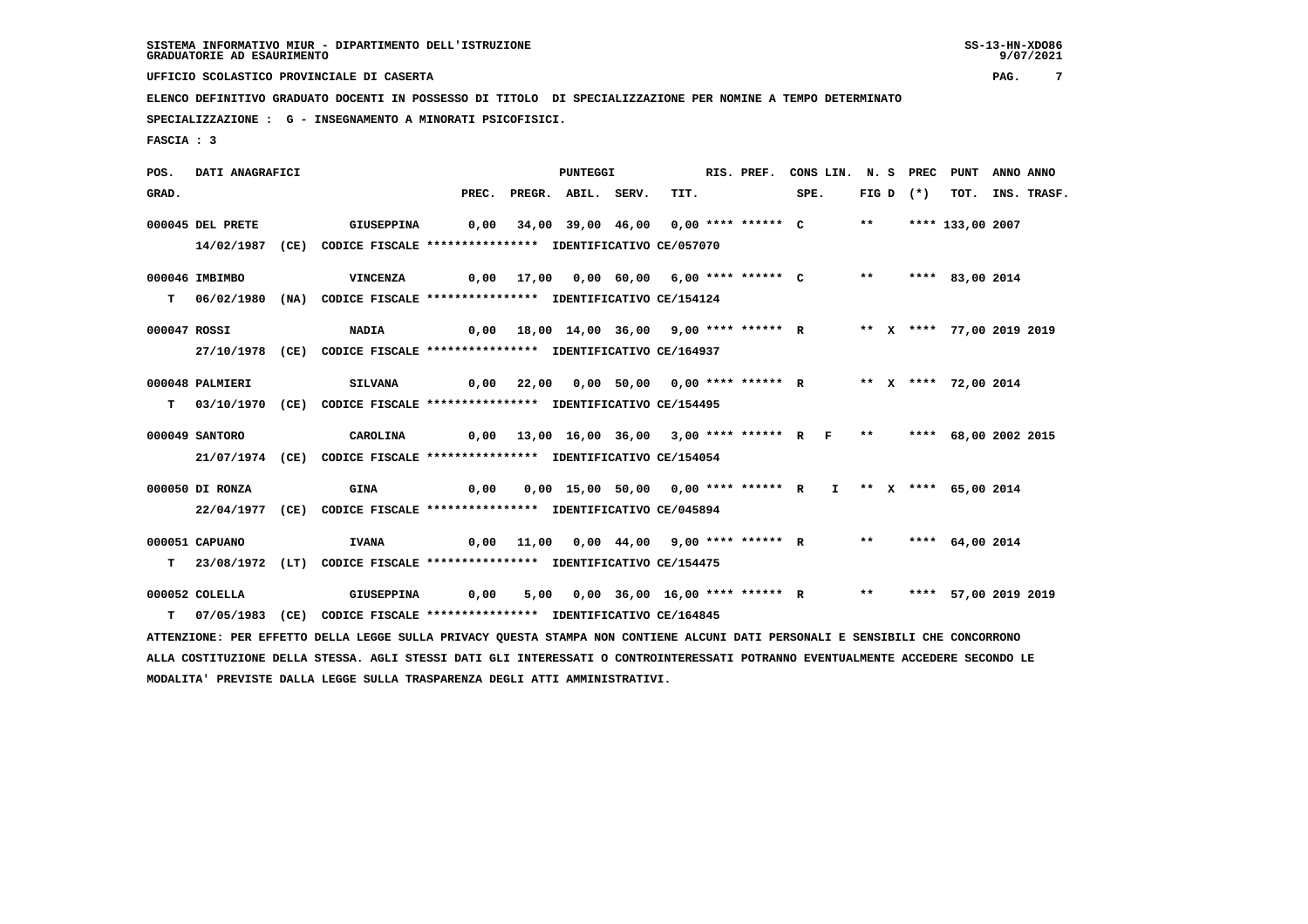**UFFICIO SCOLASTICO PROVINCIALE DI CASERTA PAG. 7**

 **ELENCO DEFINITIVO GRADUATO DOCENTI IN POSSESSO DI TITOLO DI SPECIALIZZAZIONE PER NOMINE A TEMPO DETERMINATO**

 **SPECIALIZZAZIONE : G - INSEGNAMENTO A MINORATI PSICOFISICI.**

 **FASCIA : 3**

 **POS. DATI ANAGRAFICI PUNTEGGI RIS. PREF. CONS LIN. N. S PREC PUNT ANNO ANNO**GRAD. PREC. PREGR. ABIL. SERV. TIT. SPE. FIG D (\*) TOT. INS. TRASF.  **000045 DEL PRETE GIUSEPPINA 0,00 34,00 39,00 46,00 0,00 \*\*\*\* \*\*\*\*\*\* C \*\* \*\*\*\* 133,00 2007 14/02/1987 (CE) CODICE FISCALE \*\*\*\*\*\*\*\*\*\*\*\*\*\*\*\* IDENTIFICATIVO CE/057070 000046 IMBIMBO VINCENZA 0,00 17,00 0,00 60,00 6,00 \*\*\*\* \*\*\*\*\*\* C \*\* \*\*\*\* 83,00 2014 T 06/02/1980 (NA) CODICE FISCALE \*\*\*\*\*\*\*\*\*\*\*\*\*\*\*\* IDENTIFICATIVO CE/154124 000047 ROSSI NADIA 0,00 18,00 14,00 36,00 9,00 \*\*\*\* \*\*\*\*\*\* R \*\* X \*\*\*\* 77,00 2019 2019 27/10/1978 (CE) CODICE FISCALE \*\*\*\*\*\*\*\*\*\*\*\*\*\*\*\* IDENTIFICATIVO CE/164937 000048 PALMIERI SILVANA 0,00 22,00 0,00 50,00 0,00 \*\*\*\* \*\*\*\*\*\* R \*\* X \*\*\*\* 72,00 2014 T 03/10/1970 (CE) CODICE FISCALE \*\*\*\*\*\*\*\*\*\*\*\*\*\*\*\* IDENTIFICATIVO CE/154495 000049 SANTORO CAROLINA 0,00 13,00 16,00 36,00 3,00 \*\*\*\* \*\*\*\*\*\* R F \*\* \*\*\*\* 68,00 2002 2015 21/07/1974 (CE) CODICE FISCALE \*\*\*\*\*\*\*\*\*\*\*\*\*\*\*\* IDENTIFICATIVO CE/154054 000050 DI RONZA GINA 0,00 0,00 15,00 50,00 0,00 \*\*\*\* \*\*\*\*\*\* R I \*\* X \*\*\*\* 65,00 2014 22/04/1977 (CE) CODICE FISCALE \*\*\*\*\*\*\*\*\*\*\*\*\*\*\*\* IDENTIFICATIVO CE/045894 000051 CAPUANO IVANA 0,00 11,00 0,00 44,00 9,00 \*\*\*\* \*\*\*\*\*\* R \*\* \*\*\*\* 64,00 2014 T 23/08/1972 (LT) CODICE FISCALE \*\*\*\*\*\*\*\*\*\*\*\*\*\*\*\* IDENTIFICATIVO CE/154475 000052 COLELLA GIUSEPPINA 0,00 5,00 0,00 36,00 16,00 \*\*\*\* \*\*\*\*\*\* R \*\* \*\*\*\* 57,00 2019 2019 T 07/05/1983 (CE) CODICE FISCALE \*\*\*\*\*\*\*\*\*\*\*\*\*\*\*\* IDENTIFICATIVO CE/164845 ATTENZIONE: PER EFFETTO DELLA LEGGE SULLA PRIVACY QUESTA STAMPA NON CONTIENE ALCUNI DATI PERSONALI E SENSIBILI CHE CONCORRONO ALLA COSTITUZIONE DELLA STESSA. AGLI STESSI DATI GLI INTERESSATI O CONTROINTERESSATI POTRANNO EVENTUALMENTE ACCEDERE SECONDO LE MODALITA' PREVISTE DALLA LEGGE SULLA TRASPARENZA DEGLI ATTI AMMINISTRATIVI.**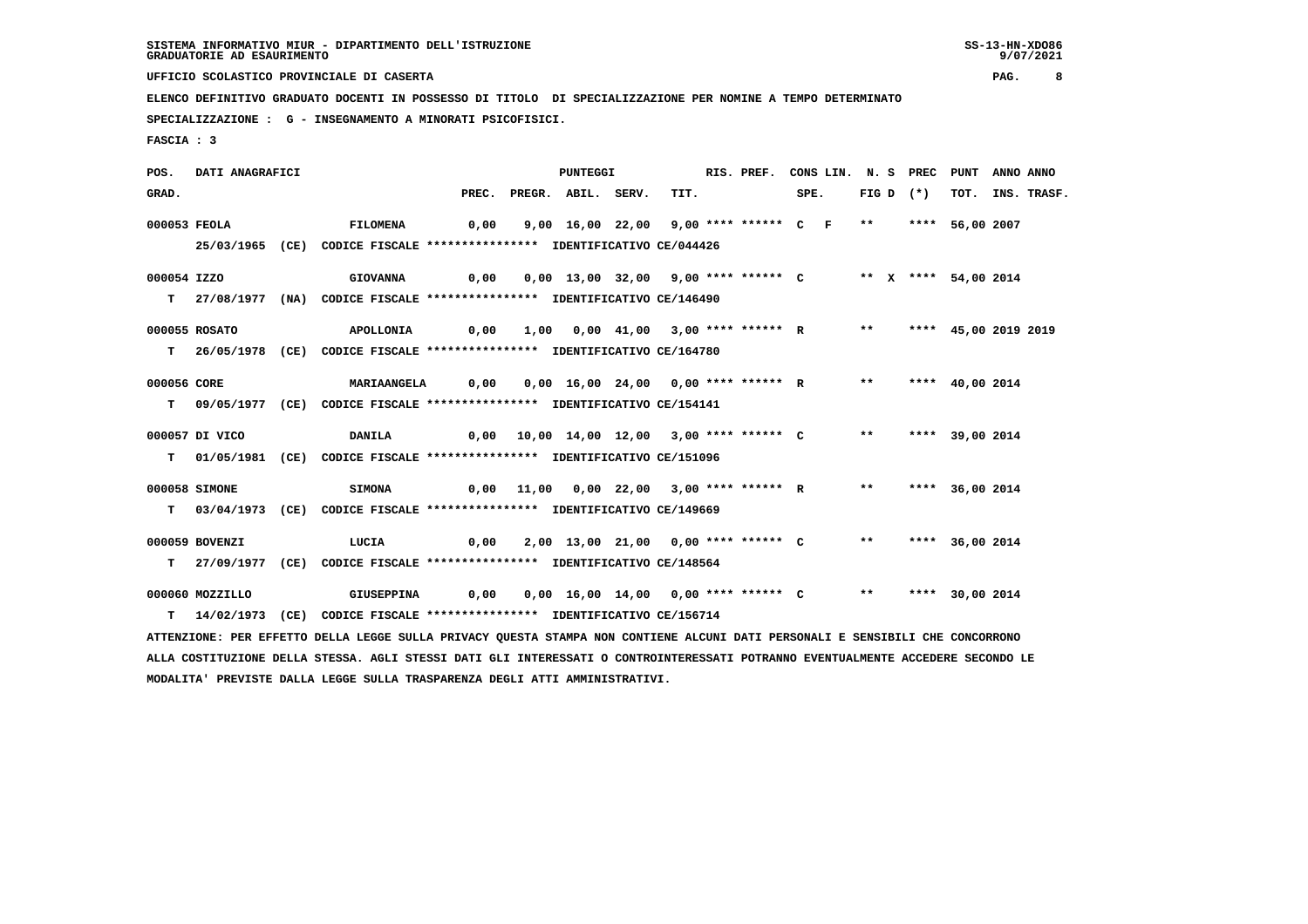**UFFICIO SCOLASTICO PROVINCIALE DI CASERTA PAG. 8**

 **ELENCO DEFINITIVO GRADUATO DOCENTI IN POSSESSO DI TITOLO DI SPECIALIZZAZIONE PER NOMINE A TEMPO DETERMINATO**

 **SPECIALIZZAZIONE : G - INSEGNAMENTO A MINORATI PSICOFISICI.**

 **MODALITA' PREVISTE DALLA LEGGE SULLA TRASPARENZA DEGLI ATTI AMMINISTRATIVI.**

 **FASCIA : 3**

 **POS. DATI ANAGRAFICI PUNTEGGI RIS. PREF. CONS LIN. N. S PREC PUNT ANNO ANNO**GRAD. PREC. PREGR. ABIL. SERV. TIT. SPE. FIG D (\*) TOT. INS. TRASF.  **000053 FEOLA FILOMENA 0,00 9,00 16,00 22,00 9,00 \*\*\*\* \*\*\*\*\*\* C F \*\* \*\*\*\* 56,00 2007 25/03/1965 (CE) CODICE FISCALE \*\*\*\*\*\*\*\*\*\*\*\*\*\*\*\* IDENTIFICATIVO CE/044426 000054 IZZO GIOVANNA 0,00 0,00 13,00 32,00 9,00 \*\*\*\* \*\*\*\*\*\* C \*\* X \*\*\*\* 54,00 2014 T 27/08/1977 (NA) CODICE FISCALE \*\*\*\*\*\*\*\*\*\*\*\*\*\*\*\* IDENTIFICATIVO CE/146490 000055 ROSATO APOLLONIA 0,00 1,00 0,00 41,00 3,00 \*\*\*\* \*\*\*\*\*\* R \*\* \*\*\*\* 45,00 2019 2019 T 26/05/1978 (CE) CODICE FISCALE \*\*\*\*\*\*\*\*\*\*\*\*\*\*\*\* IDENTIFICATIVO CE/164780 000056 CORE MARIAANGELA 0,00 0,00 16,00 24,00 0,00 \*\*\*\* \*\*\*\*\*\* R \*\* \*\*\*\* 40,00 2014 T 09/05/1977 (CE) CODICE FISCALE \*\*\*\*\*\*\*\*\*\*\*\*\*\*\*\* IDENTIFICATIVO CE/154141 000057 DI VICO DANILA 0,00 10,00 14,00 12,00 3,00 \*\*\*\* \*\*\*\*\*\* C \*\* \*\*\*\* 39,00 2014 T 01/05/1981 (CE) CODICE FISCALE \*\*\*\*\*\*\*\*\*\*\*\*\*\*\*\* IDENTIFICATIVO CE/151096 000058 SIMONE SIMONA 0,00 11,00 0,00 22,00 3,00 \*\*\*\* \*\*\*\*\*\* R \*\* \*\*\*\* 36,00 2014 T 03/04/1973 (CE) CODICE FISCALE \*\*\*\*\*\*\*\*\*\*\*\*\*\*\*\* IDENTIFICATIVO CE/149669 000059 BOVENZI LUCIA 0,00 2,00 13,00 21,00 0,00 \*\*\*\* \*\*\*\*\*\* C \*\* \*\*\*\* 36,00 2014 T 27/09/1977 (CE) CODICE FISCALE \*\*\*\*\*\*\*\*\*\*\*\*\*\*\*\* IDENTIFICATIVO CE/148564 000060 MOZZILLO GIUSEPPINA 0,00 0,00 16,00 14,00 0,00 \*\*\*\* \*\*\*\*\*\* C \*\* \*\*\*\* 30,00 2014 T 14/02/1973 (CE) CODICE FISCALE \*\*\*\*\*\*\*\*\*\*\*\*\*\*\*\* IDENTIFICATIVO CE/156714 ATTENZIONE: PER EFFETTO DELLA LEGGE SULLA PRIVACY QUESTA STAMPA NON CONTIENE ALCUNI DATI PERSONALI E SENSIBILI CHE CONCORRONO ALLA COSTITUZIONE DELLA STESSA. AGLI STESSI DATI GLI INTERESSATI O CONTROINTERESSATI POTRANNO EVENTUALMENTE ACCEDERE SECONDO LE**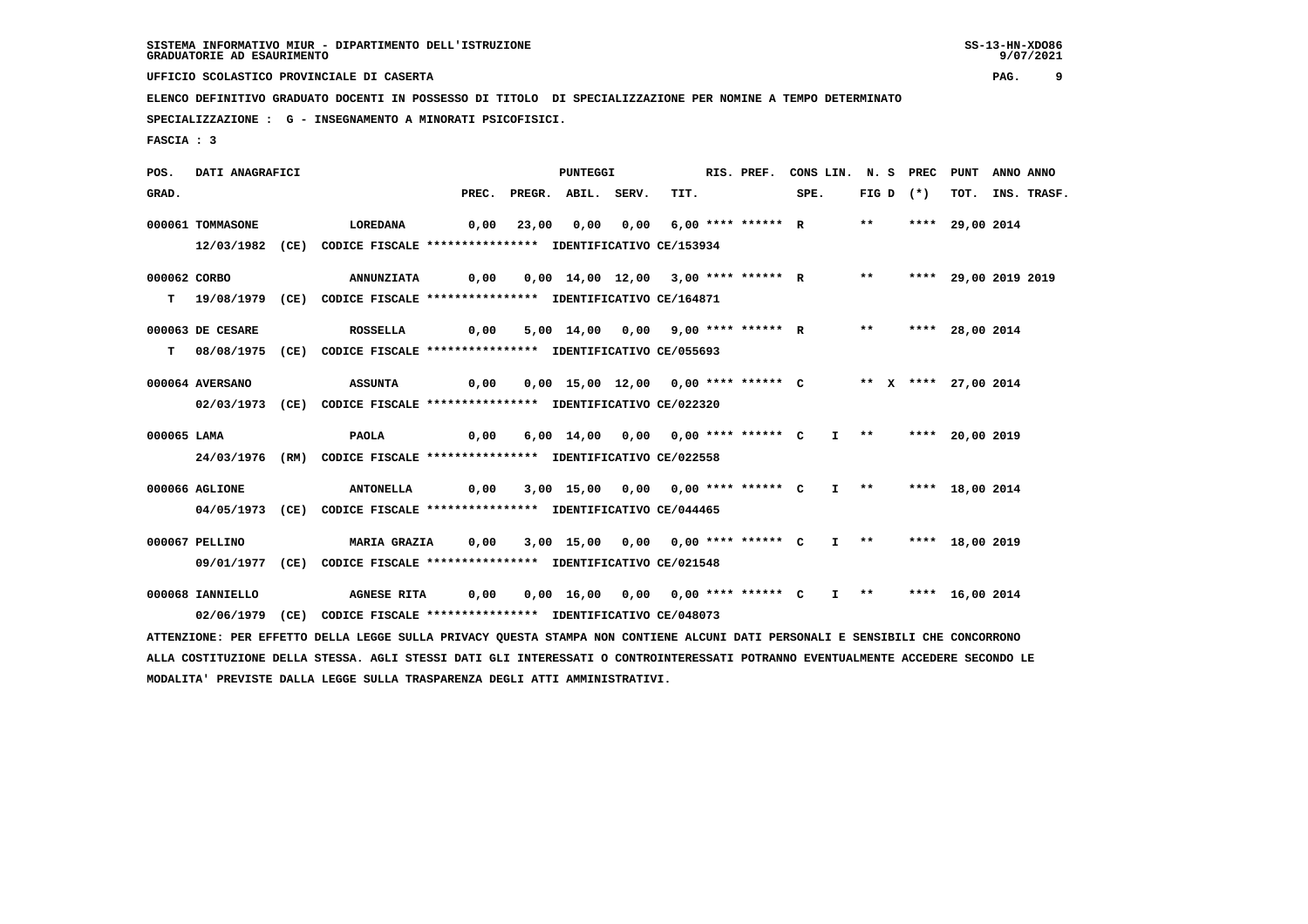**UFFICIO SCOLASTICO PROVINCIALE DI CASERTA PAG. 9**

 **ELENCO DEFINITIVO GRADUATO DOCENTI IN POSSESSO DI TITOLO DI SPECIALIZZAZIONE PER NOMINE A TEMPO DETERMINATO**

 **SPECIALIZZAZIONE : G - INSEGNAMENTO A MINORATI PSICOFISICI.**

 **FASCIA : 3**

 **POS. DATI ANAGRAFICI PUNTEGGI RIS. PREF. CONS LIN. N. S PREC PUNT ANNO ANNO**GRAD. PREC. PREGR. ABIL. SERV. TIT. SPE. FIG D (\*) TOT. INS. TRASF.  **000061 TOMMASONE LOREDANA 0,00 23,00 0,00 0,00 6,00 \*\*\*\* \*\*\*\*\*\* R \*\* \*\*\*\* 29,00 2014 12/03/1982 (CE) CODICE FISCALE \*\*\*\*\*\*\*\*\*\*\*\*\*\*\*\* IDENTIFICATIVO CE/153934 000062 CORBO ANNUNZIATA 0,00 0,00 14,00 12,00 3,00 \*\*\*\* \*\*\*\*\*\* R \*\* \*\*\*\* 29,00 2019 2019 T 19/08/1979 (CE) CODICE FISCALE \*\*\*\*\*\*\*\*\*\*\*\*\*\*\*\* IDENTIFICATIVO CE/164871 000063 DE CESARE ROSSELLA 0,00 5,00 14,00 0,00 9,00 \*\*\*\* \*\*\*\*\*\* R \*\* \*\*\*\* 28,00 2014 T 08/08/1975 (CE) CODICE FISCALE \*\*\*\*\*\*\*\*\*\*\*\*\*\*\*\* IDENTIFICATIVO CE/055693 000064 AVERSANO ASSUNTA 0,00 0,00 15,00 12,00 0,00 \*\*\*\* \*\*\*\*\*\* C \*\* X \*\*\*\* 27,00 2014 02/03/1973 (CE) CODICE FISCALE \*\*\*\*\*\*\*\*\*\*\*\*\*\*\*\* IDENTIFICATIVO CE/022320 000065 LAMA PAOLA 0,00 6,00 14,00 0,00 0,00 \*\*\*\* \*\*\*\*\*\* C I \*\* \*\*\*\* 20,00 2019 24/03/1976 (RM) CODICE FISCALE \*\*\*\*\*\*\*\*\*\*\*\*\*\*\*\* IDENTIFICATIVO CE/022558 000066 AGLIONE ANTONELLA 0,00 3,00 15,00 0,00 0,00 \*\*\*\* \*\*\*\*\*\* C I \*\* \*\*\*\* 18,00 2014 04/05/1973 (CE) CODICE FISCALE \*\*\*\*\*\*\*\*\*\*\*\*\*\*\*\* IDENTIFICATIVO CE/044465 000067 PELLINO MARIA GRAZIA 0,00 3,00 15,00 0,00 0,00 \*\*\*\* \*\*\*\*\*\* C I \*\* \*\*\*\* 18,00 2019 09/01/1977 (CE) CODICE FISCALE \*\*\*\*\*\*\*\*\*\*\*\*\*\*\*\* IDENTIFICATIVO CE/021548 000068 IANNIELLO AGNESE RITA 0,00 0,00 16,00 0,00 0,00 \*\*\*\* \*\*\*\*\*\* C I \*\* \*\*\*\* 16,00 2014 02/06/1979 (CE) CODICE FISCALE \*\*\*\*\*\*\*\*\*\*\*\*\*\*\*\* IDENTIFICATIVO CE/048073 ATTENZIONE: PER EFFETTO DELLA LEGGE SULLA PRIVACY QUESTA STAMPA NON CONTIENE ALCUNI DATI PERSONALI E SENSIBILI CHE CONCORRONO ALLA COSTITUZIONE DELLA STESSA. AGLI STESSI DATI GLI INTERESSATI O CONTROINTERESSATI POTRANNO EVENTUALMENTE ACCEDERE SECONDO LE**

 **MODALITA' PREVISTE DALLA LEGGE SULLA TRASPARENZA DEGLI ATTI AMMINISTRATIVI.**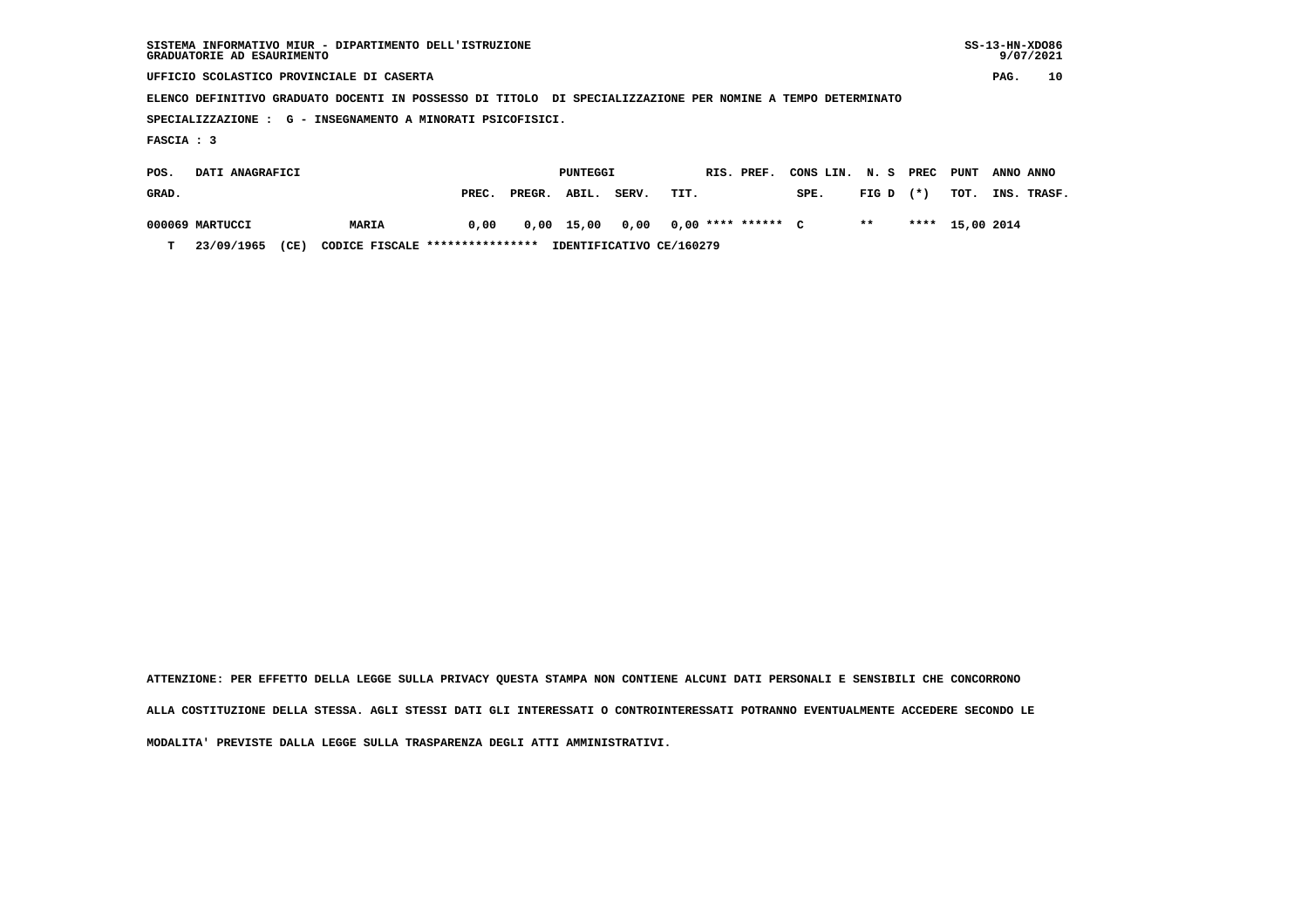| SISTEMA INFORMATIVO MIUR - DIPARTIMENTO DELL'ISTRUZIONE<br>GRADUATORIE AD ESAURIMENTO                       |                        |  |  |  |  |  |  |  |
|-------------------------------------------------------------------------------------------------------------|------------------------|--|--|--|--|--|--|--|
| UFFICIO SCOLASTICO PROVINCIALE DI CASERTA                                                                   | 10<br>PAG.             |  |  |  |  |  |  |  |
| ELENCO DEFINITIVO GRADUATO DOCENTI IN POSSESSO DI TITOLO DI SPECIALIZZAZIONE PER NOMINE A TEMPO DETERMINATO |                        |  |  |  |  |  |  |  |
| SPECIALIZZAZIONE : G - INSEGNAMENTO A MINORATI PSICOFISICI.                                                 |                        |  |  |  |  |  |  |  |
| FASCIA : 3                                                                                                  |                        |  |  |  |  |  |  |  |
| DATI ANAGRAFICI<br>PUNTEGGI<br>RIS. PREF.<br>PREC<br>CONS LIN.<br>N. S<br>POS.                              | PUNT<br>ANNO ANNO      |  |  |  |  |  |  |  |
| PREGR.<br>$(* )$<br>GRAD.<br>SERV.<br>FIG D<br>ABIL.<br>TIT.<br>SPE.<br>PREC.                               | TOT.<br>INS.<br>TRASF. |  |  |  |  |  |  |  |

| POS.  | DATI ANAGRAFICI |      |                                 |       | PUNTEGGI     |       |                                    | RIS. PREF. | CONS LIN. N. S PREC |             | PUNT ANNO ANNO  |  |
|-------|-----------------|------|---------------------------------|-------|--------------|-------|------------------------------------|------------|---------------------|-------------|-----------------|--|
| GRAD. |                 |      |                                 | PREC. | PREGR. ABIL. | SERV. | TIT.                               |            | SPE.                | $FIG D (*)$ | TOT. INS. TRASI |  |
|       | 000069 MARTUCCI |      | MARIA                           | 0,00  |              |       | 0,00 15,00 0,00 0,00 **** ****** C |            |                     | $***$       | **** 15,00 2014 |  |
| т     | 23/09/1965      | (CE) | CODICE FISCALE **************** |       |              |       | IDENTIFICATIVO CE/160279           |            |                     |             |                 |  |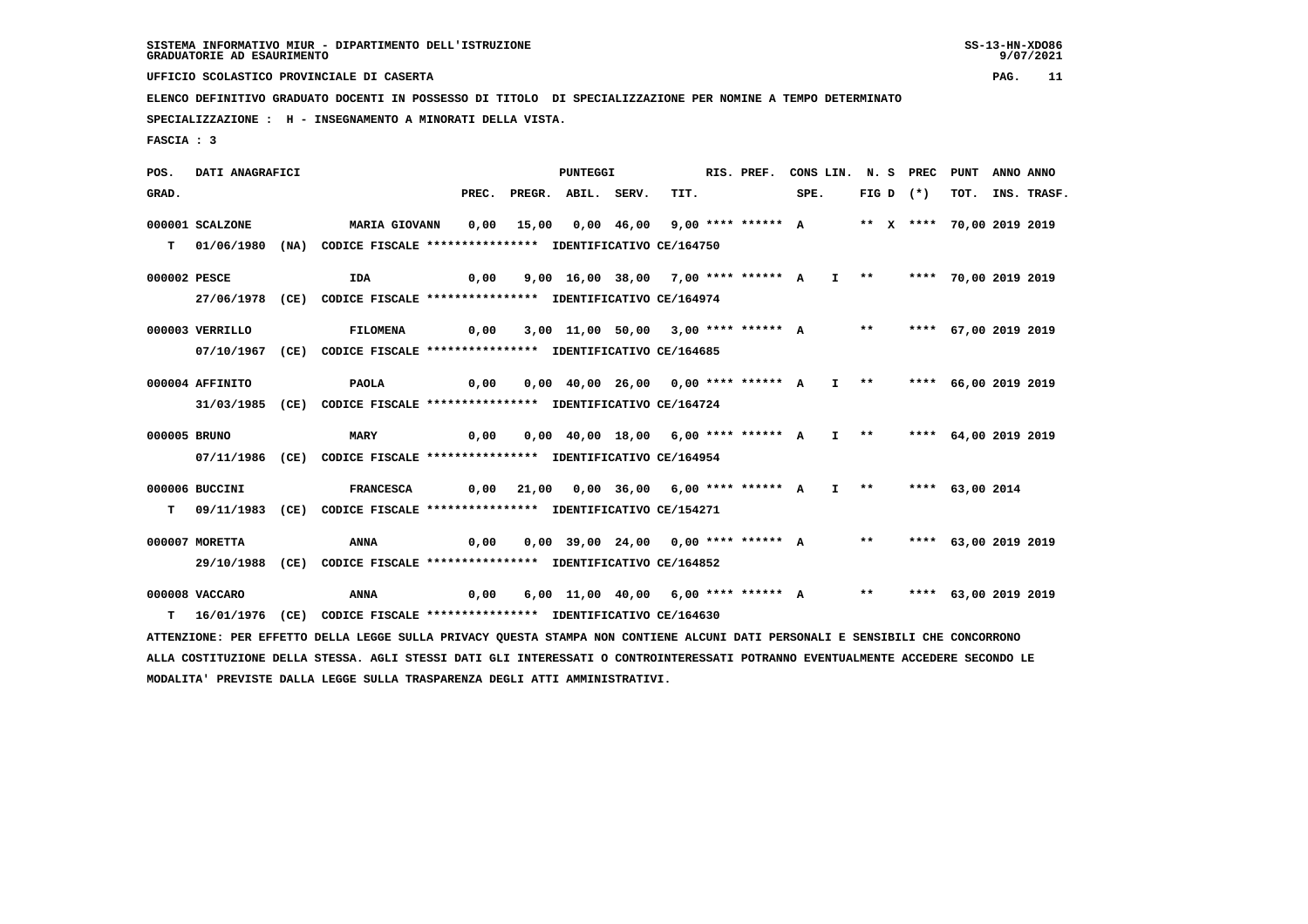**UFFICIO SCOLASTICO PROVINCIALE DI CASERTA PAG. 11**

 **ELENCO DEFINITIVO GRADUATO DOCENTI IN POSSESSO DI TITOLO DI SPECIALIZZAZIONE PER NOMINE A TEMPO DETERMINATO**

 **SPECIALIZZAZIONE : H - INSEGNAMENTO A MINORATI DELLA VISTA.**

 **FASCIA : 3**

 **POS. DATI ANAGRAFICI PUNTEGGI RIS. PREF. CONS LIN. N. S PREC PUNT ANNO ANNO**GRAD. PREC. PREGR. ABIL. SERV. TIT. SPE. FIG D (\*) TOT. INS. TRASF.  **000001 SCALZONE MARIA GIOVANN 0,00 15,00 0,00 46,00 9,00 \*\*\*\* \*\*\*\*\*\* A \*\* X \*\*\*\* 70,00 2019 2019 T 01/06/1980 (NA) CODICE FISCALE \*\*\*\*\*\*\*\*\*\*\*\*\*\*\*\* IDENTIFICATIVO CE/164750 000002 PESCE IDA 0,00 9,00 16,00 38,00 7,00 \*\*\*\* \*\*\*\*\*\* A I \*\* \*\*\*\* 70,00 2019 2019 27/06/1978 (CE) CODICE FISCALE \*\*\*\*\*\*\*\*\*\*\*\*\*\*\*\* IDENTIFICATIVO CE/164974 000003 VERRILLO FILOMENA 0,00 3,00 11,00 50,00 3,00 \*\*\*\* \*\*\*\*\*\* A \*\* \*\*\*\* 67,00 2019 2019 07/10/1967 (CE) CODICE FISCALE \*\*\*\*\*\*\*\*\*\*\*\*\*\*\*\* IDENTIFICATIVO CE/164685 000004 AFFINITO PAOLA 0,00 0,00 40,00 26,00 0,00 \*\*\*\* \*\*\*\*\*\* A I \*\* \*\*\*\* 66,00 2019 2019 31/03/1985 (CE) CODICE FISCALE \*\*\*\*\*\*\*\*\*\*\*\*\*\*\*\* IDENTIFICATIVO CE/164724 000005 BRUNO MARY 0,00 0,00 40,00 18,00 6,00 \*\*\*\* \*\*\*\*\*\* A I \*\* \*\*\*\* 64,00 2019 2019 07/11/1986 (CE) CODICE FISCALE \*\*\*\*\*\*\*\*\*\*\*\*\*\*\*\* IDENTIFICATIVO CE/164954 000006 BUCCINI FRANCESCA 0,00 21,00 0,00 36,00 6,00 \*\*\*\* \*\*\*\*\*\* A I \*\* \*\*\*\* 63,00 2014 T 09/11/1983 (CE) CODICE FISCALE \*\*\*\*\*\*\*\*\*\*\*\*\*\*\*\* IDENTIFICATIVO CE/154271 000007 MORETTA ANNA 0,00 0,00 39,00 24,00 0,00 \*\*\*\* \*\*\*\*\*\* A \*\* \*\*\*\* 63,00 2019 2019 29/10/1988 (CE) CODICE FISCALE \*\*\*\*\*\*\*\*\*\*\*\*\*\*\*\* IDENTIFICATIVO CE/164852 000008 VACCARO ANNA 0,00 6,00 11,00 40,00 6,00 \*\*\*\* \*\*\*\*\*\* A \*\* \*\*\*\* 63,00 2019 2019 T 16/01/1976 (CE) CODICE FISCALE \*\*\*\*\*\*\*\*\*\*\*\*\*\*\*\* IDENTIFICATIVO CE/164630 ATTENZIONE: PER EFFETTO DELLA LEGGE SULLA PRIVACY QUESTA STAMPA NON CONTIENE ALCUNI DATI PERSONALI E SENSIBILI CHE CONCORRONO ALLA COSTITUZIONE DELLA STESSA. AGLI STESSI DATI GLI INTERESSATI O CONTROINTERESSATI POTRANNO EVENTUALMENTE ACCEDERE SECONDO LE**

 **MODALITA' PREVISTE DALLA LEGGE SULLA TRASPARENZA DEGLI ATTI AMMINISTRATIVI.**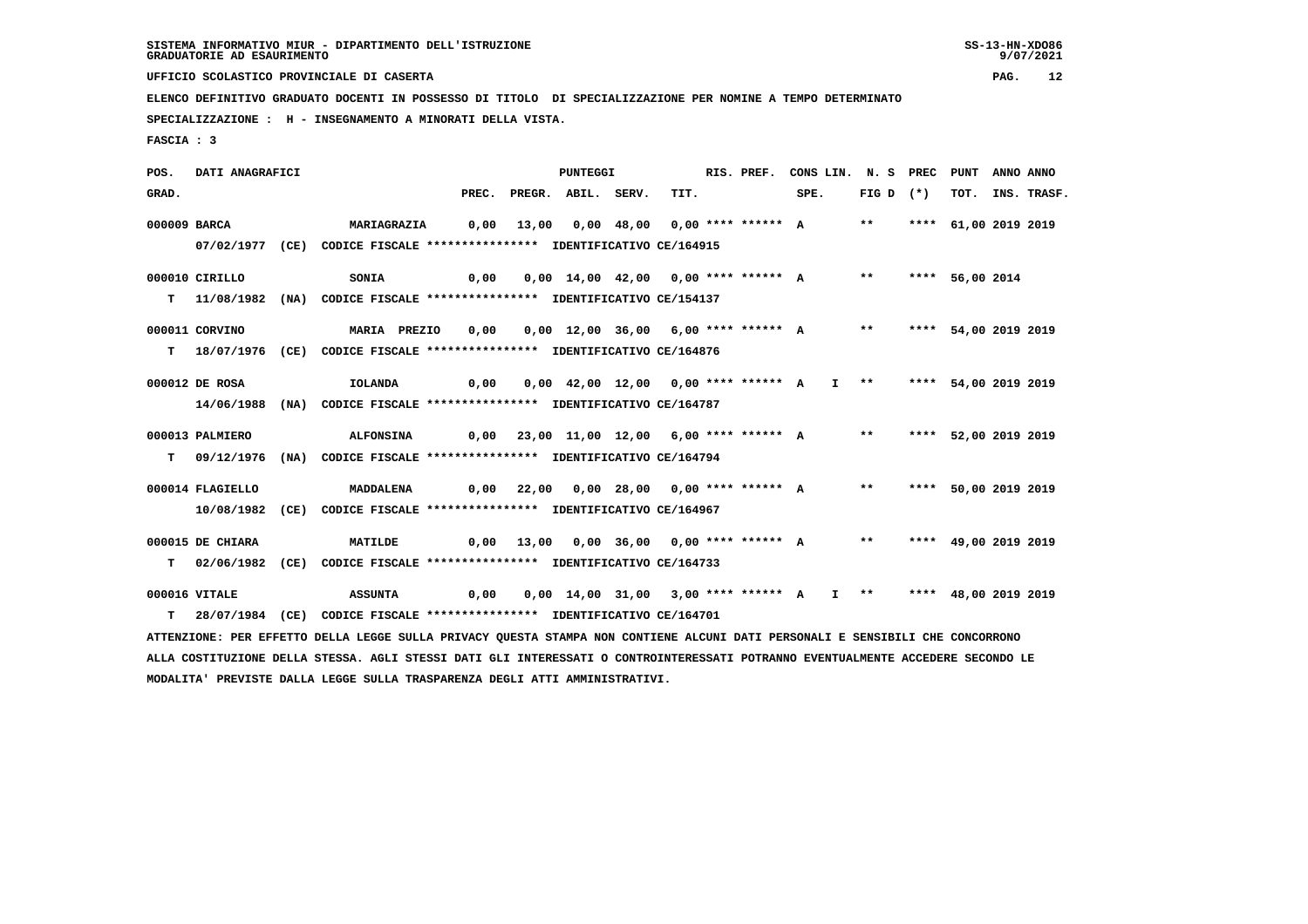**UFFICIO SCOLASTICO PROVINCIALE DI CASERTA PAG. 12**

 **ELENCO DEFINITIVO GRADUATO DOCENTI IN POSSESSO DI TITOLO DI SPECIALIZZAZIONE PER NOMINE A TEMPO DETERMINATO**

 **SPECIALIZZAZIONE : H - INSEGNAMENTO A MINORATI DELLA VISTA.**

 **MODALITA' PREVISTE DALLA LEGGE SULLA TRASPARENZA DEGLI ATTI AMMINISTRATIVI.**

 **FASCIA : 3**

 **POS. DATI ANAGRAFICI PUNTEGGI RIS. PREF. CONS LIN. N. S PREC PUNT ANNO ANNO**GRAD. PREC. PREGR. ABIL. SERV. TIT. SPE. FIG D (\*) TOT. INS. TRASF.  **000009 BARCA MARIAGRAZIA 0,00 13,00 0,00 48,00 0,00 \*\*\*\* \*\*\*\*\*\* A \*\* \*\*\*\* 61,00 2019 2019 07/02/1977 (CE) CODICE FISCALE \*\*\*\*\*\*\*\*\*\*\*\*\*\*\*\* IDENTIFICATIVO CE/164915 000010 CIRILLO SONIA 0,00 0,00 14,00 42,00 0,00 \*\*\*\* \*\*\*\*\*\* A \*\* \*\*\*\* 56,00 2014 T 11/08/1982 (NA) CODICE FISCALE \*\*\*\*\*\*\*\*\*\*\*\*\*\*\*\* IDENTIFICATIVO CE/154137 000011 CORVINO MARIA PREZIO 0,00 0,00 12,00 36,00 6,00 \*\*\*\* \*\*\*\*\*\* A \*\* \*\*\*\* 54,00 2019 2019 T 18/07/1976 (CE) CODICE FISCALE \*\*\*\*\*\*\*\*\*\*\*\*\*\*\*\* IDENTIFICATIVO CE/164876 000012 DE ROSA IOLANDA 0,00 0,00 42,00 12,00 0,00 \*\*\*\* \*\*\*\*\*\* A I \*\* \*\*\*\* 54,00 2019 2019 14/06/1988 (NA) CODICE FISCALE \*\*\*\*\*\*\*\*\*\*\*\*\*\*\*\* IDENTIFICATIVO CE/164787 000013 PALMIERO ALFONSINA 0,00 23,00 11,00 12,00 6,00 \*\*\*\* \*\*\*\*\*\* A \*\* \*\*\*\* 52,00 2019 2019 T 09/12/1976 (NA) CODICE FISCALE \*\*\*\*\*\*\*\*\*\*\*\*\*\*\*\* IDENTIFICATIVO CE/164794 000014 FLAGIELLO MADDALENA 0,00 22,00 0,00 28,00 0,00 \*\*\*\* \*\*\*\*\*\* A \*\* \*\*\*\* 50,00 2019 2019 10/08/1982 (CE) CODICE FISCALE \*\*\*\*\*\*\*\*\*\*\*\*\*\*\*\* IDENTIFICATIVO CE/164967 000015 DE CHIARA MATILDE 0,00 13,00 0,00 36,00 0,00 \*\*\*\* \*\*\*\*\*\* A \*\* \*\*\*\* 49,00 2019 2019 T 02/06/1982 (CE) CODICE FISCALE \*\*\*\*\*\*\*\*\*\*\*\*\*\*\*\* IDENTIFICATIVO CE/164733 000016 VITALE ASSUNTA 0,00 0,00 14,00 31,00 3,00 \*\*\*\* \*\*\*\*\*\* A I \*\* \*\*\*\* 48,00 2019 2019 T 28/07/1984 (CE) CODICE FISCALE \*\*\*\*\*\*\*\*\*\*\*\*\*\*\*\* IDENTIFICATIVO CE/164701 ATTENZIONE: PER EFFETTO DELLA LEGGE SULLA PRIVACY QUESTA STAMPA NON CONTIENE ALCUNI DATI PERSONALI E SENSIBILI CHE CONCORRONO ALLA COSTITUZIONE DELLA STESSA. AGLI STESSI DATI GLI INTERESSATI O CONTROINTERESSATI POTRANNO EVENTUALMENTE ACCEDERE SECONDO LE**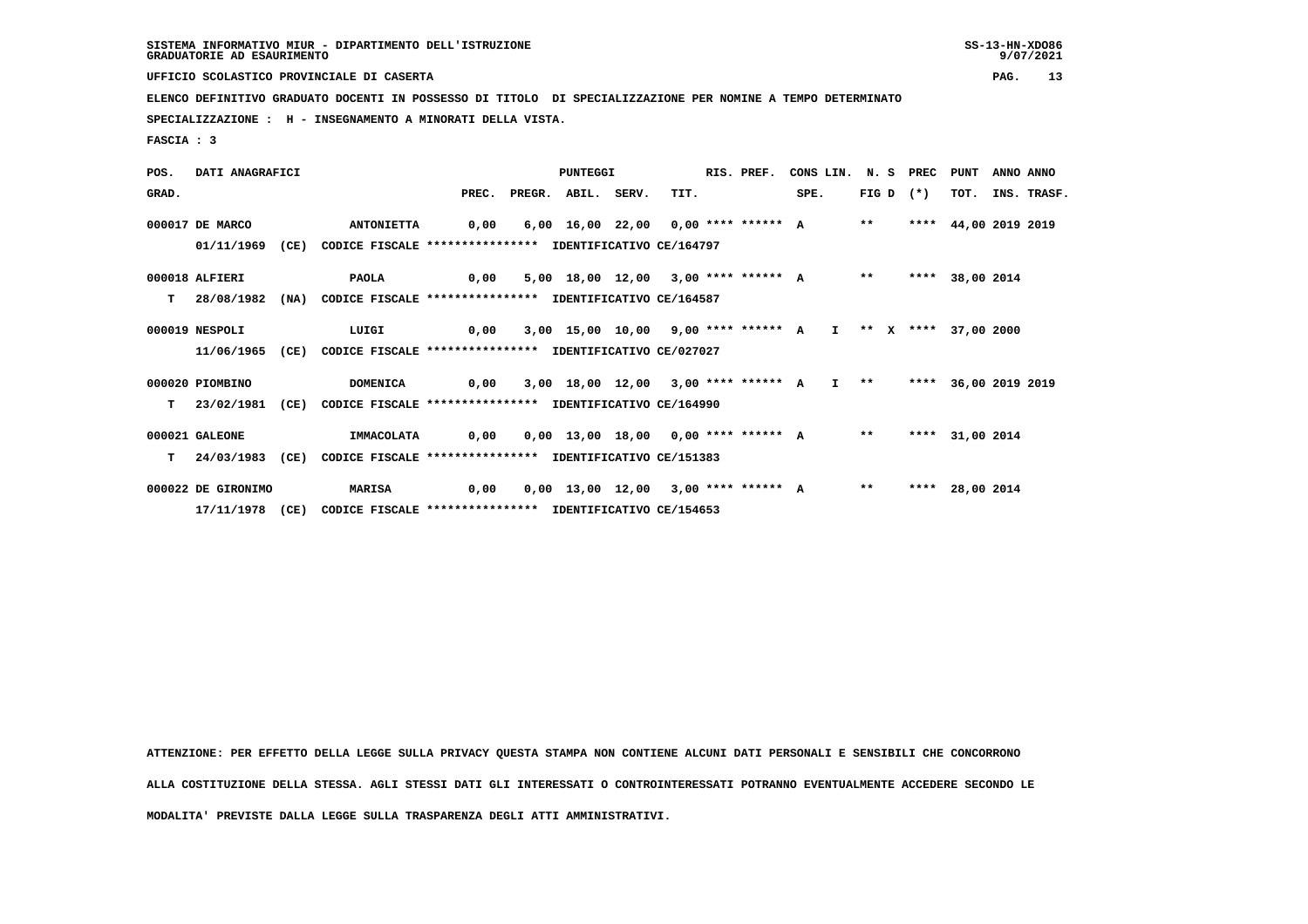**UFFICIO SCOLASTICO PROVINCIALE DI CASERTA PAG. 13**

 **ELENCO DEFINITIVO GRADUATO DOCENTI IN POSSESSO DI TITOLO DI SPECIALIZZAZIONE PER NOMINE A TEMPO DETERMINATO**

 **SPECIALIZZAZIONE : H - INSEGNAMENTO A MINORATI DELLA VISTA.**

 **FASCIA : 3**

 **POS. DATI ANAGRAFICI PUNTEGGI RIS. PREF. CONS LIN. N. S PREC PUNT ANNO ANNO GRAD. PREC. PREGR. ABIL. SERV. TIT. SPE. FIG D (\*) TOT. INS. TRASF. 000017 DE MARCO ANTONIETTA 0,00 6,00 16,00 22,00 0,00 \*\*\*\* \*\*\*\*\*\* A \*\* \*\*\*\* 44,00 2019 2019 01/11/1969 (CE) CODICE FISCALE \*\*\*\*\*\*\*\*\*\*\*\*\*\*\*\* IDENTIFICATIVO CE/164797 000018 ALFIERI PAOLA 0,00 5,00 18,00 12,00 3,00 \*\*\*\* \*\*\*\*\*\* A \*\* \*\*\*\* 38,00 2014 T 28/08/1982 (NA) CODICE FISCALE \*\*\*\*\*\*\*\*\*\*\*\*\*\*\*\* IDENTIFICATIVO CE/164587 000019 NESPOLI LUIGI 0,00 3,00 15,00 10,00 9,00 \*\*\*\* \*\*\*\*\*\* A I \*\* X \*\*\*\* 37,00 2000 11/06/1965 (CE) CODICE FISCALE \*\*\*\*\*\*\*\*\*\*\*\*\*\*\*\* IDENTIFICATIVO CE/027027 000020 PIOMBINO DOMENICA 0,00 3,00 18,00 12,00 3,00 \*\*\*\* \*\*\*\*\*\* A I \*\* \*\*\*\* 36,00 2019 2019 T 23/02/1981 (CE) CODICE FISCALE \*\*\*\*\*\*\*\*\*\*\*\*\*\*\*\* IDENTIFICATIVO CE/164990 000021 GALEONE IMMACOLATA 0,00 0,00 13,00 18,00 0,00 \*\*\*\* \*\*\*\*\*\* A \*\* \*\*\*\* 31,00 2014 T 24/03/1983 (CE) CODICE FISCALE \*\*\*\*\*\*\*\*\*\*\*\*\*\*\*\* IDENTIFICATIVO CE/151383 000022 DE GIRONIMO MARISA 0,00 0,00 13,00 12,00 3,00 \*\*\*\* \*\*\*\*\*\* A \*\* \*\*\*\* 28,00 2014 17/11/1978 (CE) CODICE FISCALE \*\*\*\*\*\*\*\*\*\*\*\*\*\*\*\* IDENTIFICATIVO CE/154653**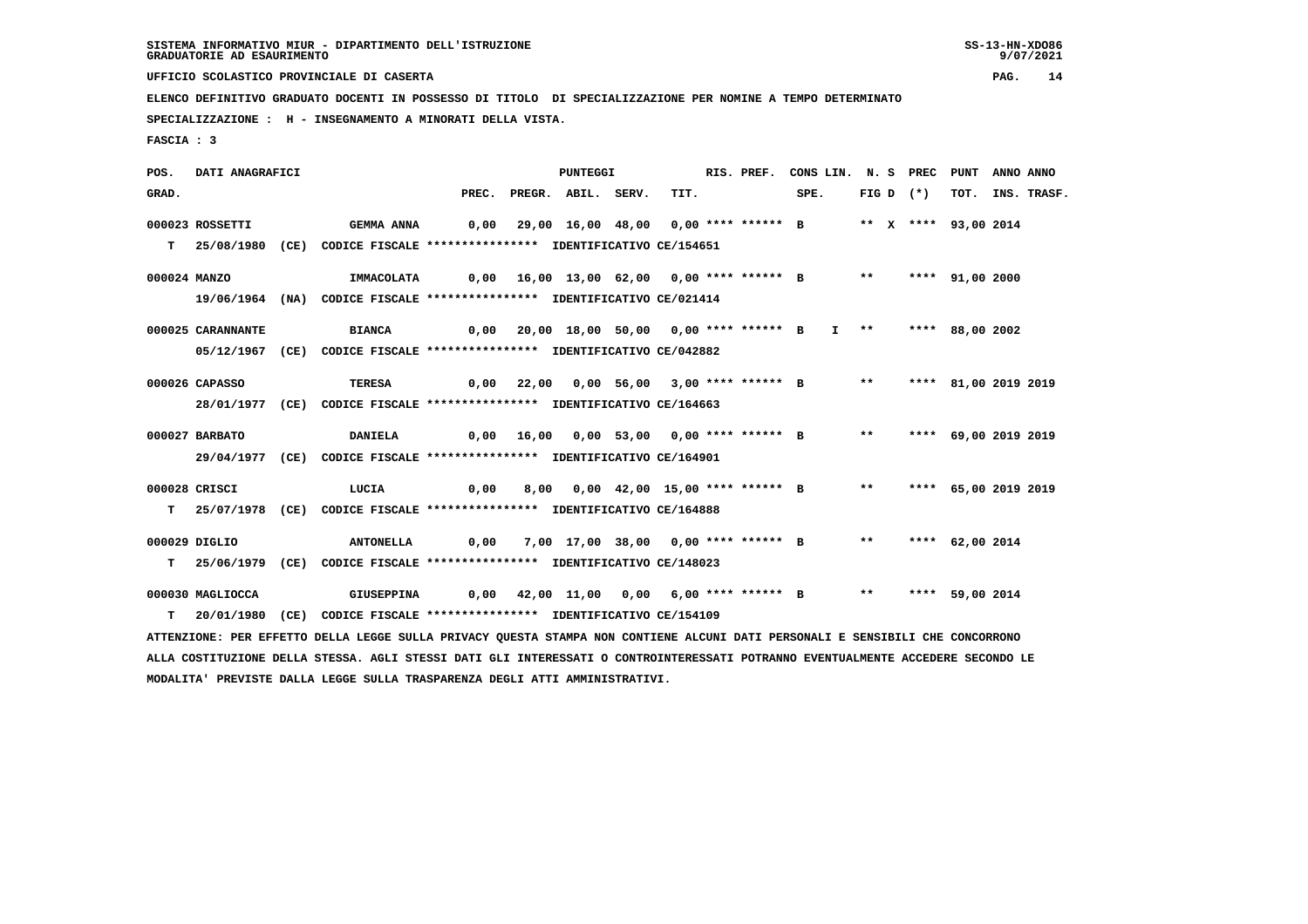**UFFICIO SCOLASTICO PROVINCIALE DI CASERTA PAG. 14**

 **ELENCO DEFINITIVO GRADUATO DOCENTI IN POSSESSO DI TITOLO DI SPECIALIZZAZIONE PER NOMINE A TEMPO DETERMINATO**

 **SPECIALIZZAZIONE : H - INSEGNAMENTO A MINORATI DELLA VISTA.**

 **MODALITA' PREVISTE DALLA LEGGE SULLA TRASPARENZA DEGLI ATTI AMMINISTRATIVI.**

 **FASCIA : 3**

 **POS. DATI ANAGRAFICI PUNTEGGI RIS. PREF. CONS LIN. N. S PREC PUNT ANNO ANNO**GRAD. PREC. PREGR. ABIL. SERV. TIT. SPE. FIG D (\*) TOT. INS. TRASF.  **000023 ROSSETTI GEMMA ANNA 0,00 29,00 16,00 48,00 0,00 \*\*\*\* \*\*\*\*\*\* B \*\* X \*\*\*\* 93,00 2014 T 25/08/1980 (CE) CODICE FISCALE \*\*\*\*\*\*\*\*\*\*\*\*\*\*\*\* IDENTIFICATIVO CE/154651 000024 MANZO IMMACOLATA 0,00 16,00 13,00 62,00 0,00 \*\*\*\* \*\*\*\*\*\* B \*\* \*\*\*\* 91,00 2000 19/06/1964 (NA) CODICE FISCALE \*\*\*\*\*\*\*\*\*\*\*\*\*\*\*\* IDENTIFICATIVO CE/021414 000025 CARANNANTE BIANCA 0,00 20,00 18,00 50,00 0,00 \*\*\*\* \*\*\*\*\*\* B I \*\* \*\*\*\* 88,00 2002 05/12/1967 (CE) CODICE FISCALE \*\*\*\*\*\*\*\*\*\*\*\*\*\*\*\* IDENTIFICATIVO CE/042882 000026 CAPASSO TERESA 0,00 22,00 0,00 56,00 3,00 \*\*\*\* \*\*\*\*\*\* B \*\* \*\*\*\* 81,00 2019 2019 28/01/1977 (CE) CODICE FISCALE \*\*\*\*\*\*\*\*\*\*\*\*\*\*\*\* IDENTIFICATIVO CE/164663 000027 BARBATO DANIELA 0,00 16,00 0,00 53,00 0,00 \*\*\*\* \*\*\*\*\*\* B \*\* \*\*\*\* 69,00 2019 2019 29/04/1977 (CE) CODICE FISCALE \*\*\*\*\*\*\*\*\*\*\*\*\*\*\*\* IDENTIFICATIVO CE/164901 000028 CRISCI LUCIA 0,00 8,00 0,00 42,00 15,00 \*\*\*\* \*\*\*\*\*\* B \*\* \*\*\*\* 65,00 2019 2019 T 25/07/1978 (CE) CODICE FISCALE \*\*\*\*\*\*\*\*\*\*\*\*\*\*\*\* IDENTIFICATIVO CE/164888 000029 DIGLIO ANTONELLA 0,00 7,00 17,00 38,00 0,00 \*\*\*\* \*\*\*\*\*\* B \*\* \*\*\*\* 62,00 2014 T 25/06/1979 (CE) CODICE FISCALE \*\*\*\*\*\*\*\*\*\*\*\*\*\*\*\* IDENTIFICATIVO CE/148023 000030 MAGLIOCCA GIUSEPPINA 0,00 42,00 11,00 0,00 6,00 \*\*\*\* \*\*\*\*\*\* B \*\* \*\*\*\* 59,00 2014 T 20/01/1980 (CE) CODICE FISCALE \*\*\*\*\*\*\*\*\*\*\*\*\*\*\*\* IDENTIFICATIVO CE/154109 ATTENZIONE: PER EFFETTO DELLA LEGGE SULLA PRIVACY QUESTA STAMPA NON CONTIENE ALCUNI DATI PERSONALI E SENSIBILI CHE CONCORRONO ALLA COSTITUZIONE DELLA STESSA. AGLI STESSI DATI GLI INTERESSATI O CONTROINTERESSATI POTRANNO EVENTUALMENTE ACCEDERE SECONDO LE**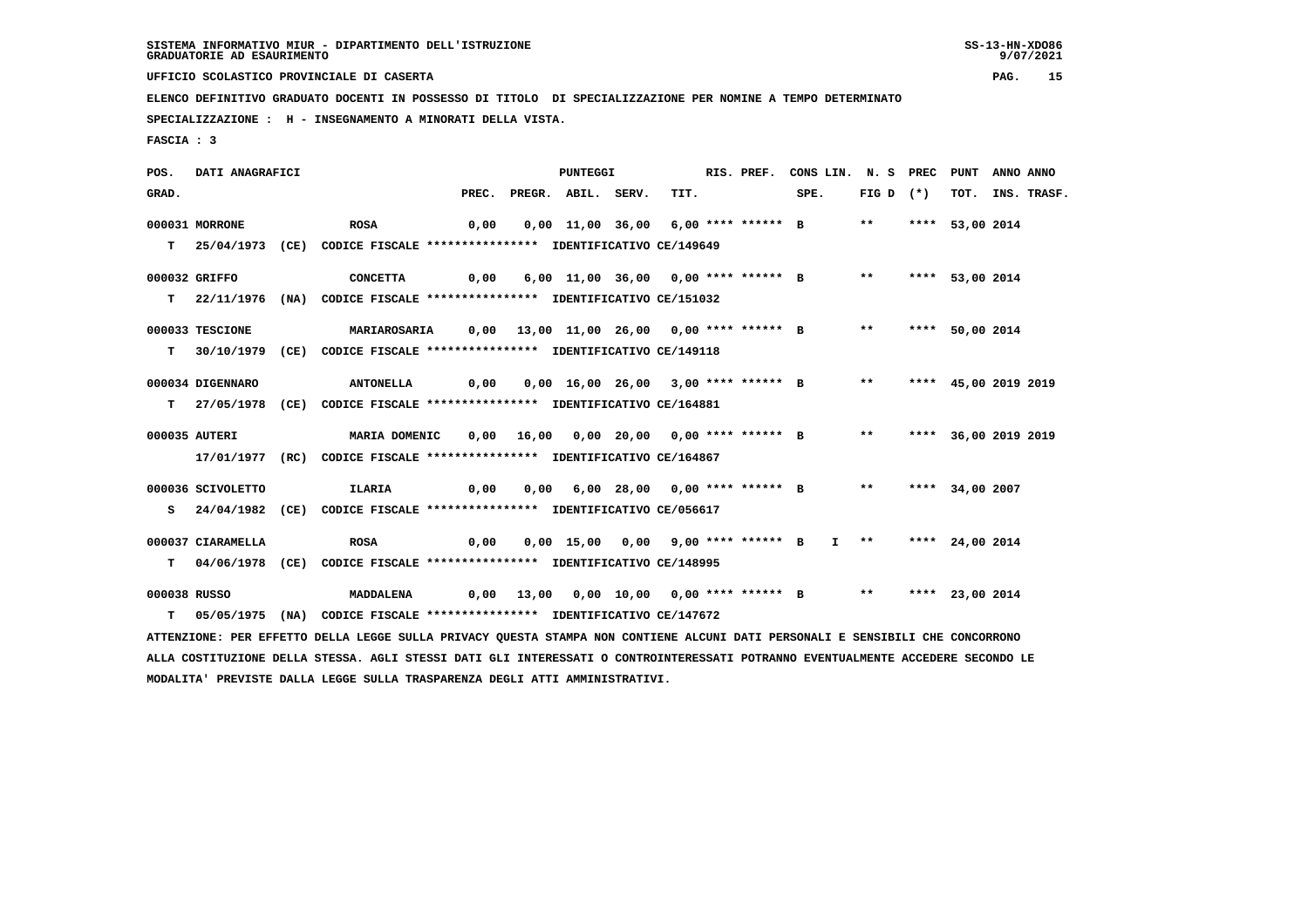**UFFICIO SCOLASTICO PROVINCIALE DI CASERTA PAG. 15**

 **ELENCO DEFINITIVO GRADUATO DOCENTI IN POSSESSO DI TITOLO DI SPECIALIZZAZIONE PER NOMINE A TEMPO DETERMINATO**

 **SPECIALIZZAZIONE : H - INSEGNAMENTO A MINORATI DELLA VISTA.**

 **FASCIA : 3**

 **POS. DATI ANAGRAFICI PUNTEGGI RIS. PREF. CONS LIN. N. S PREC PUNT ANNO ANNO**GRAD. PREC. PREGR. ABIL. SERV. TIT. SPE. FIG D (\*) TOT. INS. TRASF.  **000031 MORRONE ROSA 0,00 0,00 11,00 36,00 6,00 \*\*\*\* \*\*\*\*\*\* B \*\* \*\*\*\* 53,00 2014 T 25/04/1973 (CE) CODICE FISCALE \*\*\*\*\*\*\*\*\*\*\*\*\*\*\*\* IDENTIFICATIVO CE/149649 000032 GRIFFO CONCETTA 0,00 6,00 11,00 36,00 0,00 \*\*\*\* \*\*\*\*\*\* B \*\* \*\*\*\* 53,00 2014 T 22/11/1976 (NA) CODICE FISCALE \*\*\*\*\*\*\*\*\*\*\*\*\*\*\*\* IDENTIFICATIVO CE/151032 000033 TESCIONE MARIAROSARIA 0,00 13,00 11,00 26,00 0,00 \*\*\*\* \*\*\*\*\*\* B \*\* \*\*\*\* 50,00 2014 T 30/10/1979 (CE) CODICE FISCALE \*\*\*\*\*\*\*\*\*\*\*\*\*\*\*\* IDENTIFICATIVO CE/149118 000034 DIGENNARO ANTONELLA 0,00 0,00 16,00 26,00 3,00 \*\*\*\* \*\*\*\*\*\* B \*\* \*\*\*\* 45,00 2019 2019 T 27/05/1978 (CE) CODICE FISCALE \*\*\*\*\*\*\*\*\*\*\*\*\*\*\*\* IDENTIFICATIVO CE/164881 000035 AUTERI MARIA DOMENIC 0,00 16,00 0,00 20,00 0,00 \*\*\*\* \*\*\*\*\*\* B \*\* \*\*\*\* 36,00 2019 2019 17/01/1977 (RC) CODICE FISCALE \*\*\*\*\*\*\*\*\*\*\*\*\*\*\*\* IDENTIFICATIVO CE/164867 000036 SCIVOLETTO ILARIA 0,00 0,00 6,00 28,00 0,00 \*\*\*\* \*\*\*\*\*\* B \*\* \*\*\*\* 34,00 2007 S 24/04/1982 (CE) CODICE FISCALE \*\*\*\*\*\*\*\*\*\*\*\*\*\*\*\* IDENTIFICATIVO CE/056617 000037 CIARAMELLA ROSA 0,00 0,00 15,00 0,00 9,00 \*\*\*\* \*\*\*\*\*\* B I \*\* \*\*\*\* 24,00 2014 T 04/06/1978 (CE) CODICE FISCALE \*\*\*\*\*\*\*\*\*\*\*\*\*\*\*\* IDENTIFICATIVO CE/148995 000038 RUSSO MADDALENA 0,00 13,00 0,00 10,00 0,00 \*\*\*\* \*\*\*\*\*\* B \*\* \*\*\*\* 23,00 2014 T 05/05/1975 (NA) CODICE FISCALE \*\*\*\*\*\*\*\*\*\*\*\*\*\*\*\* IDENTIFICATIVO CE/147672 ATTENZIONE: PER EFFETTO DELLA LEGGE SULLA PRIVACY QUESTA STAMPA NON CONTIENE ALCUNI DATI PERSONALI E SENSIBILI CHE CONCORRONO ALLA COSTITUZIONE DELLA STESSA. AGLI STESSI DATI GLI INTERESSATI O CONTROINTERESSATI POTRANNO EVENTUALMENTE ACCEDERE SECONDO LE MODALITA' PREVISTE DALLA LEGGE SULLA TRASPARENZA DEGLI ATTI AMMINISTRATIVI.**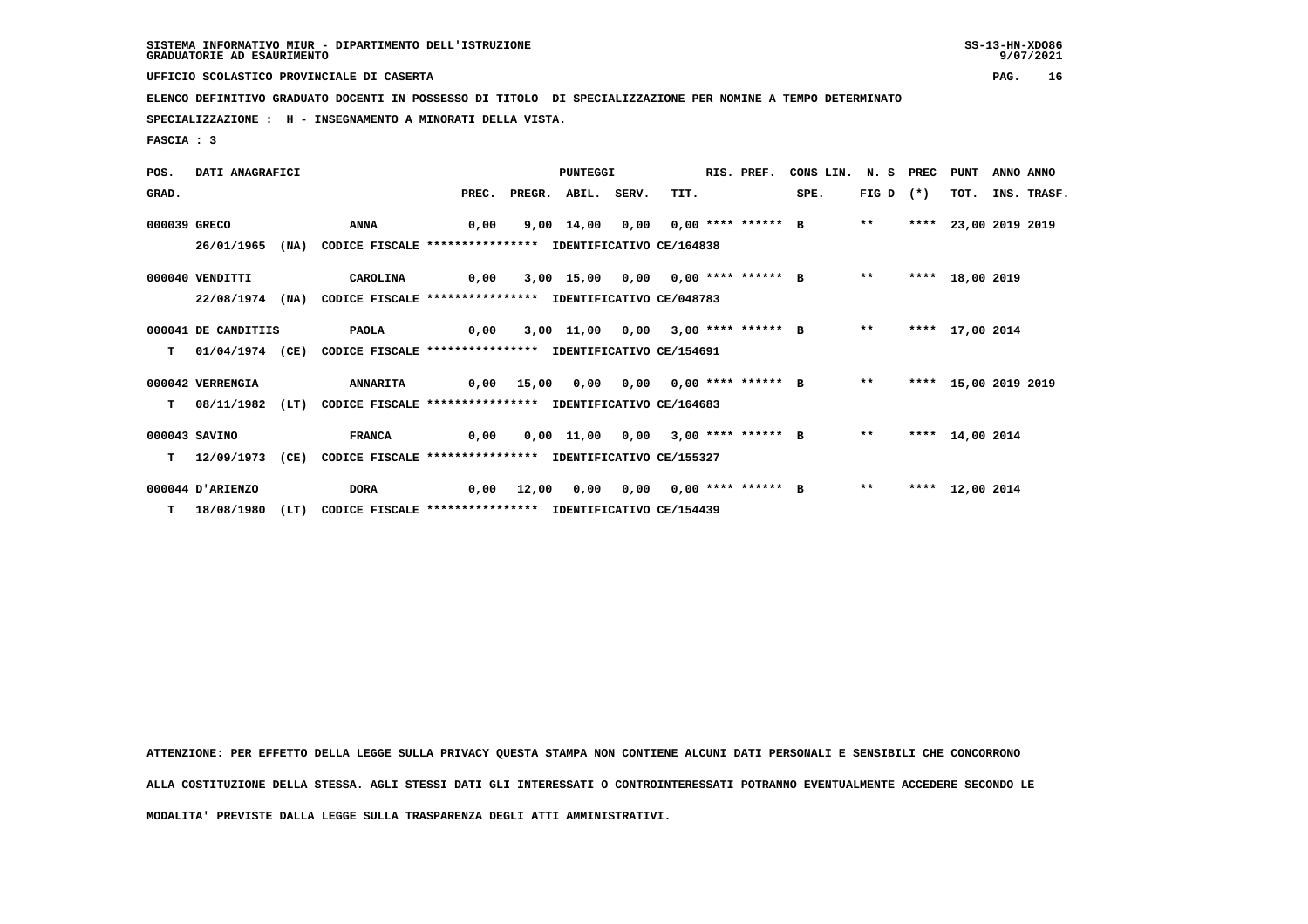**UFFICIO SCOLASTICO PROVINCIALE DI CASERTA PAG. 16**

 **ELENCO DEFINITIVO GRADUATO DOCENTI IN POSSESSO DI TITOLO DI SPECIALIZZAZIONE PER NOMINE A TEMPO DETERMINATO**

 **SPECIALIZZAZIONE : H - INSEGNAMENTO A MINORATI DELLA VISTA.**

 **FASCIA : 3**

| POS.         | DATI ANAGRAFICI     |      |                                                                          |       |       | <b>PUNTEGGI</b>    |                         | RIS. PREF. | CONS LIN. N. S PREC                   |             | PUNT                 | ANNO ANNO |                  |
|--------------|---------------------|------|--------------------------------------------------------------------------|-------|-------|--------------------|-------------------------|------------|---------------------------------------|-------------|----------------------|-----------|------------------|
| GRAD.        |                     |      |                                                                          | PREC. |       | PREGR. ABIL. SERV. | TIT.                    |            | SPE.                                  | FIG D $(*)$ |                      |           | TOT. INS. TRASF. |
| 000039 GRECO |                     |      | ANNA                                                                     | 0,00  |       | 9,00 14,00         | 0,00 0,00 **** ****** B |            |                                       | $***$       | **** 23,00 2019 2019 |           |                  |
|              | 26/01/1965          | (NA) | CODICE FISCALE **************** IDENTIFICATIVO CE/164838                 |       |       |                    |                         |            |                                       |             |                      |           |                  |
|              | 000040 VENDITTI     |      | CAROLINA                                                                 | 0,00  |       |                    |                         |            | 3,00 15,00 0,00 0,00 **** ****** B    | $***$       | **** 18,00 2019      |           |                  |
|              | 22/08/1974          | (NA) | CODICE FISCALE **************** IDENTIFICATIVO CE/048783                 |       |       |                    |                         |            |                                       |             |                      |           |                  |
|              | 000041 DE CANDITIIS |      | <b>PAOLA</b>                                                             | 0,00  |       |                    |                         |            | 3,00 11,00 0,00 3,00 **** ****** B ** |             | **** 17,00 2014      |           |                  |
| T.           |                     |      | 01/04/1974 (CE) CODICE FISCALE **************** IDENTIFICATIVO CE/154691 |       |       |                    |                         |            |                                       |             |                      |           |                  |
|              | 000042 VERRENGIA    |      | <b>ANNARITA</b>                                                          |       |       | 0,00 15,00 0,00    | 0,00 0,00 **** ****** B |            |                                       | $***$       | **** 15,00 2019 2019 |           |                  |
| т            | 08/11/1982          | (LT) | CODICE FISCALE **************** IDENTIFICATIVO CE/164683                 |       |       |                    |                         |            |                                       |             |                      |           |                  |
|              | 000043 SAVINO       |      | <b>FRANCA</b>                                                            | 0,00  |       |                    |                         |            | 0,00 11,00 0,00 3,00 **** ****** B    | $***$       | **** 14,00 2014      |           |                  |
| т            | 12/09/1973          | (CE) | CODICE FISCALE **************** IDENTIFICATIVO CE/155327                 |       |       |                    |                         |            |                                       |             |                      |           |                  |
|              | 000044 D'ARIENZO    |      | <b>DORA</b>                                                              | 0,00  | 12,00 | 0,00               | 0,00 0,00 **** ****** B |            |                                       | $* *$       | **** 12,00 2014      |           |                  |
|              | T 18/08/1980        | (LT) | CODICE FISCALE **************** IDENTIFICATIVO CE/154439                 |       |       |                    |                         |            |                                       |             |                      |           |                  |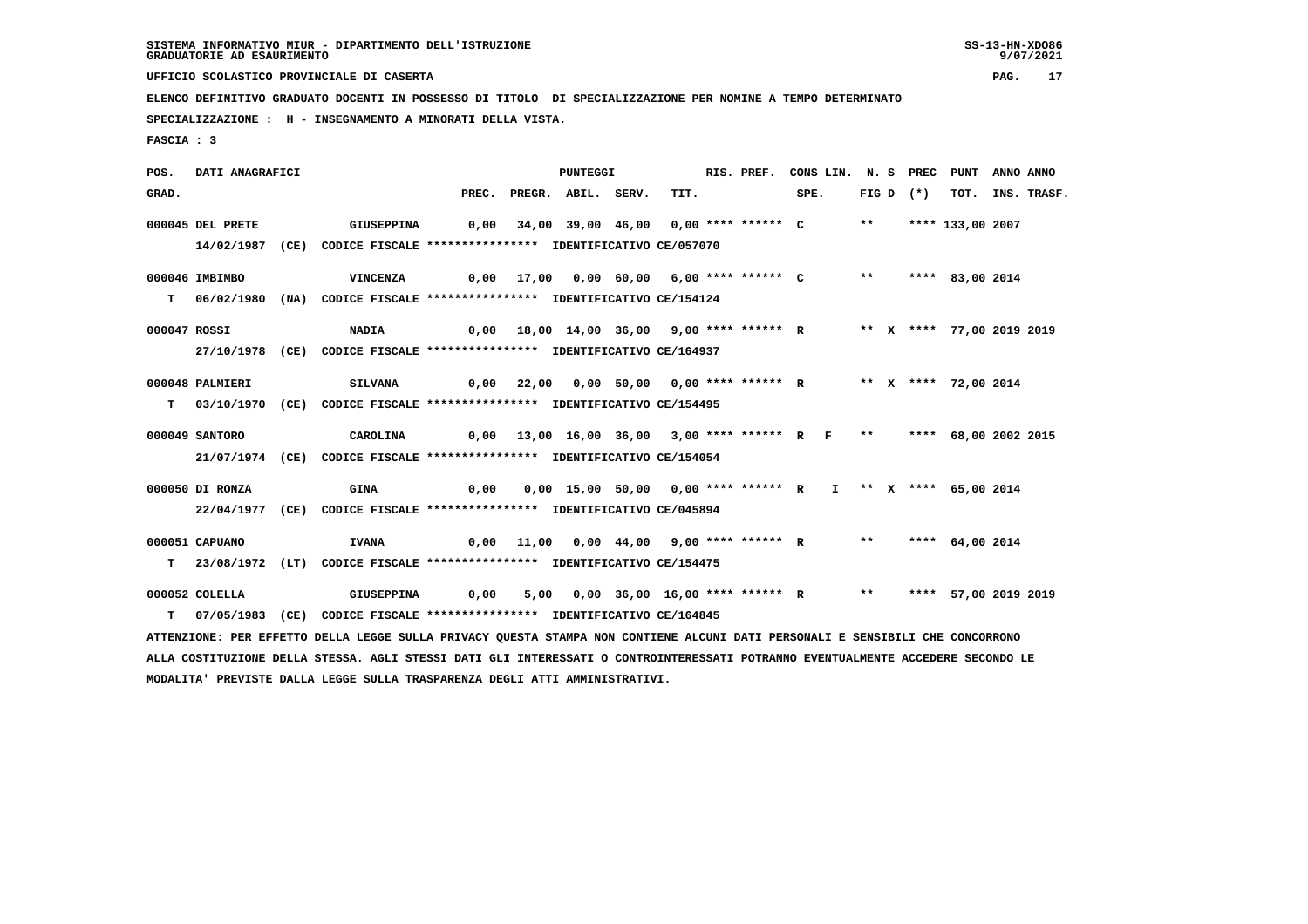**UFFICIO SCOLASTICO PROVINCIALE DI CASERTA PAG. 17**

 **ELENCO DEFINITIVO GRADUATO DOCENTI IN POSSESSO DI TITOLO DI SPECIALIZZAZIONE PER NOMINE A TEMPO DETERMINATO**

 **SPECIALIZZAZIONE : H - INSEGNAMENTO A MINORATI DELLA VISTA.**

 **FASCIA : 3**

 **POS. DATI ANAGRAFICI PUNTEGGI RIS. PREF. CONS LIN. N. S PREC PUNT ANNO ANNO**GRAD. PREC. PREGR. ABIL. SERV. TIT. SPE. FIG D (\*) TOT. INS. TRASF.  **000045 DEL PRETE GIUSEPPINA 0,00 34,00 39,00 46,00 0,00 \*\*\*\* \*\*\*\*\*\* C \*\* \*\*\*\* 133,00 2007 14/02/1987 (CE) CODICE FISCALE \*\*\*\*\*\*\*\*\*\*\*\*\*\*\*\* IDENTIFICATIVO CE/057070 000046 IMBIMBO VINCENZA 0,00 17,00 0,00 60,00 6,00 \*\*\*\* \*\*\*\*\*\* C \*\* \*\*\*\* 83,00 2014 T 06/02/1980 (NA) CODICE FISCALE \*\*\*\*\*\*\*\*\*\*\*\*\*\*\*\* IDENTIFICATIVO CE/154124 000047 ROSSI NADIA 0,00 18,00 14,00 36,00 9,00 \*\*\*\* \*\*\*\*\*\* R \*\* X \*\*\*\* 77,00 2019 2019 27/10/1978 (CE) CODICE FISCALE \*\*\*\*\*\*\*\*\*\*\*\*\*\*\*\* IDENTIFICATIVO CE/164937 000048 PALMIERI SILVANA 0,00 22,00 0,00 50,00 0,00 \*\*\*\* \*\*\*\*\*\* R \*\* X \*\*\*\* 72,00 2014 T 03/10/1970 (CE) CODICE FISCALE \*\*\*\*\*\*\*\*\*\*\*\*\*\*\*\* IDENTIFICATIVO CE/154495 000049 SANTORO CAROLINA 0,00 13,00 16,00 36,00 3,00 \*\*\*\* \*\*\*\*\*\* R F \*\* \*\*\*\* 68,00 2002 2015 21/07/1974 (CE) CODICE FISCALE \*\*\*\*\*\*\*\*\*\*\*\*\*\*\*\* IDENTIFICATIVO CE/154054 000050 DI RONZA GINA 0,00 0,00 15,00 50,00 0,00 \*\*\*\* \*\*\*\*\*\* R I \*\* X \*\*\*\* 65,00 2014 22/04/1977 (CE) CODICE FISCALE \*\*\*\*\*\*\*\*\*\*\*\*\*\*\*\* IDENTIFICATIVO CE/045894 000051 CAPUANO IVANA 0,00 11,00 0,00 44,00 9,00 \*\*\*\* \*\*\*\*\*\* R \*\* \*\*\*\* 64,00 2014 T 23/08/1972 (LT) CODICE FISCALE \*\*\*\*\*\*\*\*\*\*\*\*\*\*\*\* IDENTIFICATIVO CE/154475 000052 COLELLA GIUSEPPINA 0,00 5,00 0,00 36,00 16,00 \*\*\*\* \*\*\*\*\*\* R \*\* \*\*\*\* 57,00 2019 2019 T 07/05/1983 (CE) CODICE FISCALE \*\*\*\*\*\*\*\*\*\*\*\*\*\*\*\* IDENTIFICATIVO CE/164845 ATTENZIONE: PER EFFETTO DELLA LEGGE SULLA PRIVACY QUESTA STAMPA NON CONTIENE ALCUNI DATI PERSONALI E SENSIBILI CHE CONCORRONO ALLA COSTITUZIONE DELLA STESSA. AGLI STESSI DATI GLI INTERESSATI O CONTROINTERESSATI POTRANNO EVENTUALMENTE ACCEDERE SECONDO LE MODALITA' PREVISTE DALLA LEGGE SULLA TRASPARENZA DEGLI ATTI AMMINISTRATIVI.**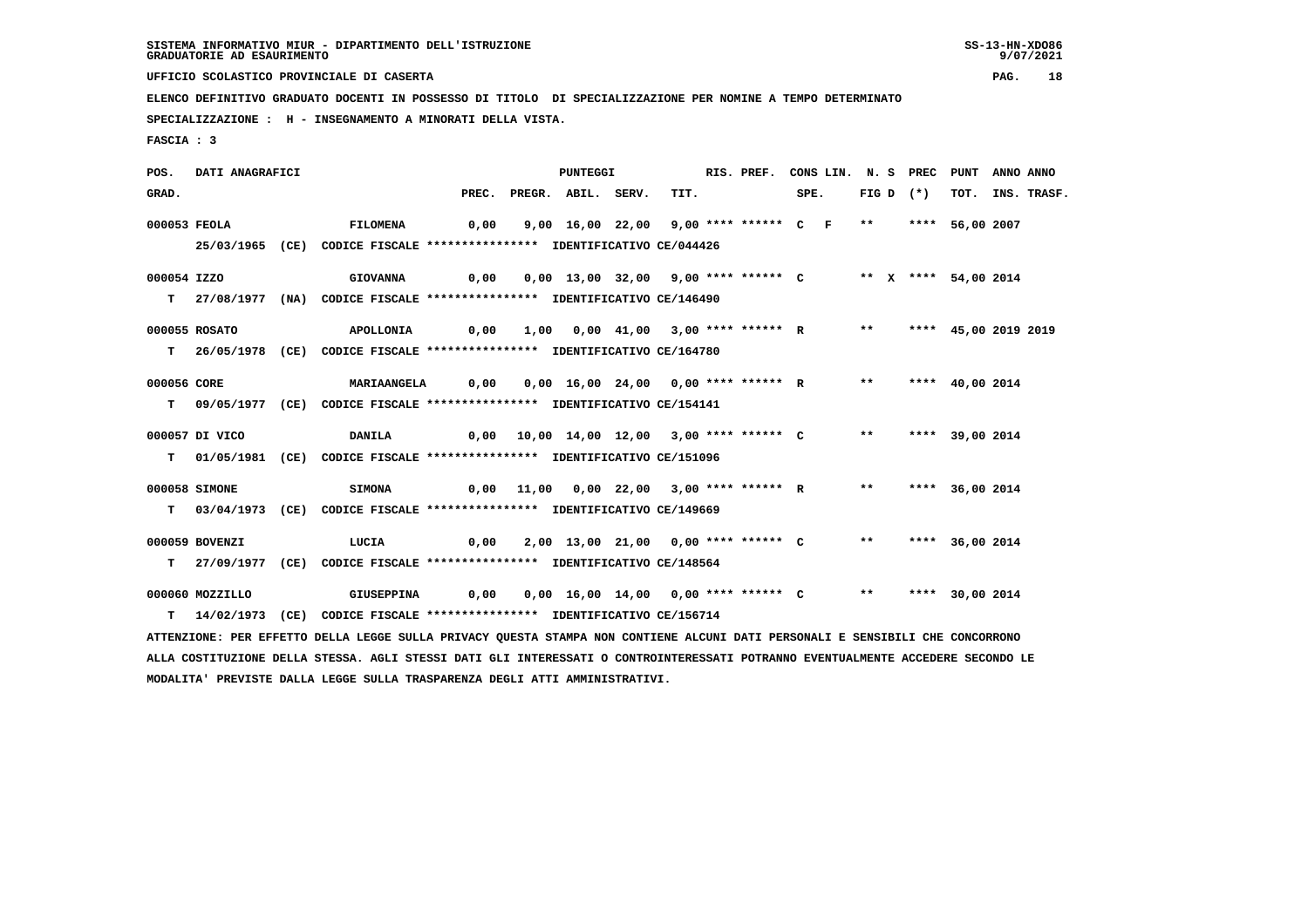**UFFICIO SCOLASTICO PROVINCIALE DI CASERTA PAG. 18**

 **ELENCO DEFINITIVO GRADUATO DOCENTI IN POSSESSO DI TITOLO DI SPECIALIZZAZIONE PER NOMINE A TEMPO DETERMINATO**

 **SPECIALIZZAZIONE : H - INSEGNAMENTO A MINORATI DELLA VISTA.**

 **MODALITA' PREVISTE DALLA LEGGE SULLA TRASPARENZA DEGLI ATTI AMMINISTRATIVI.**

 **FASCIA : 3**

 **POS. DATI ANAGRAFICI PUNTEGGI RIS. PREF. CONS LIN. N. S PREC PUNT ANNO ANNO**GRAD. PREC. PREGR. ABIL. SERV. TIT. SPE. FIG D (\*) TOT. INS. TRASF.  **000053 FEOLA FILOMENA 0,00 9,00 16,00 22,00 9,00 \*\*\*\* \*\*\*\*\*\* C F \*\* \*\*\*\* 56,00 2007 25/03/1965 (CE) CODICE FISCALE \*\*\*\*\*\*\*\*\*\*\*\*\*\*\*\* IDENTIFICATIVO CE/044426 000054 IZZO GIOVANNA 0,00 0,00 13,00 32,00 9,00 \*\*\*\* \*\*\*\*\*\* C \*\* X \*\*\*\* 54,00 2014 T 27/08/1977 (NA) CODICE FISCALE \*\*\*\*\*\*\*\*\*\*\*\*\*\*\*\* IDENTIFICATIVO CE/146490 000055 ROSATO APOLLONIA 0,00 1,00 0,00 41,00 3,00 \*\*\*\* \*\*\*\*\*\* R \*\* \*\*\*\* 45,00 2019 2019 T 26/05/1978 (CE) CODICE FISCALE \*\*\*\*\*\*\*\*\*\*\*\*\*\*\*\* IDENTIFICATIVO CE/164780 000056 CORE MARIAANGELA 0,00 0,00 16,00 24,00 0,00 \*\*\*\* \*\*\*\*\*\* R \*\* \*\*\*\* 40,00 2014 T 09/05/1977 (CE) CODICE FISCALE \*\*\*\*\*\*\*\*\*\*\*\*\*\*\*\* IDENTIFICATIVO CE/154141 000057 DI VICO DANILA 0,00 10,00 14,00 12,00 3,00 \*\*\*\* \*\*\*\*\*\* C \*\* \*\*\*\* 39,00 2014 T 01/05/1981 (CE) CODICE FISCALE \*\*\*\*\*\*\*\*\*\*\*\*\*\*\*\* IDENTIFICATIVO CE/151096 000058 SIMONE SIMONA 0,00 11,00 0,00 22,00 3,00 \*\*\*\* \*\*\*\*\*\* R \*\* \*\*\*\* 36,00 2014 T 03/04/1973 (CE) CODICE FISCALE \*\*\*\*\*\*\*\*\*\*\*\*\*\*\*\* IDENTIFICATIVO CE/149669 000059 BOVENZI LUCIA 0,00 2,00 13,00 21,00 0,00 \*\*\*\* \*\*\*\*\*\* C \*\* \*\*\*\* 36,00 2014 T 27/09/1977 (CE) CODICE FISCALE \*\*\*\*\*\*\*\*\*\*\*\*\*\*\*\* IDENTIFICATIVO CE/148564 000060 MOZZILLO GIUSEPPINA 0,00 0,00 16,00 14,00 0,00 \*\*\*\* \*\*\*\*\*\* C \*\* \*\*\*\* 30,00 2014 T 14/02/1973 (CE) CODICE FISCALE \*\*\*\*\*\*\*\*\*\*\*\*\*\*\*\* IDENTIFICATIVO CE/156714 ATTENZIONE: PER EFFETTO DELLA LEGGE SULLA PRIVACY QUESTA STAMPA NON CONTIENE ALCUNI DATI PERSONALI E SENSIBILI CHE CONCORRONO ALLA COSTITUZIONE DELLA STESSA. AGLI STESSI DATI GLI INTERESSATI O CONTROINTERESSATI POTRANNO EVENTUALMENTE ACCEDERE SECONDO LE**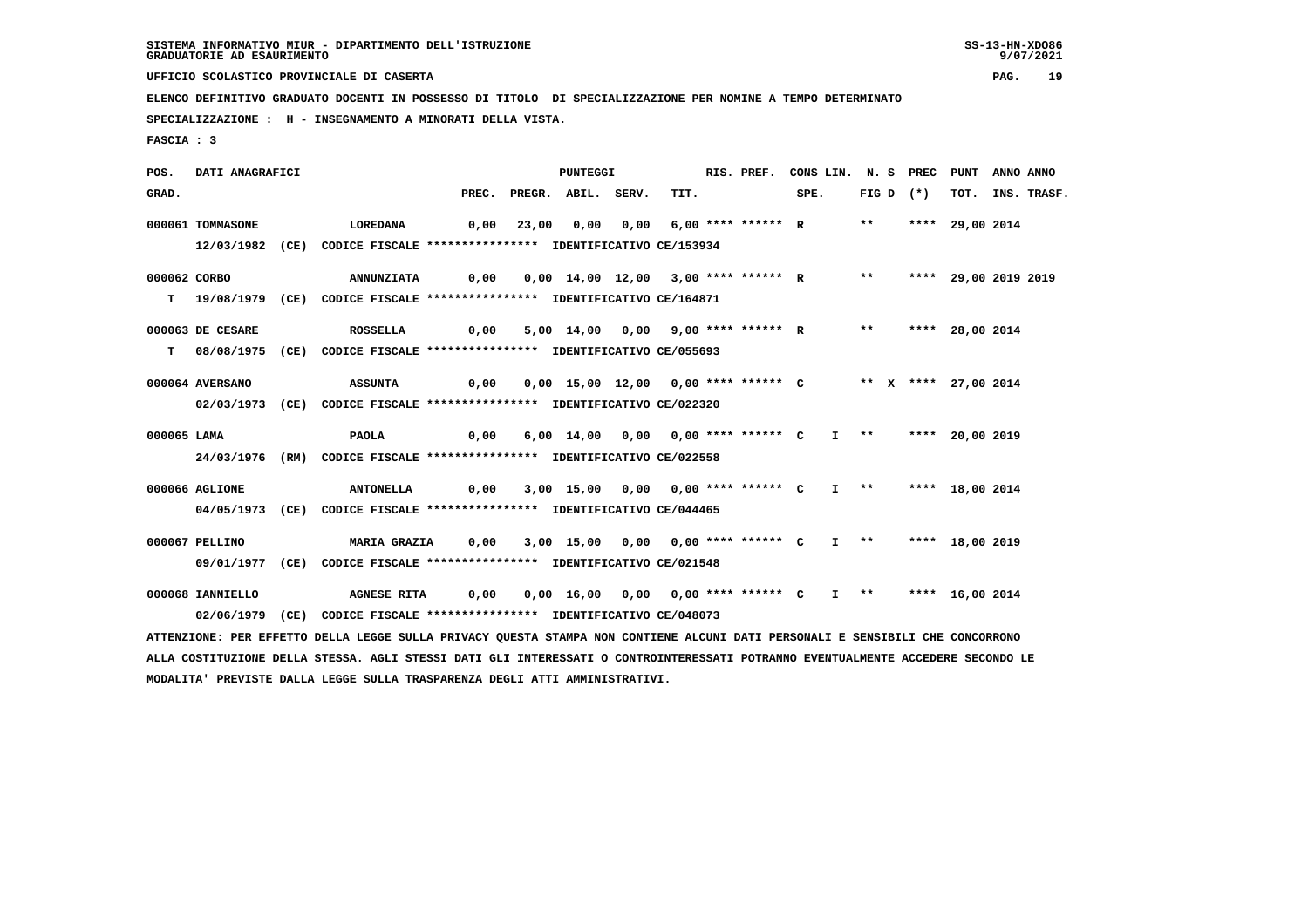**UFFICIO SCOLASTICO PROVINCIALE DI CASERTA PAG. 19**

 **ELENCO DEFINITIVO GRADUATO DOCENTI IN POSSESSO DI TITOLO DI SPECIALIZZAZIONE PER NOMINE A TEMPO DETERMINATO**

 **SPECIALIZZAZIONE : H - INSEGNAMENTO A MINORATI DELLA VISTA.**

 **FASCIA : 3**

 **POS. DATI ANAGRAFICI PUNTEGGI RIS. PREF. CONS LIN. N. S PREC PUNT ANNO ANNO**GRAD. PREC. PREGR. ABIL. SERV. TIT. SPE. FIG D (\*) TOT. INS. TRASF.  **000061 TOMMASONE LOREDANA 0,00 23,00 0,00 0,00 6,00 \*\*\*\* \*\*\*\*\*\* R \*\* \*\*\*\* 29,00 2014 12/03/1982 (CE) CODICE FISCALE \*\*\*\*\*\*\*\*\*\*\*\*\*\*\*\* IDENTIFICATIVO CE/153934 000062 CORBO ANNUNZIATA 0,00 0,00 14,00 12,00 3,00 \*\*\*\* \*\*\*\*\*\* R \*\* \*\*\*\* 29,00 2019 2019 T 19/08/1979 (CE) CODICE FISCALE \*\*\*\*\*\*\*\*\*\*\*\*\*\*\*\* IDENTIFICATIVO CE/164871 000063 DE CESARE ROSSELLA 0,00 5,00 14,00 0,00 9,00 \*\*\*\* \*\*\*\*\*\* R \*\* \*\*\*\* 28,00 2014 T 08/08/1975 (CE) CODICE FISCALE \*\*\*\*\*\*\*\*\*\*\*\*\*\*\*\* IDENTIFICATIVO CE/055693 000064 AVERSANO ASSUNTA 0,00 0,00 15,00 12,00 0,00 \*\*\*\* \*\*\*\*\*\* C \*\* X \*\*\*\* 27,00 2014 02/03/1973 (CE) CODICE FISCALE \*\*\*\*\*\*\*\*\*\*\*\*\*\*\*\* IDENTIFICATIVO CE/022320 000065 LAMA PAOLA 0,00 6,00 14,00 0,00 0,00 \*\*\*\* \*\*\*\*\*\* C I \*\* \*\*\*\* 20,00 2019 24/03/1976 (RM) CODICE FISCALE \*\*\*\*\*\*\*\*\*\*\*\*\*\*\*\* IDENTIFICATIVO CE/022558 000066 AGLIONE ANTONELLA 0,00 3,00 15,00 0,00 0,00 \*\*\*\* \*\*\*\*\*\* C I \*\* \*\*\*\* 18,00 2014 04/05/1973 (CE) CODICE FISCALE \*\*\*\*\*\*\*\*\*\*\*\*\*\*\*\* IDENTIFICATIVO CE/044465 000067 PELLINO MARIA GRAZIA 0,00 3,00 15,00 0,00 0,00 \*\*\*\* \*\*\*\*\*\* C I \*\* \*\*\*\* 18,00 2019 09/01/1977 (CE) CODICE FISCALE \*\*\*\*\*\*\*\*\*\*\*\*\*\*\*\* IDENTIFICATIVO CE/021548 000068 IANNIELLO AGNESE RITA 0,00 0,00 16,00 0,00 0,00 \*\*\*\* \*\*\*\*\*\* C I \*\* \*\*\*\* 16,00 2014 02/06/1979 (CE) CODICE FISCALE \*\*\*\*\*\*\*\*\*\*\*\*\*\*\*\* IDENTIFICATIVO CE/048073 ATTENZIONE: PER EFFETTO DELLA LEGGE SULLA PRIVACY QUESTA STAMPA NON CONTIENE ALCUNI DATI PERSONALI E SENSIBILI CHE CONCORRONO ALLA COSTITUZIONE DELLA STESSA. AGLI STESSI DATI GLI INTERESSATI O CONTROINTERESSATI POTRANNO EVENTUALMENTE ACCEDERE SECONDO LE**

 **MODALITA' PREVISTE DALLA LEGGE SULLA TRASPARENZA DEGLI ATTI AMMINISTRATIVI.**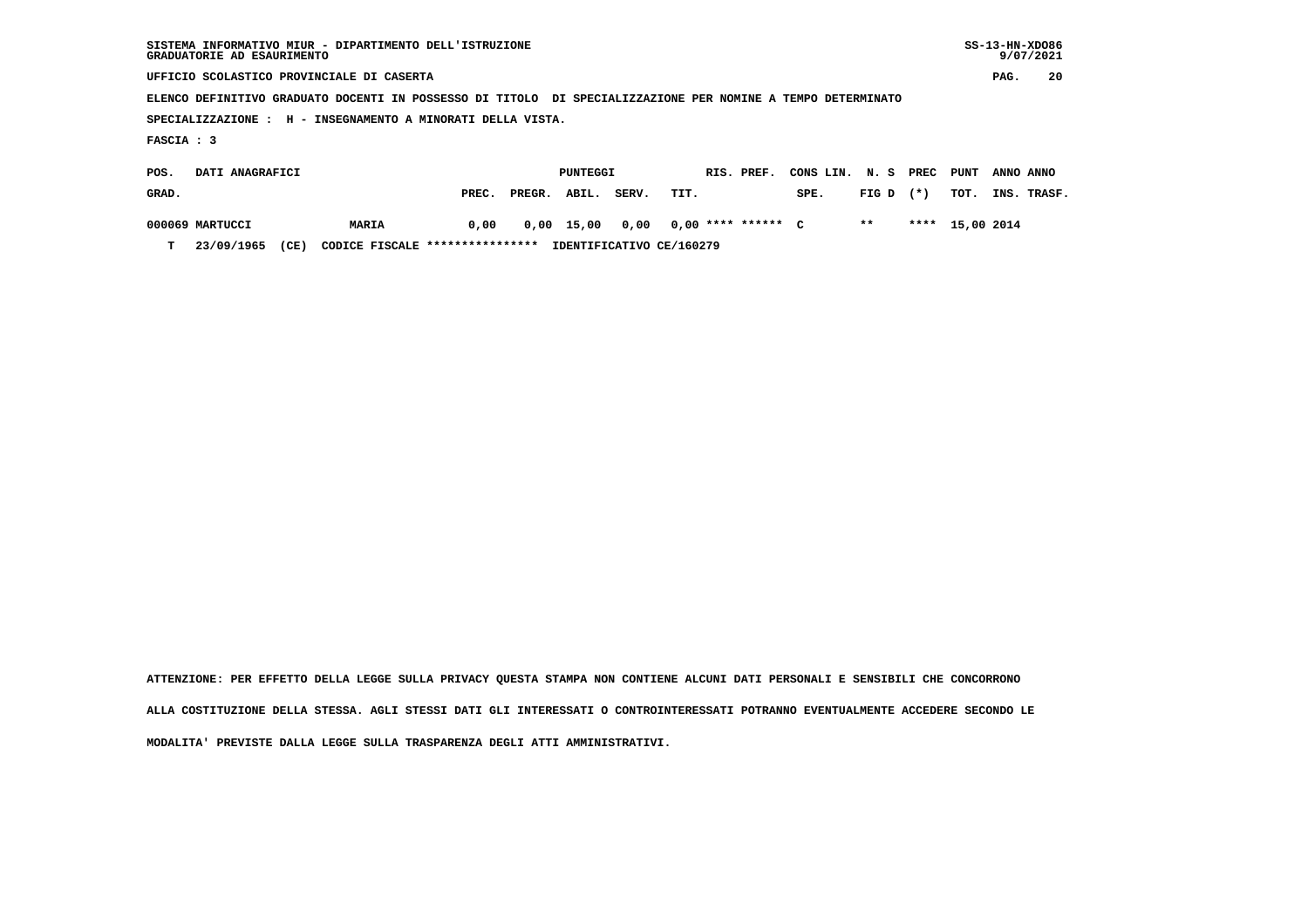| SISTEMA INFORMATIVO MIUR - DIPARTIMENTO DELL'ISTRUZIONE<br>GRADUATORIE AD ESAURIMENTO                       |                                           |       |        |          |       |      |            |                    |              | $SS-13-HN-XDO86$<br>9/07/2021 |        |                 |      |           |
|-------------------------------------------------------------------------------------------------------------|-------------------------------------------|-------|--------|----------|-------|------|------------|--------------------|--------------|-------------------------------|--------|-----------------|------|-----------|
|                                                                                                             | UFFICIO SCOLASTICO PROVINCIALE DI CASERTA |       |        |          |       |      |            |                    |              |                               | PAG.   | 20              |      |           |
| ELENCO DEFINITIVO GRADUATO DOCENTI IN POSSESSO DI TITOLO DI SPECIALIZZAZIONE PER NOMINE A TEMPO DETERMINATO |                                           |       |        |          |       |      |            |                    |              |                               |        |                 |      |           |
| SPECIALIZZAZIONE : H - INSEGNAMENTO A MINORATI DELLA VISTA.                                                 |                                           |       |        |          |       |      |            |                    |              |                               |        |                 |      |           |
| FASCIA : 3                                                                                                  |                                           |       |        |          |       |      |            |                    |              |                               |        |                 |      |           |
| POS.                                                                                                        | DATI ANAGRAFICI                           |       |        | PUNTEGGI |       |      | RIS. PREF. |                    | CONS LIN.    | N. S                          | PREC   | PUNT            |      | ANNO ANNO |
| GRAD.                                                                                                       |                                           | PREC. | PREGR. | ABIL.    | SERV. | TIT. |            |                    | SPE.         | FIG D                         | $(* )$ | TOT.            | INS. | TRASF.    |
| 000069 MARTUCCI                                                                                             | MARIA                                     | 0,00  | 0,00   | 15,00    | 0,00  |      |            | $0,00$ **** ****** | $\mathbf{C}$ | $***$                         |        | **** 15,00 2014 |      |           |

 **T 23/09/1965 (CE) CODICE FISCALE \*\*\*\*\*\*\*\*\*\*\*\*\*\*\*\* IDENTIFICATIVO CE/160279**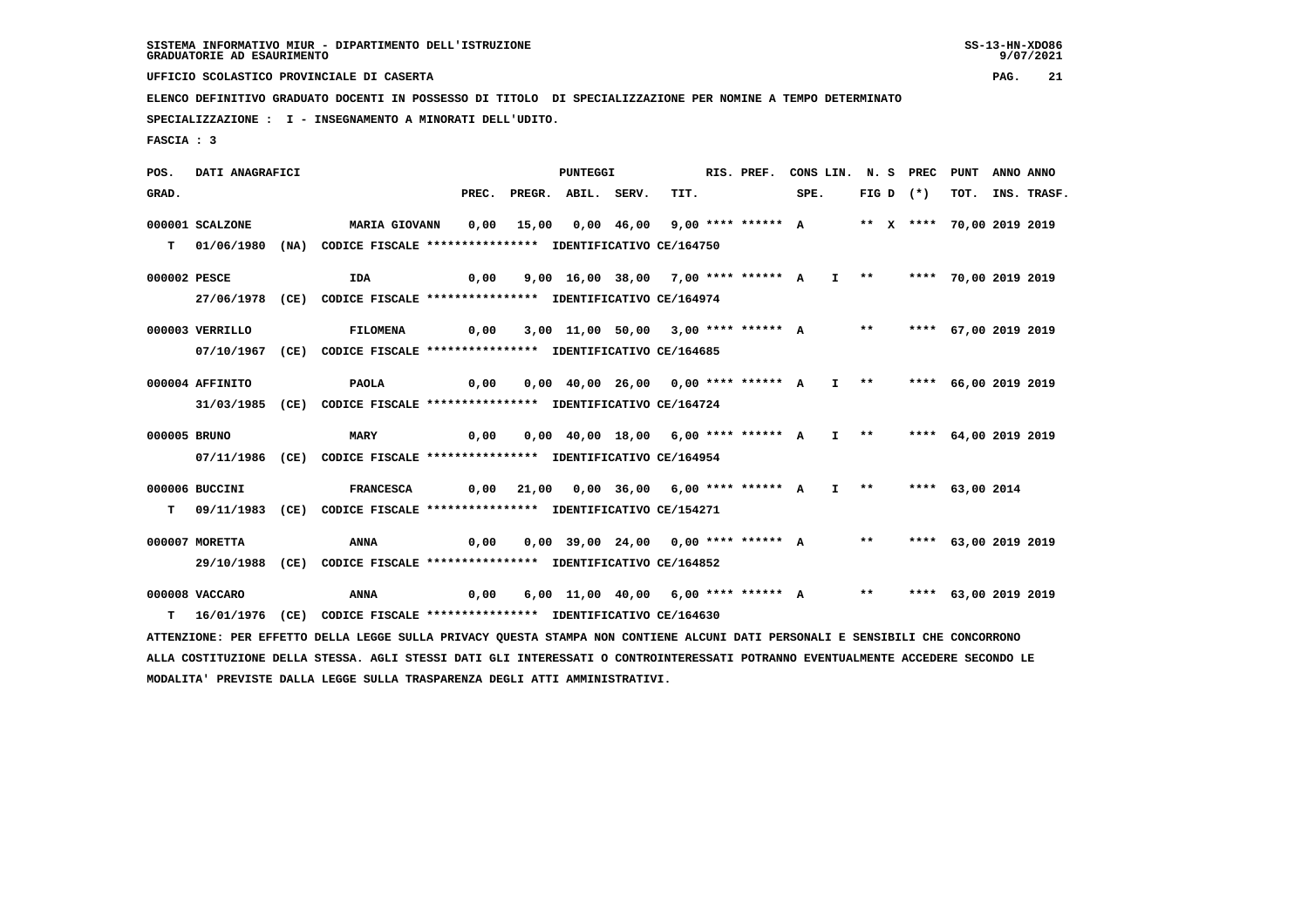**UFFICIO SCOLASTICO PROVINCIALE DI CASERTA PAG. 21**

 **ELENCO DEFINITIVO GRADUATO DOCENTI IN POSSESSO DI TITOLO DI SPECIALIZZAZIONE PER NOMINE A TEMPO DETERMINATO**

 **SPECIALIZZAZIONE : I - INSEGNAMENTO A MINORATI DELL'UDITO.**

 **FASCIA : 3**

 **POS. DATI ANAGRAFICI PUNTEGGI RIS. PREF. CONS LIN. N. S PREC PUNT ANNO ANNO**GRAD. PREC. PREGR. ABIL. SERV. TIT. SPE. FIG D (\*) TOT. INS. TRASF.  **000001 SCALZONE MARIA GIOVANN 0,00 15,00 0,00 46,00 9,00 \*\*\*\* \*\*\*\*\*\* A \*\* X \*\*\*\* 70,00 2019 2019 T 01/06/1980 (NA) CODICE FISCALE \*\*\*\*\*\*\*\*\*\*\*\*\*\*\*\* IDENTIFICATIVO CE/164750 000002 PESCE IDA 0,00 9,00 16,00 38,00 7,00 \*\*\*\* \*\*\*\*\*\* A I \*\* \*\*\*\* 70,00 2019 2019 27/06/1978 (CE) CODICE FISCALE \*\*\*\*\*\*\*\*\*\*\*\*\*\*\*\* IDENTIFICATIVO CE/164974 000003 VERRILLO FILOMENA 0,00 3,00 11,00 50,00 3,00 \*\*\*\* \*\*\*\*\*\* A \*\* \*\*\*\* 67,00 2019 2019 07/10/1967 (CE) CODICE FISCALE \*\*\*\*\*\*\*\*\*\*\*\*\*\*\*\* IDENTIFICATIVO CE/164685 000004 AFFINITO PAOLA 0,00 0,00 40,00 26,00 0,00 \*\*\*\* \*\*\*\*\*\* A I \*\* \*\*\*\* 66,00 2019 2019 31/03/1985 (CE) CODICE FISCALE \*\*\*\*\*\*\*\*\*\*\*\*\*\*\*\* IDENTIFICATIVO CE/164724 000005 BRUNO MARY 0,00 0,00 40,00 18,00 6,00 \*\*\*\* \*\*\*\*\*\* A I \*\* \*\*\*\* 64,00 2019 2019 07/11/1986 (CE) CODICE FISCALE \*\*\*\*\*\*\*\*\*\*\*\*\*\*\*\* IDENTIFICATIVO CE/164954 000006 BUCCINI FRANCESCA 0,00 21,00 0,00 36,00 6,00 \*\*\*\* \*\*\*\*\*\* A I \*\* \*\*\*\* 63,00 2014 T 09/11/1983 (CE) CODICE FISCALE \*\*\*\*\*\*\*\*\*\*\*\*\*\*\*\* IDENTIFICATIVO CE/154271 000007 MORETTA ANNA 0,00 0,00 39,00 24,00 0,00 \*\*\*\* \*\*\*\*\*\* A \*\* \*\*\*\* 63,00 2019 2019 29/10/1988 (CE) CODICE FISCALE \*\*\*\*\*\*\*\*\*\*\*\*\*\*\*\* IDENTIFICATIVO CE/164852 000008 VACCARO ANNA 0,00 6,00 11,00 40,00 6,00 \*\*\*\* \*\*\*\*\*\* A \*\* \*\*\*\* 63,00 2019 2019 T 16/01/1976 (CE) CODICE FISCALE \*\*\*\*\*\*\*\*\*\*\*\*\*\*\*\* IDENTIFICATIVO CE/164630 ATTENZIONE: PER EFFETTO DELLA LEGGE SULLA PRIVACY QUESTA STAMPA NON CONTIENE ALCUNI DATI PERSONALI E SENSIBILI CHE CONCORRONO ALLA COSTITUZIONE DELLA STESSA. AGLI STESSI DATI GLI INTERESSATI O CONTROINTERESSATI POTRANNO EVENTUALMENTE ACCEDERE SECONDO LE**

 **MODALITA' PREVISTE DALLA LEGGE SULLA TRASPARENZA DEGLI ATTI AMMINISTRATIVI.**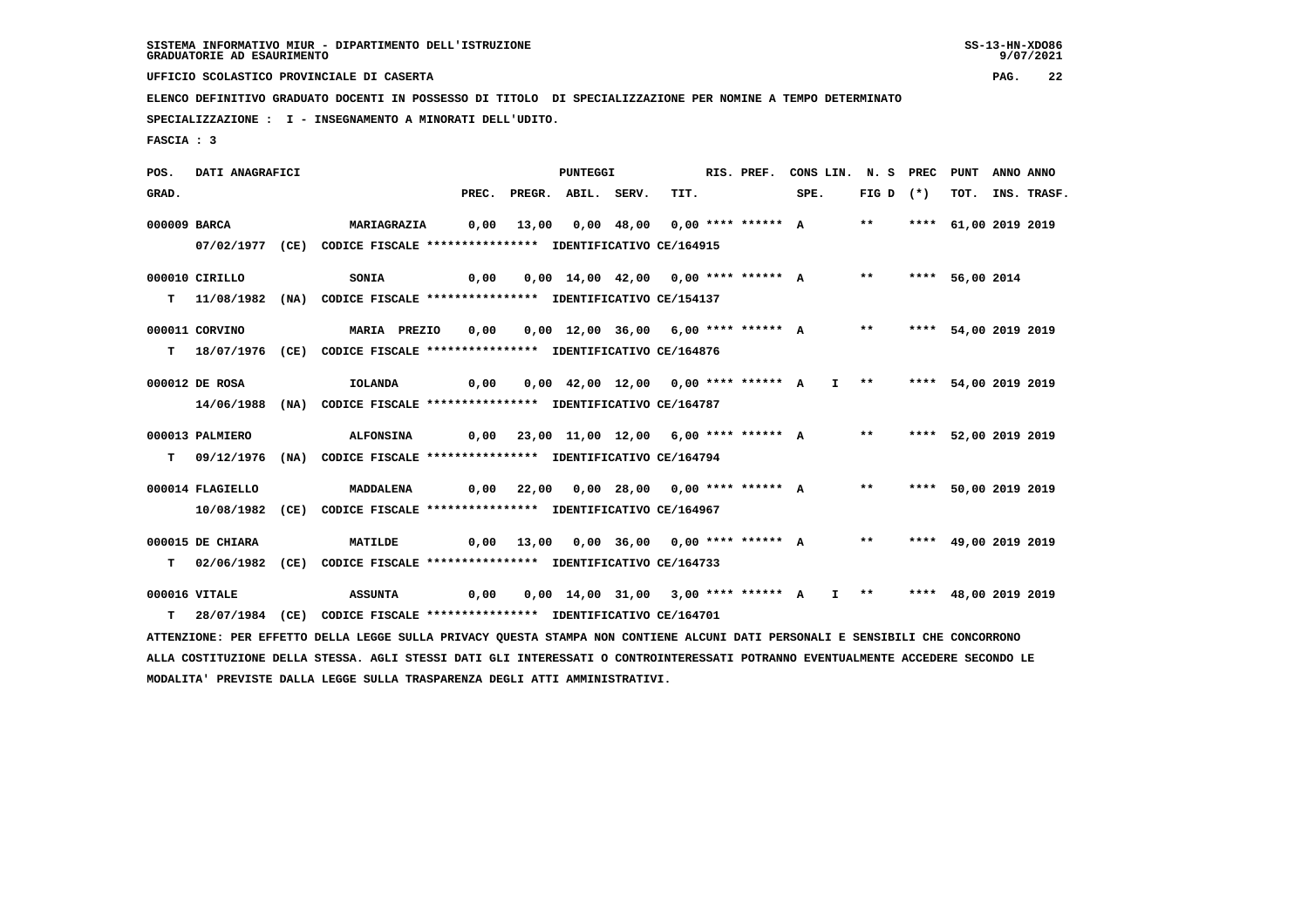**UFFICIO SCOLASTICO PROVINCIALE DI CASERTA PAG. 22**

 **ELENCO DEFINITIVO GRADUATO DOCENTI IN POSSESSO DI TITOLO DI SPECIALIZZAZIONE PER NOMINE A TEMPO DETERMINATO**

 **SPECIALIZZAZIONE : I - INSEGNAMENTO A MINORATI DELL'UDITO.**

 **MODALITA' PREVISTE DALLA LEGGE SULLA TRASPARENZA DEGLI ATTI AMMINISTRATIVI.**

 **FASCIA : 3**

 **POS. DATI ANAGRAFICI PUNTEGGI RIS. PREF. CONS LIN. N. S PREC PUNT ANNO ANNO**GRAD. PREC. PREGR. ABIL. SERV. TIT. SPE. FIG D (\*) TOT. INS. TRASF.  **000009 BARCA MARIAGRAZIA 0,00 13,00 0,00 48,00 0,00 \*\*\*\* \*\*\*\*\*\* A \*\* \*\*\*\* 61,00 2019 2019 07/02/1977 (CE) CODICE FISCALE \*\*\*\*\*\*\*\*\*\*\*\*\*\*\*\* IDENTIFICATIVO CE/164915 000010 CIRILLO SONIA 0,00 0,00 14,00 42,00 0,00 \*\*\*\* \*\*\*\*\*\* A \*\* \*\*\*\* 56,00 2014 T 11/08/1982 (NA) CODICE FISCALE \*\*\*\*\*\*\*\*\*\*\*\*\*\*\*\* IDENTIFICATIVO CE/154137 000011 CORVINO MARIA PREZIO 0,00 0,00 12,00 36,00 6,00 \*\*\*\* \*\*\*\*\*\* A \*\* \*\*\*\* 54,00 2019 2019 T 18/07/1976 (CE) CODICE FISCALE \*\*\*\*\*\*\*\*\*\*\*\*\*\*\*\* IDENTIFICATIVO CE/164876 000012 DE ROSA IOLANDA 0,00 0,00 42,00 12,00 0,00 \*\*\*\* \*\*\*\*\*\* A I \*\* \*\*\*\* 54,00 2019 2019 14/06/1988 (NA) CODICE FISCALE \*\*\*\*\*\*\*\*\*\*\*\*\*\*\*\* IDENTIFICATIVO CE/164787 000013 PALMIERO ALFONSINA 0,00 23,00 11,00 12,00 6,00 \*\*\*\* \*\*\*\*\*\* A \*\* \*\*\*\* 52,00 2019 2019 T 09/12/1976 (NA) CODICE FISCALE \*\*\*\*\*\*\*\*\*\*\*\*\*\*\*\* IDENTIFICATIVO CE/164794 000014 FLAGIELLO MADDALENA 0,00 22,00 0,00 28,00 0,00 \*\*\*\* \*\*\*\*\*\* A \*\* \*\*\*\* 50,00 2019 2019 10/08/1982 (CE) CODICE FISCALE \*\*\*\*\*\*\*\*\*\*\*\*\*\*\*\* IDENTIFICATIVO CE/164967 000015 DE CHIARA MATILDE 0,00 13,00 0,00 36,00 0,00 \*\*\*\* \*\*\*\*\*\* A \*\* \*\*\*\* 49,00 2019 2019 T 02/06/1982 (CE) CODICE FISCALE \*\*\*\*\*\*\*\*\*\*\*\*\*\*\*\* IDENTIFICATIVO CE/164733 000016 VITALE ASSUNTA 0,00 0,00 14,00 31,00 3,00 \*\*\*\* \*\*\*\*\*\* A I \*\* \*\*\*\* 48,00 2019 2019 T 28/07/1984 (CE) CODICE FISCALE \*\*\*\*\*\*\*\*\*\*\*\*\*\*\*\* IDENTIFICATIVO CE/164701 ATTENZIONE: PER EFFETTO DELLA LEGGE SULLA PRIVACY QUESTA STAMPA NON CONTIENE ALCUNI DATI PERSONALI E SENSIBILI CHE CONCORRONO ALLA COSTITUZIONE DELLA STESSA. AGLI STESSI DATI GLI INTERESSATI O CONTROINTERESSATI POTRANNO EVENTUALMENTE ACCEDERE SECONDO LE**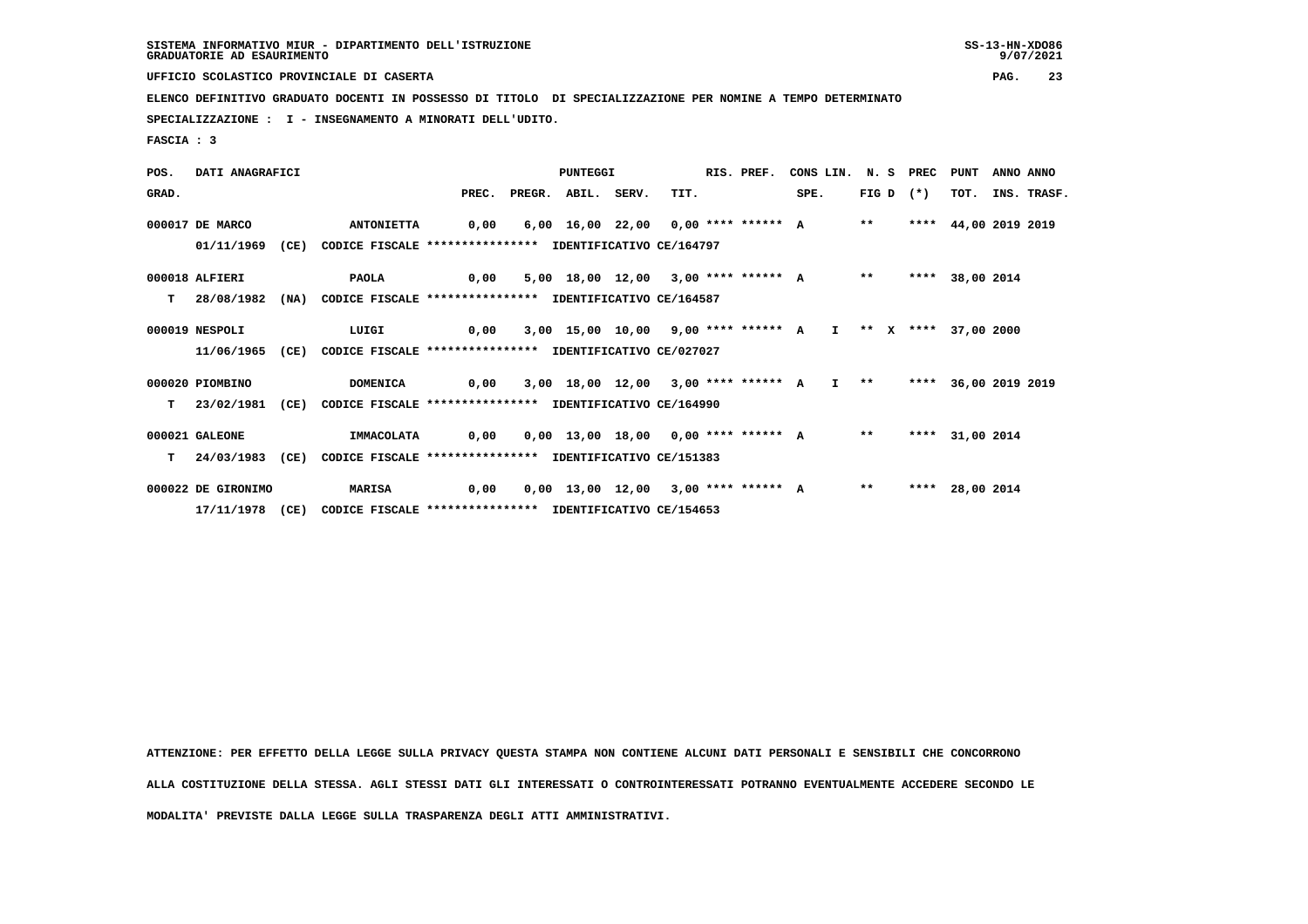**UFFICIO SCOLASTICO PROVINCIALE DI CASERTA PAG. 23**

 **ELENCO DEFINITIVO GRADUATO DOCENTI IN POSSESSO DI TITOLO DI SPECIALIZZAZIONE PER NOMINE A TEMPO DETERMINATO**

 **SPECIALIZZAZIONE : I - INSEGNAMENTO A MINORATI DELL'UDITO.**

 **FASCIA : 3**

 **POS. DATI ANAGRAFICI PUNTEGGI RIS. PREF. CONS LIN. N. S PREC PUNT ANNO ANNO GRAD. PREC. PREGR. ABIL. SERV. TIT. SPE. FIG D (\*) TOT. INS. TRASF. 000017 DE MARCO ANTONIETTA 0,00 6,00 16,00 22,00 0,00 \*\*\*\* \*\*\*\*\*\* A \*\* \*\*\*\* 44,00 2019 2019 01/11/1969 (CE) CODICE FISCALE \*\*\*\*\*\*\*\*\*\*\*\*\*\*\*\* IDENTIFICATIVO CE/164797 000018 ALFIERI PAOLA 0,00 5,00 18,00 12,00 3,00 \*\*\*\* \*\*\*\*\*\* A \*\* \*\*\*\* 38,00 2014 T 28/08/1982 (NA) CODICE FISCALE \*\*\*\*\*\*\*\*\*\*\*\*\*\*\*\* IDENTIFICATIVO CE/164587 000019 NESPOLI LUIGI 0,00 3,00 15,00 10,00 9,00 \*\*\*\* \*\*\*\*\*\* A I \*\* X \*\*\*\* 37,00 2000 11/06/1965 (CE) CODICE FISCALE \*\*\*\*\*\*\*\*\*\*\*\*\*\*\*\* IDENTIFICATIVO CE/027027 000020 PIOMBINO DOMENICA 0,00 3,00 18,00 12,00 3,00 \*\*\*\* \*\*\*\*\*\* A I \*\* \*\*\*\* 36,00 2019 2019 T 23/02/1981 (CE) CODICE FISCALE \*\*\*\*\*\*\*\*\*\*\*\*\*\*\*\* IDENTIFICATIVO CE/164990 000021 GALEONE IMMACOLATA 0,00 0,00 13,00 18,00 0,00 \*\*\*\* \*\*\*\*\*\* A \*\* \*\*\*\* 31,00 2014 T 24/03/1983 (CE) CODICE FISCALE \*\*\*\*\*\*\*\*\*\*\*\*\*\*\*\* IDENTIFICATIVO CE/151383 000022 DE GIRONIMO MARISA 0,00 0,00 13,00 12,00 3,00 \*\*\*\* \*\*\*\*\*\* A \*\* \*\*\*\* 28,00 2014 17/11/1978 (CE) CODICE FISCALE \*\*\*\*\*\*\*\*\*\*\*\*\*\*\*\* IDENTIFICATIVO CE/154653**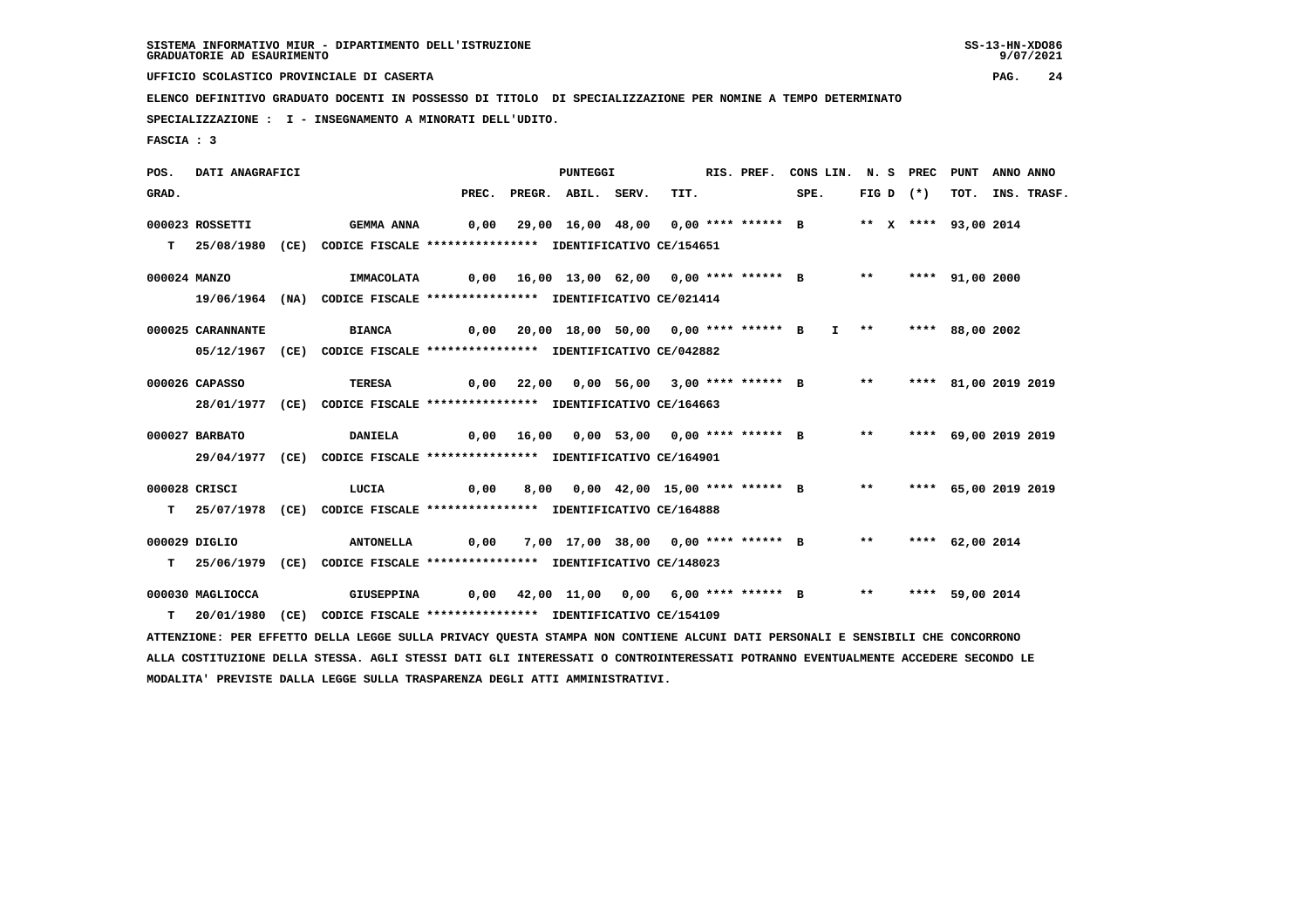**UFFICIO SCOLASTICO PROVINCIALE DI CASERTA PAG. 24**

 **ELENCO DEFINITIVO GRADUATO DOCENTI IN POSSESSO DI TITOLO DI SPECIALIZZAZIONE PER NOMINE A TEMPO DETERMINATO**

 **SPECIALIZZAZIONE : I - INSEGNAMENTO A MINORATI DELL'UDITO.**

 **MODALITA' PREVISTE DALLA LEGGE SULLA TRASPARENZA DEGLI ATTI AMMINISTRATIVI.**

 **FASCIA : 3**

 **POS. DATI ANAGRAFICI PUNTEGGI RIS. PREF. CONS LIN. N. S PREC PUNT ANNO ANNO**GRAD. PREC. PREGR. ABIL. SERV. TIT. SPE. FIG D (\*) TOT. INS. TRASF.  **000023 ROSSETTI GEMMA ANNA 0,00 29,00 16,00 48,00 0,00 \*\*\*\* \*\*\*\*\*\* B \*\* X \*\*\*\* 93,00 2014 T 25/08/1980 (CE) CODICE FISCALE \*\*\*\*\*\*\*\*\*\*\*\*\*\*\*\* IDENTIFICATIVO CE/154651 000024 MANZO IMMACOLATA 0,00 16,00 13,00 62,00 0,00 \*\*\*\* \*\*\*\*\*\* B \*\* \*\*\*\* 91,00 2000 19/06/1964 (NA) CODICE FISCALE \*\*\*\*\*\*\*\*\*\*\*\*\*\*\*\* IDENTIFICATIVO CE/021414 000025 CARANNANTE BIANCA 0,00 20,00 18,00 50,00 0,00 \*\*\*\* \*\*\*\*\*\* B I \*\* \*\*\*\* 88,00 2002 05/12/1967 (CE) CODICE FISCALE \*\*\*\*\*\*\*\*\*\*\*\*\*\*\*\* IDENTIFICATIVO CE/042882 000026 CAPASSO TERESA 0,00 22,00 0,00 56,00 3,00 \*\*\*\* \*\*\*\*\*\* B \*\* \*\*\*\* 81,00 2019 2019 28/01/1977 (CE) CODICE FISCALE \*\*\*\*\*\*\*\*\*\*\*\*\*\*\*\* IDENTIFICATIVO CE/164663 000027 BARBATO DANIELA 0,00 16,00 0,00 53,00 0,00 \*\*\*\* \*\*\*\*\*\* B \*\* \*\*\*\* 69,00 2019 2019 29/04/1977 (CE) CODICE FISCALE \*\*\*\*\*\*\*\*\*\*\*\*\*\*\*\* IDENTIFICATIVO CE/164901 000028 CRISCI LUCIA 0,00 8,00 0,00 42,00 15,00 \*\*\*\* \*\*\*\*\*\* B \*\* \*\*\*\* 65,00 2019 2019 T 25/07/1978 (CE) CODICE FISCALE \*\*\*\*\*\*\*\*\*\*\*\*\*\*\*\* IDENTIFICATIVO CE/164888 000029 DIGLIO ANTONELLA 0,00 7,00 17,00 38,00 0,00 \*\*\*\* \*\*\*\*\*\* B \*\* \*\*\*\* 62,00 2014 T 25/06/1979 (CE) CODICE FISCALE \*\*\*\*\*\*\*\*\*\*\*\*\*\*\*\* IDENTIFICATIVO CE/148023 000030 MAGLIOCCA GIUSEPPINA 0,00 42,00 11,00 0,00 6,00 \*\*\*\* \*\*\*\*\*\* B \*\* \*\*\*\* 59,00 2014 T 20/01/1980 (CE) CODICE FISCALE \*\*\*\*\*\*\*\*\*\*\*\*\*\*\*\* IDENTIFICATIVO CE/154109 ATTENZIONE: PER EFFETTO DELLA LEGGE SULLA PRIVACY QUESTA STAMPA NON CONTIENE ALCUNI DATI PERSONALI E SENSIBILI CHE CONCORRONO ALLA COSTITUZIONE DELLA STESSA. AGLI STESSI DATI GLI INTERESSATI O CONTROINTERESSATI POTRANNO EVENTUALMENTE ACCEDERE SECONDO LE**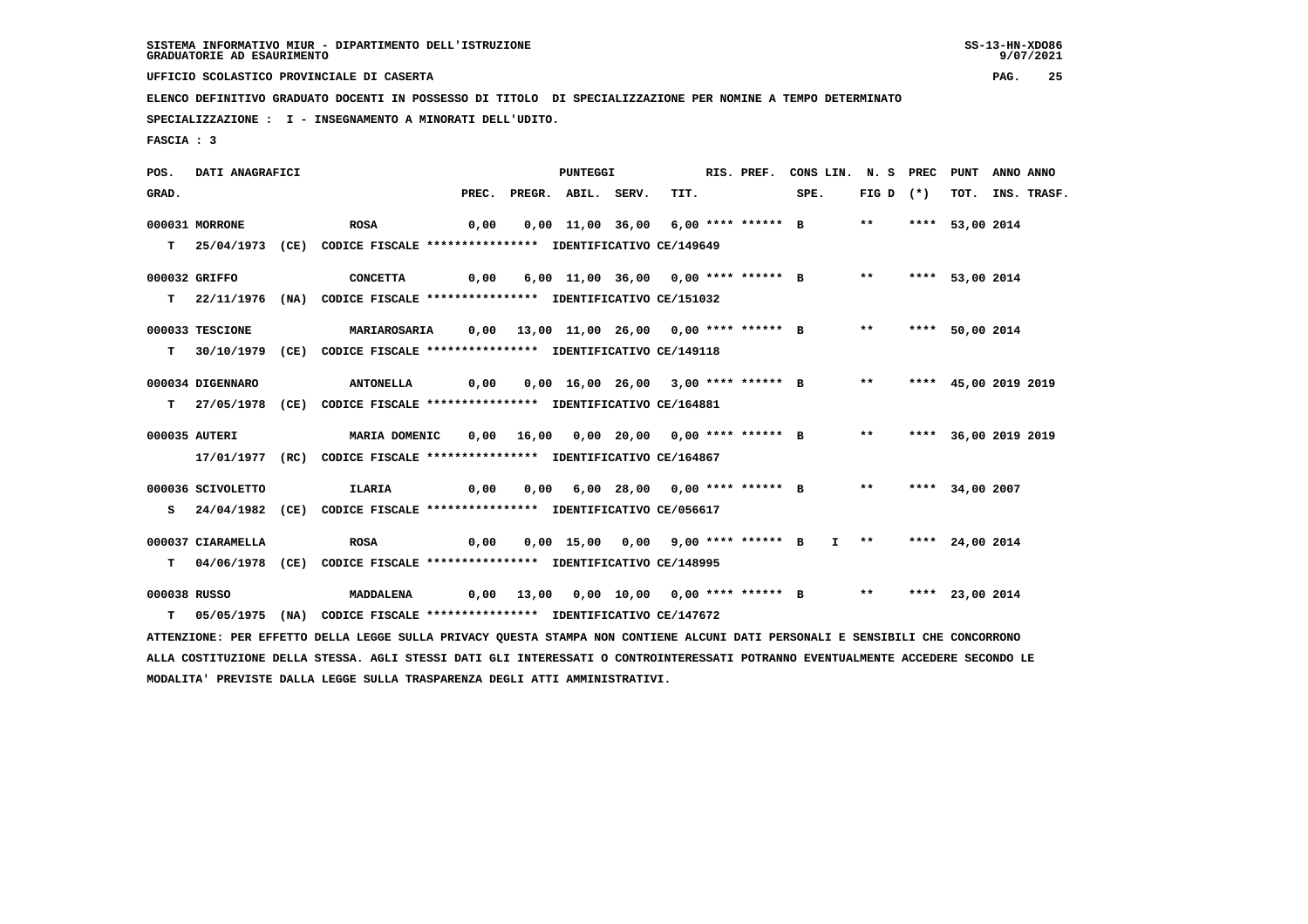**UFFICIO SCOLASTICO PROVINCIALE DI CASERTA PAG. 25**

 **ELENCO DEFINITIVO GRADUATO DOCENTI IN POSSESSO DI TITOLO DI SPECIALIZZAZIONE PER NOMINE A TEMPO DETERMINATO**

 **SPECIALIZZAZIONE : I - INSEGNAMENTO A MINORATI DELL'UDITO.**

 **FASCIA : 3**

 **POS. DATI ANAGRAFICI PUNTEGGI RIS. PREF. CONS LIN. N. S PREC PUNT ANNO ANNO**GRAD. PREC. PREGR. ABIL. SERV. TIT. SPE. FIG D (\*) TOT. INS. TRASF.  **000031 MORRONE ROSA 0,00 0,00 11,00 36,00 6,00 \*\*\*\* \*\*\*\*\*\* B \*\* \*\*\*\* 53,00 2014 T 25/04/1973 (CE) CODICE FISCALE \*\*\*\*\*\*\*\*\*\*\*\*\*\*\*\* IDENTIFICATIVO CE/149649 000032 GRIFFO CONCETTA 0,00 6,00 11,00 36,00 0,00 \*\*\*\* \*\*\*\*\*\* B \*\* \*\*\*\* 53,00 2014 T 22/11/1976 (NA) CODICE FISCALE \*\*\*\*\*\*\*\*\*\*\*\*\*\*\*\* IDENTIFICATIVO CE/151032 000033 TESCIONE MARIAROSARIA 0,00 13,00 11,00 26,00 0,00 \*\*\*\* \*\*\*\*\*\* B \*\* \*\*\*\* 50,00 2014 T 30/10/1979 (CE) CODICE FISCALE \*\*\*\*\*\*\*\*\*\*\*\*\*\*\*\* IDENTIFICATIVO CE/149118 000034 DIGENNARO ANTONELLA 0,00 0,00 16,00 26,00 3,00 \*\*\*\* \*\*\*\*\*\* B \*\* \*\*\*\* 45,00 2019 2019 T 27/05/1978 (CE) CODICE FISCALE \*\*\*\*\*\*\*\*\*\*\*\*\*\*\*\* IDENTIFICATIVO CE/164881 000035 AUTERI MARIA DOMENIC 0,00 16,00 0,00 20,00 0,00 \*\*\*\* \*\*\*\*\*\* B \*\* \*\*\*\* 36,00 2019 2019 17/01/1977 (RC) CODICE FISCALE \*\*\*\*\*\*\*\*\*\*\*\*\*\*\*\* IDENTIFICATIVO CE/164867 000036 SCIVOLETTO ILARIA 0,00 0,00 6,00 28,00 0,00 \*\*\*\* \*\*\*\*\*\* B \*\* \*\*\*\* 34,00 2007 S 24/04/1982 (CE) CODICE FISCALE \*\*\*\*\*\*\*\*\*\*\*\*\*\*\*\* IDENTIFICATIVO CE/056617 000037 CIARAMELLA ROSA 0,00 0,00 15,00 0,00 9,00 \*\*\*\* \*\*\*\*\*\* B I \*\* \*\*\*\* 24,00 2014 T 04/06/1978 (CE) CODICE FISCALE \*\*\*\*\*\*\*\*\*\*\*\*\*\*\*\* IDENTIFICATIVO CE/148995 000038 RUSSO MADDALENA 0,00 13,00 0,00 10,00 0,00 \*\*\*\* \*\*\*\*\*\* B \*\* \*\*\*\* 23,00 2014 T 05/05/1975 (NA) CODICE FISCALE \*\*\*\*\*\*\*\*\*\*\*\*\*\*\*\* IDENTIFICATIVO CE/147672 ATTENZIONE: PER EFFETTO DELLA LEGGE SULLA PRIVACY QUESTA STAMPA NON CONTIENE ALCUNI DATI PERSONALI E SENSIBILI CHE CONCORRONO ALLA COSTITUZIONE DELLA STESSA. AGLI STESSI DATI GLI INTERESSATI O CONTROINTERESSATI POTRANNO EVENTUALMENTE ACCEDERE SECONDO LE MODALITA' PREVISTE DALLA LEGGE SULLA TRASPARENZA DEGLI ATTI AMMINISTRATIVI.**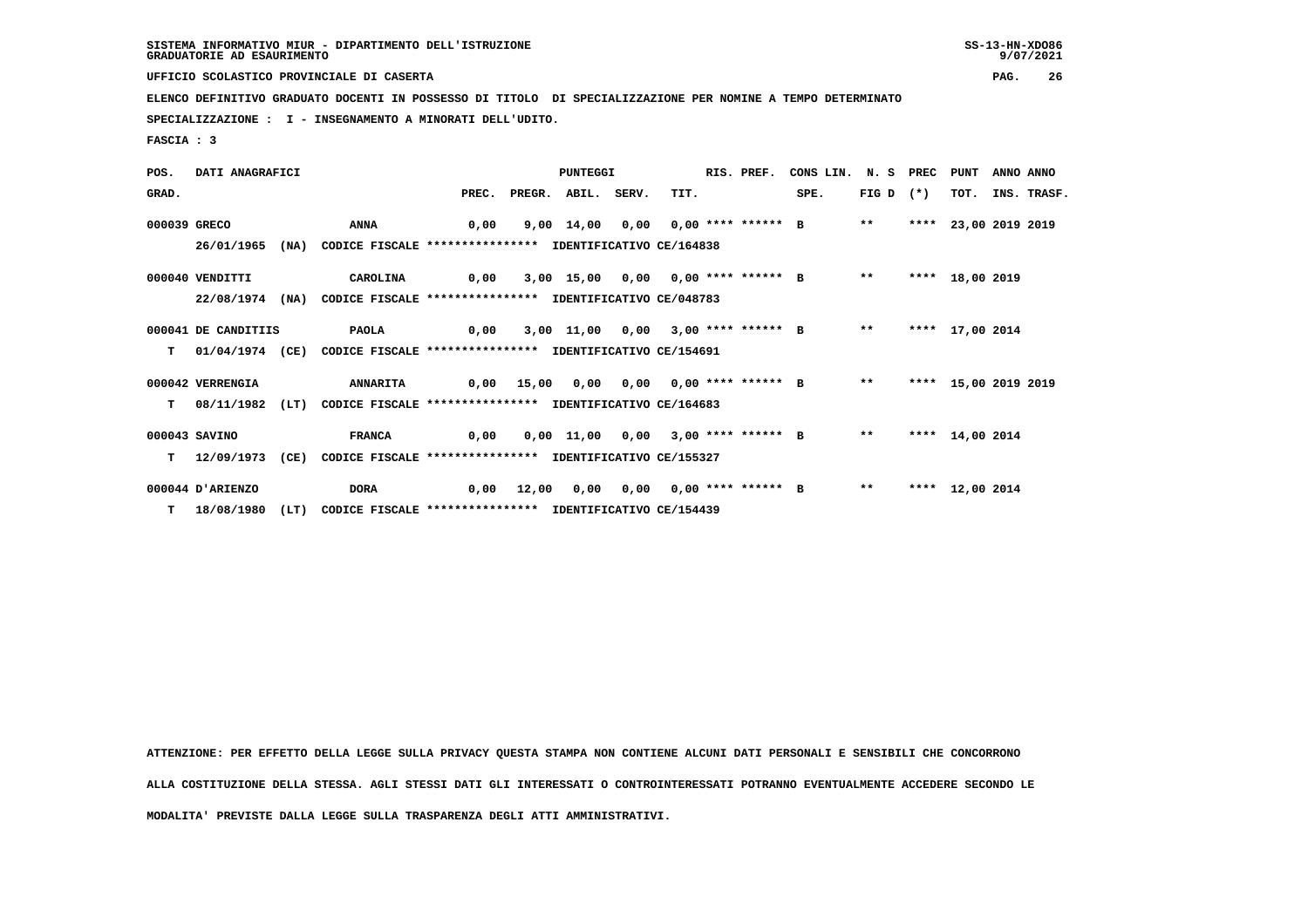**UFFICIO SCOLASTICO PROVINCIALE DI CASERTA PAG. 26**

 **ELENCO DEFINITIVO GRADUATO DOCENTI IN POSSESSO DI TITOLO DI SPECIALIZZAZIONE PER NOMINE A TEMPO DETERMINATO**

 **SPECIALIZZAZIONE : I - INSEGNAMENTO A MINORATI DELL'UDITO.**

 **FASCIA : 3**

| POS.         | DATI ANAGRAFICI     |      |                                                          |       |       | PUNTEGGI           |                                      | RIS. PREF. | CONS LIN. N. S PREC PUNT                   |             |                      | ANNO ANNO |                  |
|--------------|---------------------|------|----------------------------------------------------------|-------|-------|--------------------|--------------------------------------|------------|--------------------------------------------|-------------|----------------------|-----------|------------------|
| GRAD.        |                     |      |                                                          | PREC. |       | PREGR. ABIL. SERV. | TIT.                                 |            | SPE.                                       | $FIG D (*)$ |                      |           | TOT. INS. TRASF. |
| 000039 GRECO |                     |      | <b>ANNA</b>                                              | 0,00  |       |                    |                                      |            | 9,00 14,00 0,00 0,00 **** ****** B         | $***$       | **** 23,00 2019 2019 |           |                  |
|              | 26/01/1965          | (NA) | CODICE FISCALE **************** IDENTIFICATIVO CE/164838 |       |       |                    |                                      |            |                                            |             |                      |           |                  |
|              | 000040 VENDITTI     |      | CAROLINA                                                 | 0,00  |       |                    |                                      |            | 3,00 15,00 0,00 0,00 **** ****** B         | $***$       | **** 18,00 2019      |           |                  |
|              | 22/08/1974          | (NA) | CODICE FISCALE **************** IDENTIFICATIVO CE/048783 |       |       |                    |                                      |            |                                            |             |                      |           |                  |
|              | 000041 DE CANDITIIS |      | <b>PAOLA</b>                                             | 0,00  |       |                    | $3,00$ 11,00 0,00 3,00 **** ****** B |            |                                            | $* *$       | **** 17,00 2014      |           |                  |
| T.           | 01/04/1974 (CE)     |      | CODICE FISCALE **************** IDENTIFICATIVO CE/154691 |       |       |                    |                                      |            |                                            |             |                      |           |                  |
|              | 000042 VERRENGIA    |      | <b>ANNARITA</b>                                          |       |       |                    |                                      |            | 0,00 15,00 0,00 0,00 0,00 **** ****** B ** |             | **** 15,00 2019 2019 |           |                  |
| т            | 08/11/1982 (LT)     |      | CODICE FISCALE **************** IDENTIFICATIVO CE/164683 |       |       |                    |                                      |            |                                            |             |                      |           |                  |
|              | 000043 SAVINO       |      | <b>FRANCA</b>                                            | 0,00  |       |                    |                                      |            | 0,00 11,00 0,00 3,00 **** ****** B         | $***$       | **** 14,00 2014      |           |                  |
| т            | 12/09/1973          | (CE) | CODICE FISCALE **************** IDENTIFICATIVO CE/155327 |       |       |                    |                                      |            |                                            |             |                      |           |                  |
|              | 000044 D'ARIENZO    |      | <b>DORA</b>                                              | 0,00  | 12,00 |                    | 0,00 0,00 0,00 **** ****** B         |            |                                            | $***$       | **** 12,00 2014      |           |                  |
|              | $T = 18/08/1980$    | (LT) | CODICE FISCALE **************** IDENTIFICATIVO CE/154439 |       |       |                    |                                      |            |                                            |             |                      |           |                  |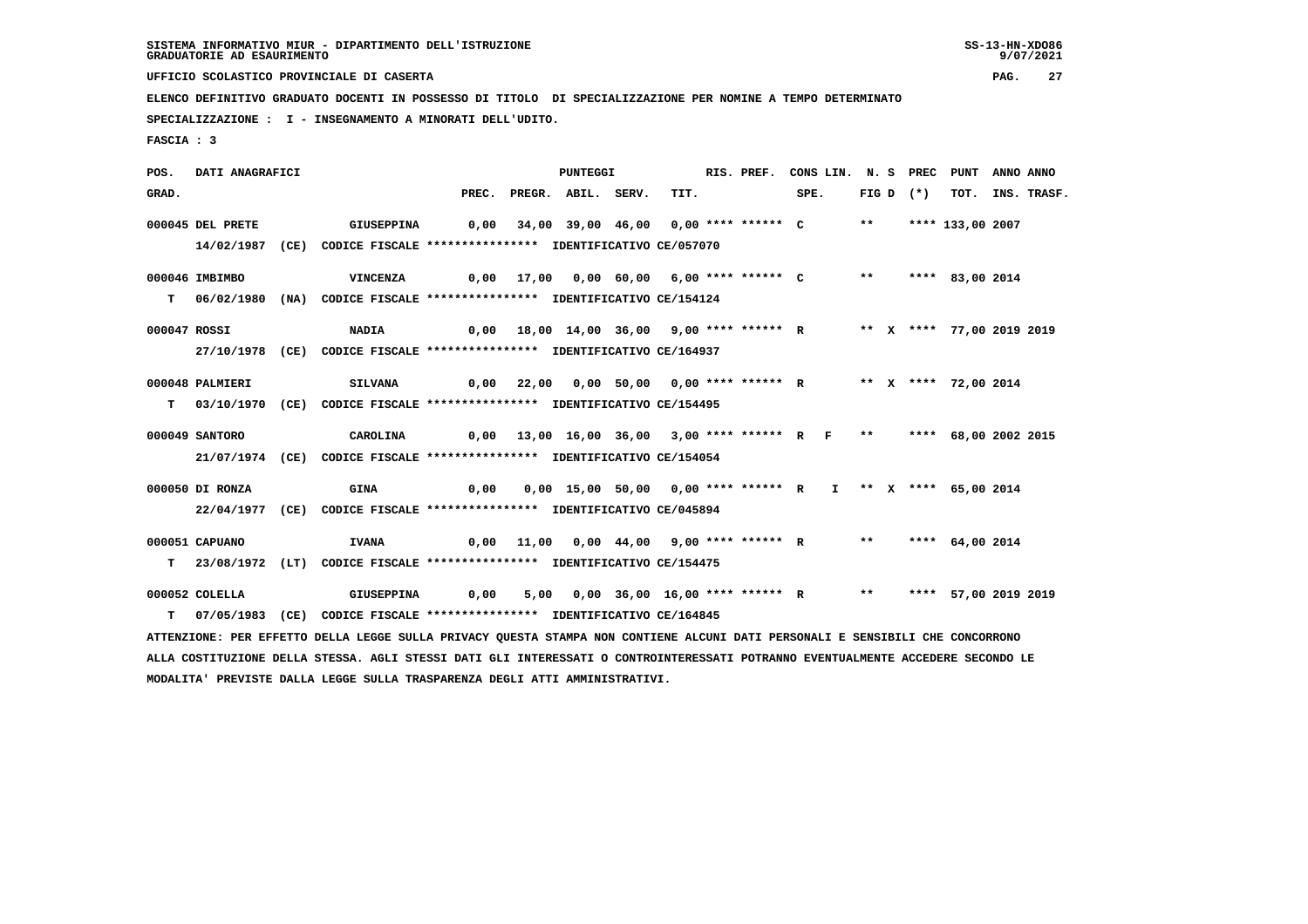**UFFICIO SCOLASTICO PROVINCIALE DI CASERTA PAG. 27**

 **ELENCO DEFINITIVO GRADUATO DOCENTI IN POSSESSO DI TITOLO DI SPECIALIZZAZIONE PER NOMINE A TEMPO DETERMINATO**

 **SPECIALIZZAZIONE : I - INSEGNAMENTO A MINORATI DELL'UDITO.**

 **FASCIA : 3**

 **POS. DATI ANAGRAFICI PUNTEGGI RIS. PREF. CONS LIN. N. S PREC PUNT ANNO ANNO**GRAD. PREC. PREGR. ABIL. SERV. TIT. SPE. FIG D (\*) TOT. INS. TRASF.  **000045 DEL PRETE GIUSEPPINA 0,00 34,00 39,00 46,00 0,00 \*\*\*\* \*\*\*\*\*\* C \*\* \*\*\*\* 133,00 2007 14/02/1987 (CE) CODICE FISCALE \*\*\*\*\*\*\*\*\*\*\*\*\*\*\*\* IDENTIFICATIVO CE/057070 000046 IMBIMBO VINCENZA 0,00 17,00 0,00 60,00 6,00 \*\*\*\* \*\*\*\*\*\* C \*\* \*\*\*\* 83,00 2014 T 06/02/1980 (NA) CODICE FISCALE \*\*\*\*\*\*\*\*\*\*\*\*\*\*\*\* IDENTIFICATIVO CE/154124 000047 ROSSI NADIA 0,00 18,00 14,00 36,00 9,00 \*\*\*\* \*\*\*\*\*\* R \*\* X \*\*\*\* 77,00 2019 2019 27/10/1978 (CE) CODICE FISCALE \*\*\*\*\*\*\*\*\*\*\*\*\*\*\*\* IDENTIFICATIVO CE/164937 000048 PALMIERI SILVANA 0,00 22,00 0,00 50,00 0,00 \*\*\*\* \*\*\*\*\*\* R \*\* X \*\*\*\* 72,00 2014 T 03/10/1970 (CE) CODICE FISCALE \*\*\*\*\*\*\*\*\*\*\*\*\*\*\*\* IDENTIFICATIVO CE/154495 000049 SANTORO CAROLINA 0,00 13,00 16,00 36,00 3,00 \*\*\*\* \*\*\*\*\*\* R F \*\* \*\*\*\* 68,00 2002 2015 21/07/1974 (CE) CODICE FISCALE \*\*\*\*\*\*\*\*\*\*\*\*\*\*\*\* IDENTIFICATIVO CE/154054 000050 DI RONZA GINA 0,00 0,00 15,00 50,00 0,00 \*\*\*\* \*\*\*\*\*\* R I \*\* X \*\*\*\* 65,00 2014 22/04/1977 (CE) CODICE FISCALE \*\*\*\*\*\*\*\*\*\*\*\*\*\*\*\* IDENTIFICATIVO CE/045894 000051 CAPUANO IVANA 0,00 11,00 0,00 44,00 9,00 \*\*\*\* \*\*\*\*\*\* R \*\* \*\*\*\* 64,00 2014 T 23/08/1972 (LT) CODICE FISCALE \*\*\*\*\*\*\*\*\*\*\*\*\*\*\*\* IDENTIFICATIVO CE/154475 000052 COLELLA GIUSEPPINA 0,00 5,00 0,00 36,00 16,00 \*\*\*\* \*\*\*\*\*\* R \*\* \*\*\*\* 57,00 2019 2019 T 07/05/1983 (CE) CODICE FISCALE \*\*\*\*\*\*\*\*\*\*\*\*\*\*\*\* IDENTIFICATIVO CE/164845 ATTENZIONE: PER EFFETTO DELLA LEGGE SULLA PRIVACY QUESTA STAMPA NON CONTIENE ALCUNI DATI PERSONALI E SENSIBILI CHE CONCORRONO ALLA COSTITUZIONE DELLA STESSA. AGLI STESSI DATI GLI INTERESSATI O CONTROINTERESSATI POTRANNO EVENTUALMENTE ACCEDERE SECONDO LE MODALITA' PREVISTE DALLA LEGGE SULLA TRASPARENZA DEGLI ATTI AMMINISTRATIVI.**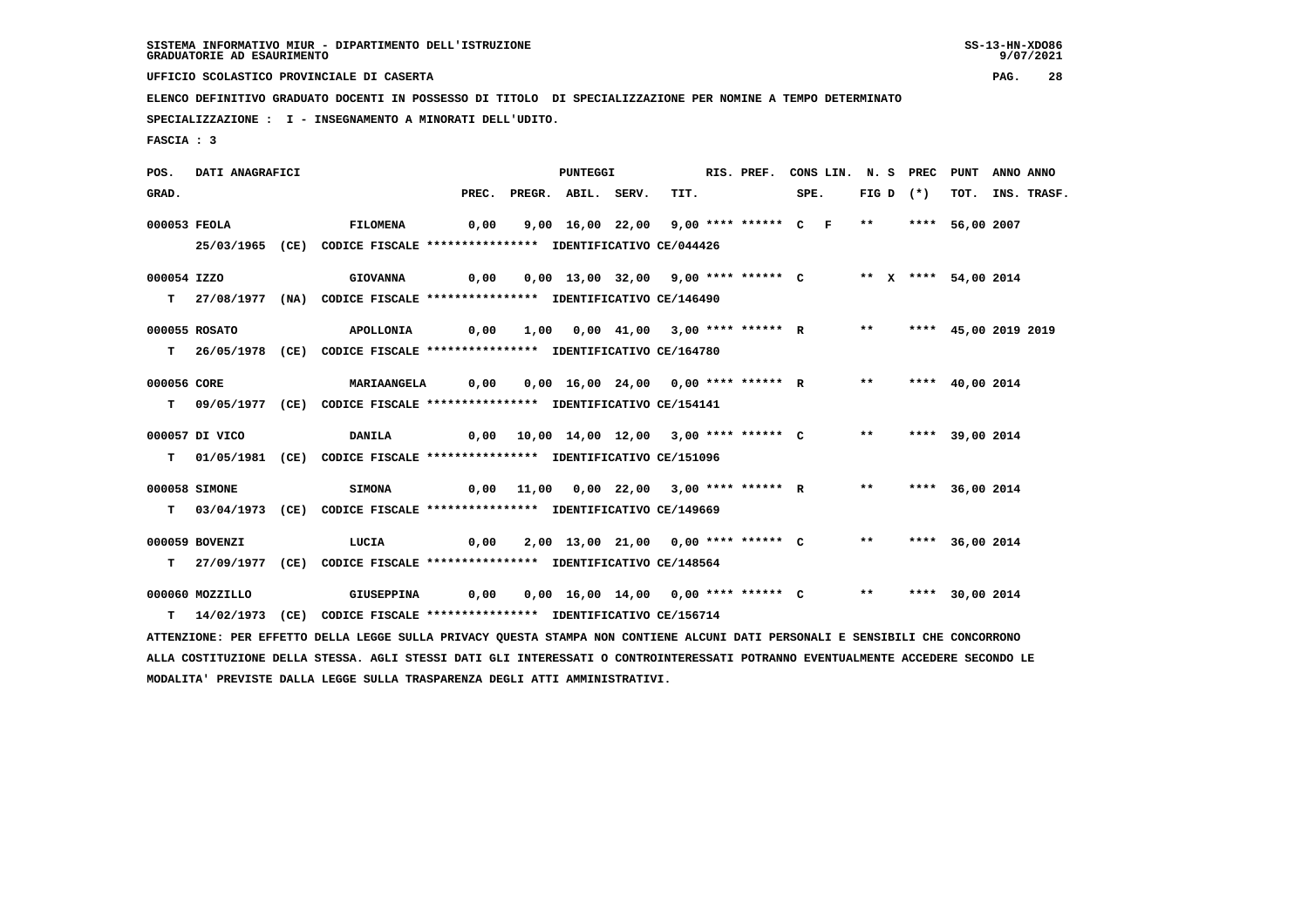**UFFICIO SCOLASTICO PROVINCIALE DI CASERTA PAG. 28**

 **ELENCO DEFINITIVO GRADUATO DOCENTI IN POSSESSO DI TITOLO DI SPECIALIZZAZIONE PER NOMINE A TEMPO DETERMINATO**

 **SPECIALIZZAZIONE : I - INSEGNAMENTO A MINORATI DELL'UDITO.**

 **MODALITA' PREVISTE DALLA LEGGE SULLA TRASPARENZA DEGLI ATTI AMMINISTRATIVI.**

 **FASCIA : 3**

 **POS. DATI ANAGRAFICI PUNTEGGI RIS. PREF. CONS LIN. N. S PREC PUNT ANNO ANNO**GRAD. PREC. PREGR. ABIL. SERV. TIT. SPE. FIG D (\*) TOT. INS. TRASF.  **000053 FEOLA FILOMENA 0,00 9,00 16,00 22,00 9,00 \*\*\*\* \*\*\*\*\*\* C F \*\* \*\*\*\* 56,00 2007 25/03/1965 (CE) CODICE FISCALE \*\*\*\*\*\*\*\*\*\*\*\*\*\*\*\* IDENTIFICATIVO CE/044426 000054 IZZO GIOVANNA 0,00 0,00 13,00 32,00 9,00 \*\*\*\* \*\*\*\*\*\* C \*\* X \*\*\*\* 54,00 2014 T 27/08/1977 (NA) CODICE FISCALE \*\*\*\*\*\*\*\*\*\*\*\*\*\*\*\* IDENTIFICATIVO CE/146490 000055 ROSATO APOLLONIA 0,00 1,00 0,00 41,00 3,00 \*\*\*\* \*\*\*\*\*\* R \*\* \*\*\*\* 45,00 2019 2019 T 26/05/1978 (CE) CODICE FISCALE \*\*\*\*\*\*\*\*\*\*\*\*\*\*\*\* IDENTIFICATIVO CE/164780 000056 CORE MARIAANGELA 0,00 0,00 16,00 24,00 0,00 \*\*\*\* \*\*\*\*\*\* R \*\* \*\*\*\* 40,00 2014 T 09/05/1977 (CE) CODICE FISCALE \*\*\*\*\*\*\*\*\*\*\*\*\*\*\*\* IDENTIFICATIVO CE/154141 000057 DI VICO DANILA 0,00 10,00 14,00 12,00 3,00 \*\*\*\* \*\*\*\*\*\* C \*\* \*\*\*\* 39,00 2014 T 01/05/1981 (CE) CODICE FISCALE \*\*\*\*\*\*\*\*\*\*\*\*\*\*\*\* IDENTIFICATIVO CE/151096 000058 SIMONE SIMONA 0,00 11,00 0,00 22,00 3,00 \*\*\*\* \*\*\*\*\*\* R \*\* \*\*\*\* 36,00 2014 T 03/04/1973 (CE) CODICE FISCALE \*\*\*\*\*\*\*\*\*\*\*\*\*\*\*\* IDENTIFICATIVO CE/149669 000059 BOVENZI LUCIA 0,00 2,00 13,00 21,00 0,00 \*\*\*\* \*\*\*\*\*\* C \*\* \*\*\*\* 36,00 2014 T 27/09/1977 (CE) CODICE FISCALE \*\*\*\*\*\*\*\*\*\*\*\*\*\*\*\* IDENTIFICATIVO CE/148564 000060 MOZZILLO GIUSEPPINA 0,00 0,00 16,00 14,00 0,00 \*\*\*\* \*\*\*\*\*\* C \*\* \*\*\*\* 30,00 2014 T 14/02/1973 (CE) CODICE FISCALE \*\*\*\*\*\*\*\*\*\*\*\*\*\*\*\* IDENTIFICATIVO CE/156714 ATTENZIONE: PER EFFETTO DELLA LEGGE SULLA PRIVACY QUESTA STAMPA NON CONTIENE ALCUNI DATI PERSONALI E SENSIBILI CHE CONCORRONO ALLA COSTITUZIONE DELLA STESSA. AGLI STESSI DATI GLI INTERESSATI O CONTROINTERESSATI POTRANNO EVENTUALMENTE ACCEDERE SECONDO LE**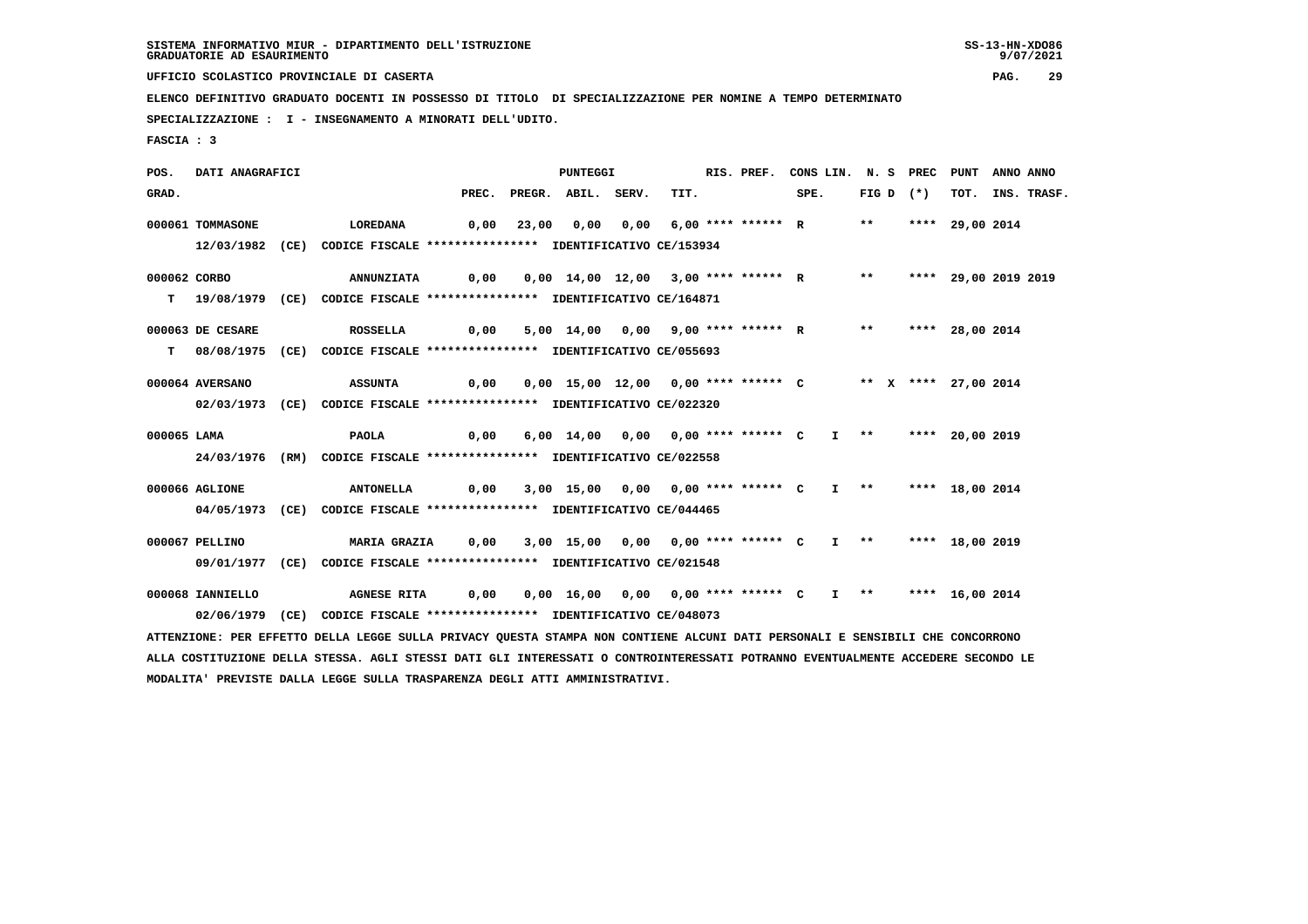**UFFICIO SCOLASTICO PROVINCIALE DI CASERTA PAG. 29**

 **ELENCO DEFINITIVO GRADUATO DOCENTI IN POSSESSO DI TITOLO DI SPECIALIZZAZIONE PER NOMINE A TEMPO DETERMINATO**

 **SPECIALIZZAZIONE : I - INSEGNAMENTO A MINORATI DELL'UDITO.**

 **FASCIA : 3**

 **POS. DATI ANAGRAFICI PUNTEGGI RIS. PREF. CONS LIN. N. S PREC PUNT ANNO ANNO**GRAD. PREC. PREGR. ABIL. SERV. TIT. SPE. FIG D (\*) TOT. INS. TRASF.  **000061 TOMMASONE LOREDANA 0,00 23,00 0,00 0,00 6,00 \*\*\*\* \*\*\*\*\*\* R \*\* \*\*\*\* 29,00 2014 12/03/1982 (CE) CODICE FISCALE \*\*\*\*\*\*\*\*\*\*\*\*\*\*\*\* IDENTIFICATIVO CE/153934 000062 CORBO ANNUNZIATA 0,00 0,00 14,00 12,00 3,00 \*\*\*\* \*\*\*\*\*\* R \*\* \*\*\*\* 29,00 2019 2019 T 19/08/1979 (CE) CODICE FISCALE \*\*\*\*\*\*\*\*\*\*\*\*\*\*\*\* IDENTIFICATIVO CE/164871 000063 DE CESARE ROSSELLA 0,00 5,00 14,00 0,00 9,00 \*\*\*\* \*\*\*\*\*\* R \*\* \*\*\*\* 28,00 2014 T 08/08/1975 (CE) CODICE FISCALE \*\*\*\*\*\*\*\*\*\*\*\*\*\*\*\* IDENTIFICATIVO CE/055693 000064 AVERSANO ASSUNTA 0,00 0,00 15,00 12,00 0,00 \*\*\*\* \*\*\*\*\*\* C \*\* X \*\*\*\* 27,00 2014 02/03/1973 (CE) CODICE FISCALE \*\*\*\*\*\*\*\*\*\*\*\*\*\*\*\* IDENTIFICATIVO CE/022320 000065 LAMA PAOLA 0,00 6,00 14,00 0,00 0,00 \*\*\*\* \*\*\*\*\*\* C I \*\* \*\*\*\* 20,00 2019 24/03/1976 (RM) CODICE FISCALE \*\*\*\*\*\*\*\*\*\*\*\*\*\*\*\* IDENTIFICATIVO CE/022558 000066 AGLIONE ANTONELLA 0,00 3,00 15,00 0,00 0,00 \*\*\*\* \*\*\*\*\*\* C I \*\* \*\*\*\* 18,00 2014 04/05/1973 (CE) CODICE FISCALE \*\*\*\*\*\*\*\*\*\*\*\*\*\*\*\* IDENTIFICATIVO CE/044465 000067 PELLINO MARIA GRAZIA 0,00 3,00 15,00 0,00 0,00 \*\*\*\* \*\*\*\*\*\* C I \*\* \*\*\*\* 18,00 2019 09/01/1977 (CE) CODICE FISCALE \*\*\*\*\*\*\*\*\*\*\*\*\*\*\*\* IDENTIFICATIVO CE/021548 000068 IANNIELLO AGNESE RITA 0,00 0,00 16,00 0,00 0,00 \*\*\*\* \*\*\*\*\*\* C I \*\* \*\*\*\* 16,00 2014 02/06/1979 (CE) CODICE FISCALE \*\*\*\*\*\*\*\*\*\*\*\*\*\*\*\* IDENTIFICATIVO CE/048073 ATTENZIONE: PER EFFETTO DELLA LEGGE SULLA PRIVACY QUESTA STAMPA NON CONTIENE ALCUNI DATI PERSONALI E SENSIBILI CHE CONCORRONO ALLA COSTITUZIONE DELLA STESSA. AGLI STESSI DATI GLI INTERESSATI O CONTROINTERESSATI POTRANNO EVENTUALMENTE ACCEDERE SECONDO LE**

 **MODALITA' PREVISTE DALLA LEGGE SULLA TRASPARENZA DEGLI ATTI AMMINISTRATIVI.**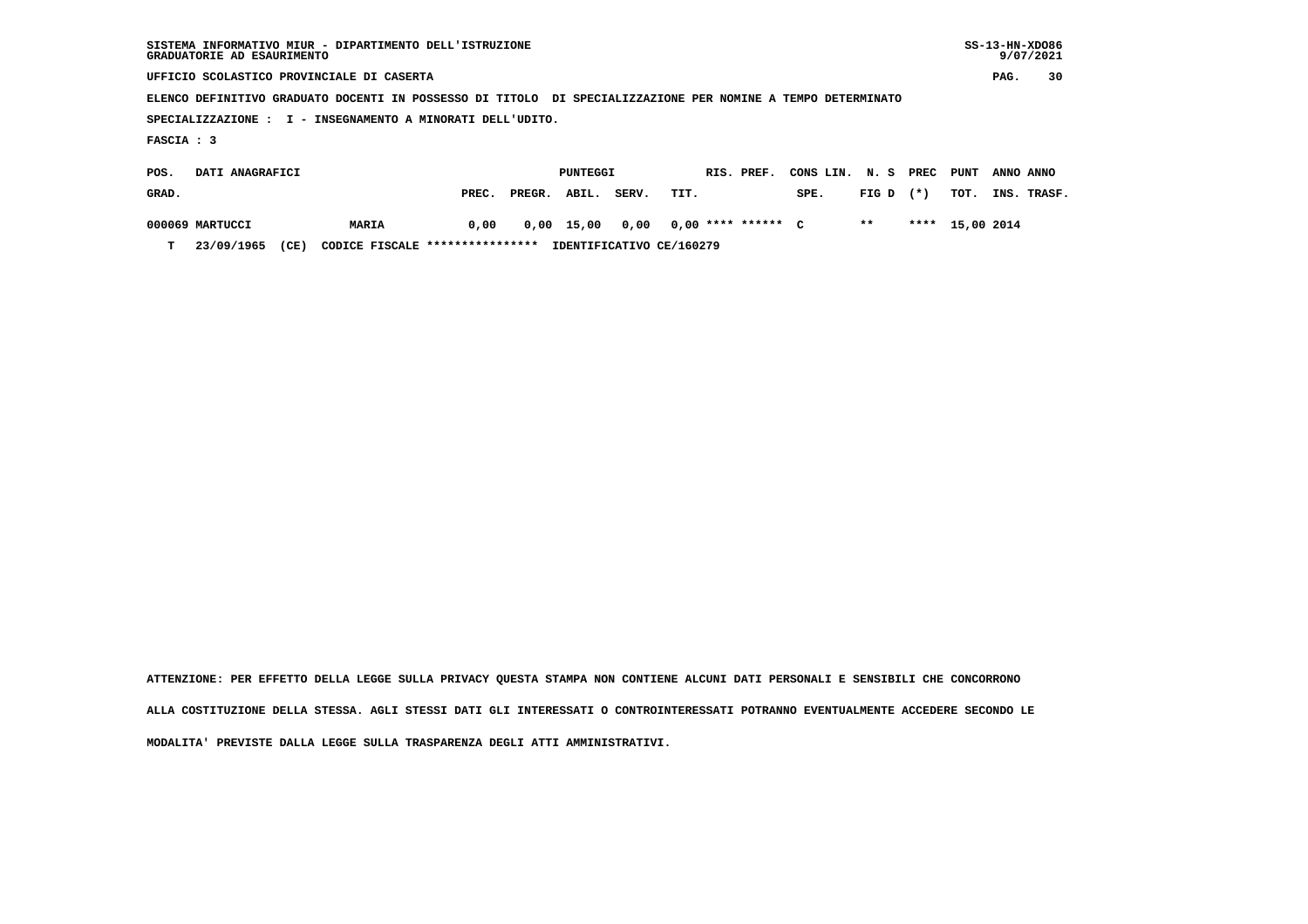| SISTEMA INFORMATIVO MIUR - DIPARTIMENTO DELL'ISTRUZIONE<br>GRADUATORIE AD ESAURIMENTO                       |                     |  |  |  |  |  |  |  |
|-------------------------------------------------------------------------------------------------------------|---------------------|--|--|--|--|--|--|--|
| UFFICIO SCOLASTICO PROVINCIALE DI CASERTA                                                                   | 30<br>PAG.          |  |  |  |  |  |  |  |
| ELENCO DEFINITIVO GRADUATO DOCENTI IN POSSESSO DI TITOLO DI SPECIALIZZAZIONE PER NOMINE A TEMPO DETERMINATO |                     |  |  |  |  |  |  |  |
| SPECIALIZZAZIONE : I - INSEGNAMENTO A MINORATI DELL'UDITO.                                                  |                     |  |  |  |  |  |  |  |
| FASCIA : 3                                                                                                  |                     |  |  |  |  |  |  |  |
| DATI ANAGRAFICI<br>PUNTEGGI<br>RIS. PREF.<br>PREC<br>CONS LIN.<br>N. S<br>POS.                              | PUNT<br>ANNO ANNO   |  |  |  |  |  |  |  |
| $(* )$<br>GRAD.<br>PREGR.<br>ABIL.<br>SERV.<br>TIT.<br>SPE.<br>FIG D<br>PREC.                               | TOT.<br>INS. TRASF. |  |  |  |  |  |  |  |

 **000069 MARTUCCI MARIA 0,00 0,00 15,00 0,00 0,00 \*\*\*\* \*\*\*\*\*\* C \*\* \*\*\*\* 15,00 2014**

 **T 23/09/1965 (CE) CODICE FISCALE \*\*\*\*\*\*\*\*\*\*\*\*\*\*\*\* IDENTIFICATIVO CE/160279**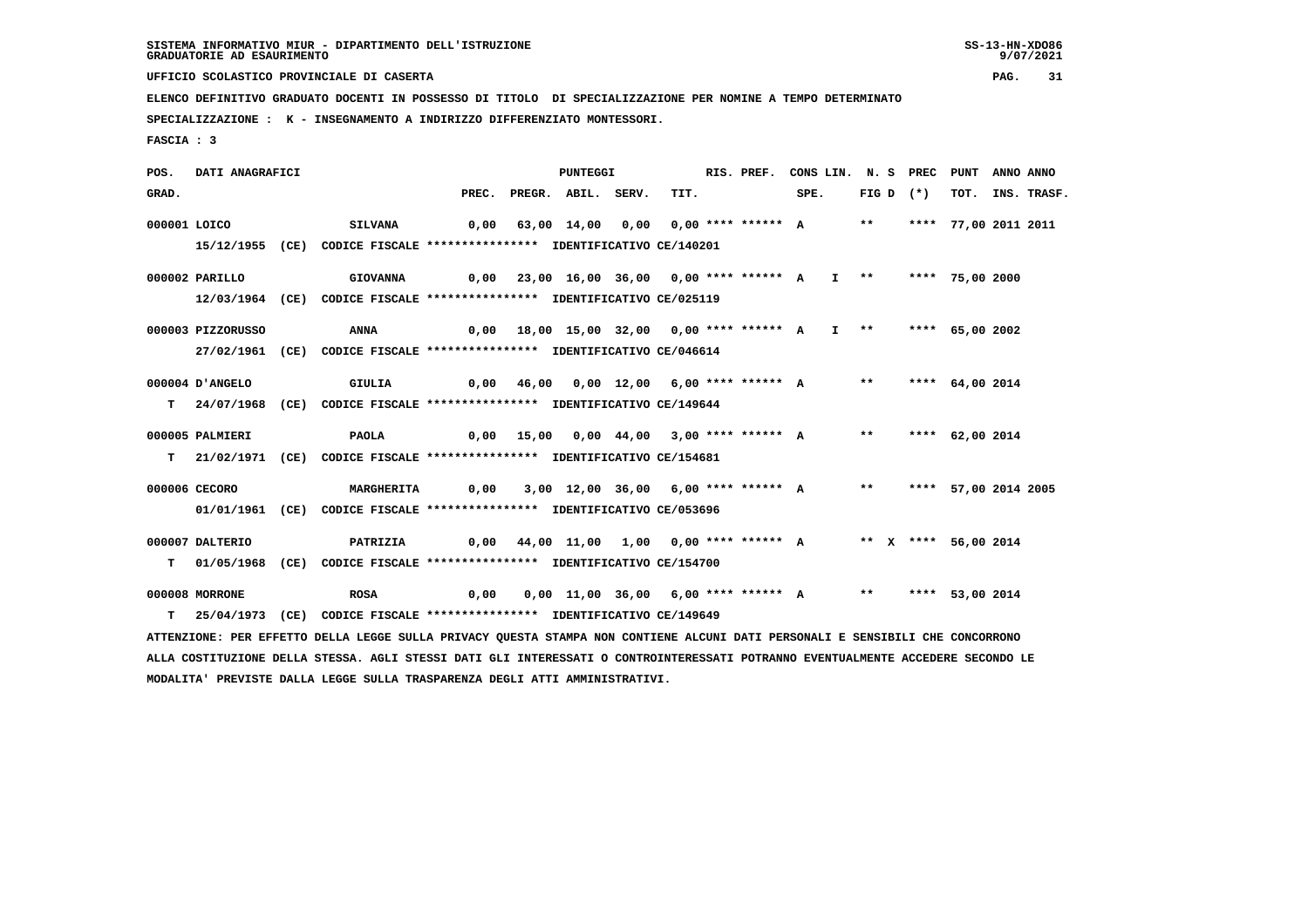**UFFICIO SCOLASTICO PROVINCIALE DI CASERTA PAG. 31**

 **ELENCO DEFINITIVO GRADUATO DOCENTI IN POSSESSO DI TITOLO DI SPECIALIZZAZIONE PER NOMINE A TEMPO DETERMINATO**

 **SPECIALIZZAZIONE : K - INSEGNAMENTO A INDIRIZZO DIFFERENZIATO MONTESSORI.**

 **MODALITA' PREVISTE DALLA LEGGE SULLA TRASPARENZA DEGLI ATTI AMMINISTRATIVI.**

 **FASCIA : 3**

 **POS. DATI ANAGRAFICI PUNTEGGI RIS. PREF. CONS LIN. N. S PREC PUNT ANNO ANNO**GRAD. PREC. PREGR. ABIL. SERV. TIT. SPE. FIG D (\*) TOT. INS. TRASF.  **000001 LOICO SILVANA 0,00 63,00 14,00 0,00 0,00 \*\*\*\* \*\*\*\*\*\* A \*\* \*\*\*\* 77,00 2011 2011 15/12/1955 (CE) CODICE FISCALE \*\*\*\*\*\*\*\*\*\*\*\*\*\*\*\* IDENTIFICATIVO CE/140201 000002 PARILLO GIOVANNA 0,00 23,00 16,00 36,00 0,00 \*\*\*\* \*\*\*\*\*\* A I \*\* \*\*\*\* 75,00 2000 12/03/1964 (CE) CODICE FISCALE \*\*\*\*\*\*\*\*\*\*\*\*\*\*\*\* IDENTIFICATIVO CE/025119 000003 PIZZORUSSO ANNA 0,00 18,00 15,00 32,00 0,00 \*\*\*\* \*\*\*\*\*\* A I \*\* \*\*\*\* 65,00 2002 27/02/1961 (CE) CODICE FISCALE \*\*\*\*\*\*\*\*\*\*\*\*\*\*\*\* IDENTIFICATIVO CE/046614 000004 D'ANGELO GIULIA 0,00 46,00 0,00 12,00 6,00 \*\*\*\* \*\*\*\*\*\* A \*\* \*\*\*\* 64,00 2014 T 24/07/1968 (CE) CODICE FISCALE \*\*\*\*\*\*\*\*\*\*\*\*\*\*\*\* IDENTIFICATIVO CE/149644 000005 PALMIERI PAOLA 0,00 15,00 0,00 44,00 3,00 \*\*\*\* \*\*\*\*\*\* A \*\* \*\*\*\* 62,00 2014 T 21/02/1971 (CE) CODICE FISCALE \*\*\*\*\*\*\*\*\*\*\*\*\*\*\*\* IDENTIFICATIVO CE/154681 000006 CECORO MARGHERITA 0,00 3,00 12,00 36,00 6,00 \*\*\*\* \*\*\*\*\*\* A \*\* \*\*\*\* 57,00 2014 2005 01/01/1961 (CE) CODICE FISCALE \*\*\*\*\*\*\*\*\*\*\*\*\*\*\*\* IDENTIFICATIVO CE/053696 000007 DALTERIO PATRIZIA 0,00 44,00 11,00 1,00 0,00 \*\*\*\* \*\*\*\*\*\* A \*\* X \*\*\*\* 56,00 2014 T 01/05/1968 (CE) CODICE FISCALE \*\*\*\*\*\*\*\*\*\*\*\*\*\*\*\* IDENTIFICATIVO CE/154700 000008 MORRONE ROSA 0,00 0,00 11,00 36,00 6,00 \*\*\*\* \*\*\*\*\*\* A \*\* \*\*\*\* 53,00 2014 T 25/04/1973 (CE) CODICE FISCALE \*\*\*\*\*\*\*\*\*\*\*\*\*\*\*\* IDENTIFICATIVO CE/149649 ATTENZIONE: PER EFFETTO DELLA LEGGE SULLA PRIVACY QUESTA STAMPA NON CONTIENE ALCUNI DATI PERSONALI E SENSIBILI CHE CONCORRONO ALLA COSTITUZIONE DELLA STESSA. AGLI STESSI DATI GLI INTERESSATI O CONTROINTERESSATI POTRANNO EVENTUALMENTE ACCEDERE SECONDO LE**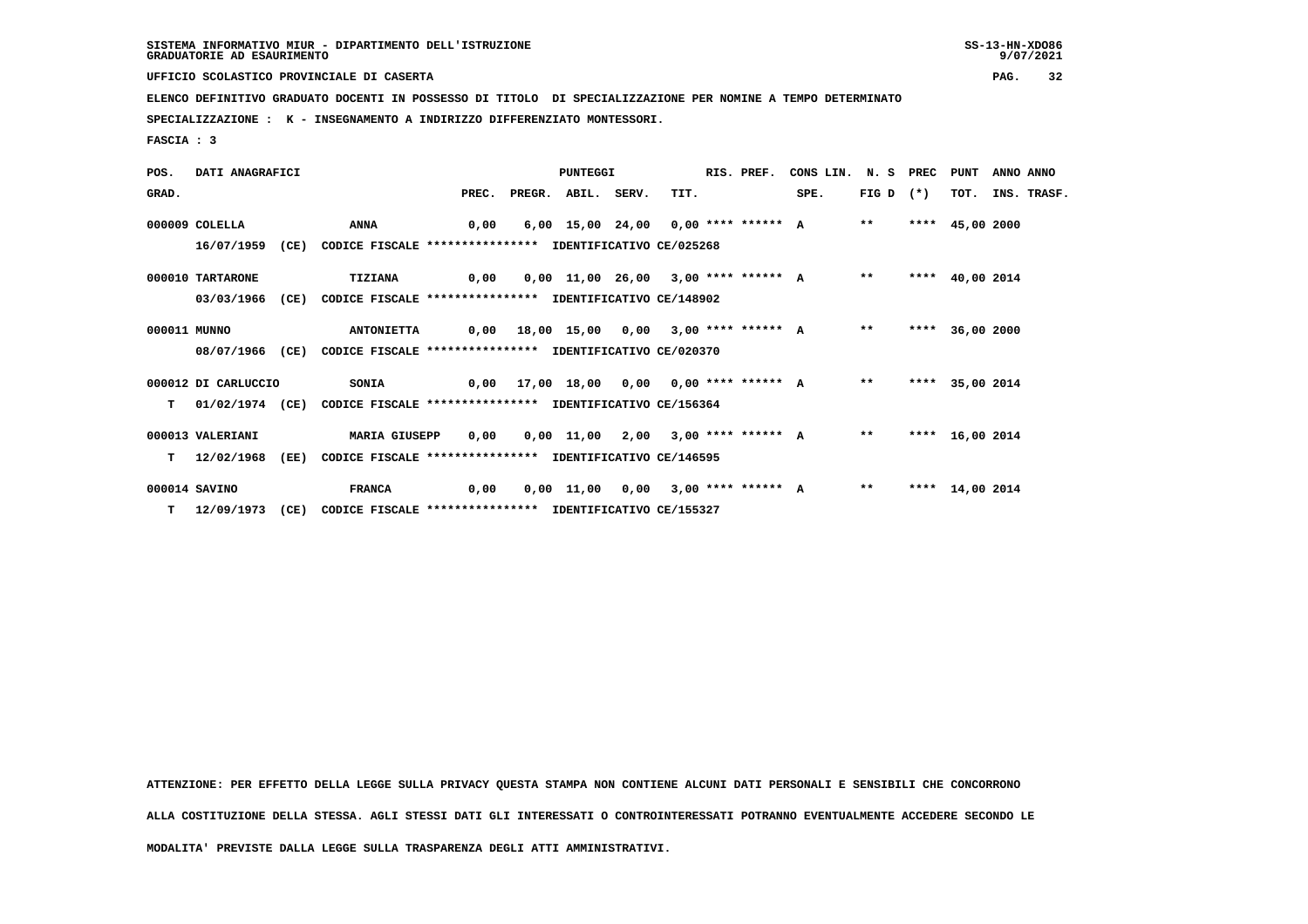**UFFICIO SCOLASTICO PROVINCIALE DI CASERTA PAG. 32**

 **ELENCO DEFINITIVO GRADUATO DOCENTI IN POSSESSO DI TITOLO DI SPECIALIZZAZIONE PER NOMINE A TEMPO DETERMINATO**

 **SPECIALIZZAZIONE : K - INSEGNAMENTO A INDIRIZZO DIFFERENZIATO MONTESSORI.**

 **FASCIA : 3**

 **POS. DATI ANAGRAFICI PUNTEGGI RIS. PREF. CONS LIN. N. S PREC PUNT ANNO ANNO**GRAD. PREC. PREGR. ABIL. SERV. TIT. SPE. FIG D (\*) TOT. INS. TRASF.  **000009 COLELLA ANNA 0,00 6,00 15,00 24,00 0,00 \*\*\*\* \*\*\*\*\*\* A \*\* \*\*\*\* 45,00 2000 16/07/1959 (CE) CODICE FISCALE \*\*\*\*\*\*\*\*\*\*\*\*\*\*\*\* IDENTIFICATIVO CE/025268 000010 TARTARONE TIZIANA 0,00 0,00 11,00 26,00 3,00 \*\*\*\* \*\*\*\*\*\* A \*\* \*\*\*\* 40,00 2014 03/03/1966 (CE) CODICE FISCALE \*\*\*\*\*\*\*\*\*\*\*\*\*\*\*\* IDENTIFICATIVO CE/148902 000011 MUNNO ANTONIETTA 0,00 18,00 15,00 0,00 3,00 \*\*\*\* \*\*\*\*\*\* A \*\* \*\*\*\* 36,00 2000 08/07/1966 (CE) CODICE FISCALE \*\*\*\*\*\*\*\*\*\*\*\*\*\*\*\* IDENTIFICATIVO CE/020370 000012 DI CARLUCCIO SONIA 0,00 17,00 18,00 0,00 0,00 \*\*\*\* \*\*\*\*\*\* A \*\* \*\*\*\* 35,00 2014 T 01/02/1974 (CE) CODICE FISCALE \*\*\*\*\*\*\*\*\*\*\*\*\*\*\*\* IDENTIFICATIVO CE/156364 000013 VALERIANI MARIA GIUSEPP 0,00 0,00 11,00 2,00 3,00 \*\*\*\* \*\*\*\*\*\* A \*\* \*\*\*\* 16,00 2014 T 12/02/1968 (EE) CODICE FISCALE \*\*\*\*\*\*\*\*\*\*\*\*\*\*\*\* IDENTIFICATIVO CE/146595 000014 SAVINO FRANCA 0,00 0,00 11,00 0,00 3,00 \*\*\*\* \*\*\*\*\*\* A \*\* \*\*\*\* 14,00 2014 T 12/09/1973 (CE) CODICE FISCALE \*\*\*\*\*\*\*\*\*\*\*\*\*\*\*\* IDENTIFICATIVO CE/155327**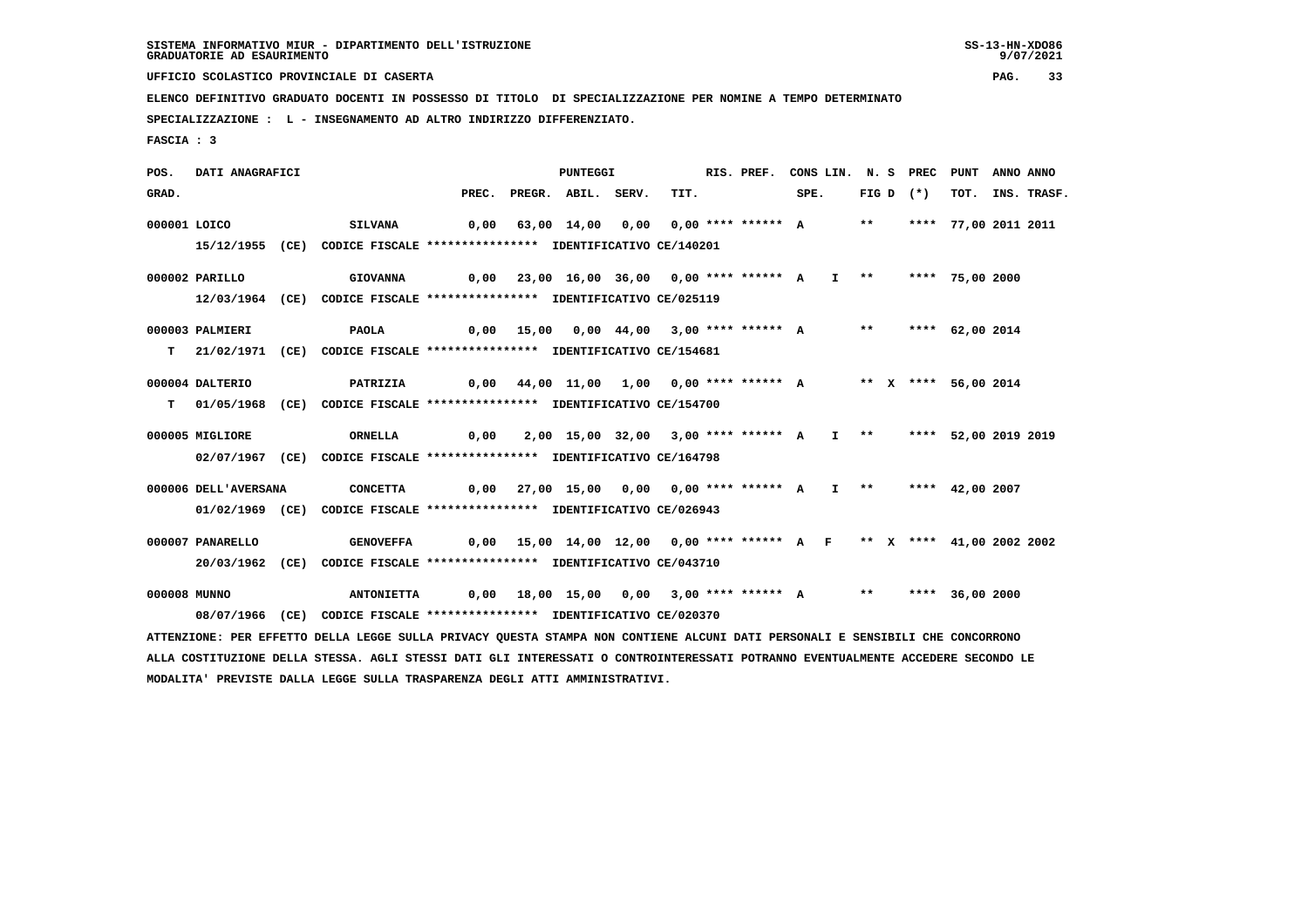**UFFICIO SCOLASTICO PROVINCIALE DI CASERTA PAG. 33**

 **ELENCO DEFINITIVO GRADUATO DOCENTI IN POSSESSO DI TITOLO DI SPECIALIZZAZIONE PER NOMINE A TEMPO DETERMINATO**

 **SPECIALIZZAZIONE : L - INSEGNAMENTO AD ALTRO INDIRIZZO DIFFERENZIATO.**

 **FASCIA : 3**

 **POS. DATI ANAGRAFICI PUNTEGGI RIS. PREF. CONS LIN. N. S PREC PUNT ANNO ANNO**GRAD. PREC. PREGR. ABIL. SERV. TIT. SPE. FIG D (\*) TOT. INS. TRASF.  **000001 LOICO SILVANA 0,00 63,00 14,00 0,00 0,00 \*\*\*\* \*\*\*\*\*\* A \*\* \*\*\*\* 77,00 2011 2011 15/12/1955 (CE) CODICE FISCALE \*\*\*\*\*\*\*\*\*\*\*\*\*\*\*\* IDENTIFICATIVO CE/140201 000002 PARILLO GIOVANNA 0,00 23,00 16,00 36,00 0,00 \*\*\*\* \*\*\*\*\*\* A I \*\* \*\*\*\* 75,00 2000 12/03/1964 (CE) CODICE FISCALE \*\*\*\*\*\*\*\*\*\*\*\*\*\*\*\* IDENTIFICATIVO CE/025119 000003 PALMIERI PAOLA 0,00 15,00 0,00 44,00 3,00 \*\*\*\* \*\*\*\*\*\* A \*\* \*\*\*\* 62,00 2014 T 21/02/1971 (CE) CODICE FISCALE \*\*\*\*\*\*\*\*\*\*\*\*\*\*\*\* IDENTIFICATIVO CE/154681 000004 DALTERIO PATRIZIA 0,00 44,00 11,00 1,00 0,00 \*\*\*\* \*\*\*\*\*\* A \*\* X \*\*\*\* 56,00 2014 T 01/05/1968 (CE) CODICE FISCALE \*\*\*\*\*\*\*\*\*\*\*\*\*\*\*\* IDENTIFICATIVO CE/154700 000005 MIGLIORE ORNELLA 0,00 2,00 15,00 32,00 3,00 \*\*\*\* \*\*\*\*\*\* A I \*\* \*\*\*\* 52,00 2019 2019 02/07/1967 (CE) CODICE FISCALE \*\*\*\*\*\*\*\*\*\*\*\*\*\*\*\* IDENTIFICATIVO CE/164798 000006 DELL'AVERSANA CONCETTA 0,00 27,00 15,00 0,00 0,00 \*\*\*\* \*\*\*\*\*\* A I \*\* \*\*\*\* 42,00 2007 01/02/1969 (CE) CODICE FISCALE \*\*\*\*\*\*\*\*\*\*\*\*\*\*\*\* IDENTIFICATIVO CE/026943 000007 PANARELLO GENOVEFFA 0,00 15,00 14,00 12,00 0,00 \*\*\*\* \*\*\*\*\*\* A F \*\* X \*\*\*\* 41,00 2002 2002 20/03/1962 (CE) CODICE FISCALE \*\*\*\*\*\*\*\*\*\*\*\*\*\*\*\* IDENTIFICATIVO CE/043710 000008 MUNNO ANTONIETTA 0,00 18,00 15,00 0,00 3,00 \*\*\*\* \*\*\*\*\*\* A \*\* \*\*\*\* 36,00 2000 08/07/1966 (CE) CODICE FISCALE \*\*\*\*\*\*\*\*\*\*\*\*\*\*\*\* IDENTIFICATIVO CE/020370 ATTENZIONE: PER EFFETTO DELLA LEGGE SULLA PRIVACY QUESTA STAMPA NON CONTIENE ALCUNI DATI PERSONALI E SENSIBILI CHE CONCORRONO**

 **ALLA COSTITUZIONE DELLA STESSA. AGLI STESSI DATI GLI INTERESSATI O CONTROINTERESSATI POTRANNO EVENTUALMENTE ACCEDERE SECONDO LE MODALITA' PREVISTE DALLA LEGGE SULLA TRASPARENZA DEGLI ATTI AMMINISTRATIVI.**